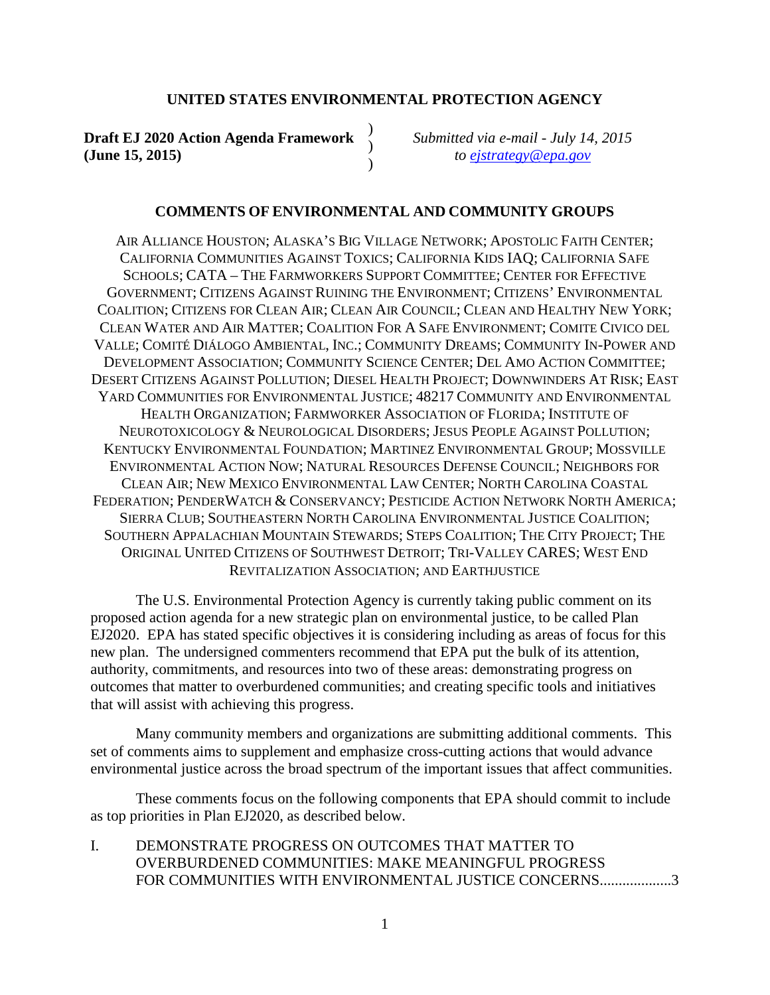#### **UNITED STATES ENVIRONMENTAL PROTECTION AGENCY**

) )  $\lambda$ 

**Draft EJ 2020 Action Agenda Framework (June 15, 2015)**

*Submitted via e-mail - July 14, 2015 to [ejstrategy@epa.gov](mailto:ejstrategy@epa.gov)*

#### **COMMENTS OF ENVIRONMENTAL AND COMMUNITY GROUPS**

AIR ALLIANCE HOUSTON; ALASKA'S BIG VILLAGE NETWORK; APOSTOLIC FAITH CENTER; CALIFORNIA COMMUNITIES AGAINST TOXICS; CALIFORNIA KIDS IAQ; CALIFORNIA SAFE SCHOOLS; CATA – THE FARMWORKERS SUPPORT COMMITTEE; CENTER FOR EFFECTIVE GOVERNMENT; CITIZENS AGAINST RUINING THE ENVIRONMENT; CITIZENS' ENVIRONMENTAL COALITION; CITIZENS FOR CLEAN AIR; CLEAN AIR COUNCIL; CLEAN AND HEALTHY NEW YORK; CLEAN WATER AND AIR MATTER; COALITION FOR A SAFE ENVIRONMENT; COMITE CIVICO DEL VALLE; COMITÉ DIÁLOGO AMBIENTAL, INC.; COMMUNITY DREAMS; COMMUNITY IN-POWER AND DEVELOPMENT ASSOCIATION; COMMUNITY SCIENCE CENTER; DEL AMO ACTION COMMITTEE; DESERT CITIZENS AGAINST POLLUTION; DIESEL HEALTH PROJECT; DOWNWINDERS AT RISK; EAST YARD COMMUNITIES FOR ENVIRONMENTAL JUSTICE; 48217 COMMUNITY AND ENVIRONMENTAL HEALTH ORGANIZATION; FARMWORKER ASSOCIATION OF FLORIDA; INSTITUTE OF NEUROTOXICOLOGY & NEUROLOGICAL DISORDERS; JESUS PEOPLE AGAINST POLLUTION; KENTUCKY ENVIRONMENTAL FOUNDATION; MARTINEZ ENVIRONMENTAL GROUP; MOSSVILLE ENVIRONMENTAL ACTION NOW; NATURAL RESOURCES DEFENSE COUNCIL; NEIGHBORS FOR CLEAN AIR; NEW MEXICO ENVIRONMENTAL LAW CENTER; NORTH CAROLINA COASTAL FEDERATION; PENDERWATCH & CONSERVANCY; PESTICIDE ACTION NETWORK NORTH AMERICA; SIERRA CLUB; SOUTHEASTERN NORTH CAROLINA ENVIRONMENTAL JUSTICE COALITION; SOUTHERN APPALACHIAN MOUNTAIN STEWARDS; STEPS COALITION; THE CITY PROJECT; THE ORIGINAL UNITED CITIZENS OF SOUTHWEST DETROIT; TRI-VALLEY CARES; WEST END REVITALIZATION ASSOCIATION; AND EARTHJUSTICE

The U.S. Environmental Protection Agency is currently taking public comment on its proposed action agenda for a new strategic plan on environmental justice, to be called Plan EJ2020. EPA has stated specific objectives it is considering including as areas of focus for this new plan. The undersigned commenters recommend that EPA put the bulk of its attention, authority, commitments, and resources into two of these areas: demonstrating progress on outcomes that matter to overburdened communities; and creating specific tools and initiatives that will assist with achieving this progress.

Many community members and organizations are submitting additional comments. This set of comments aims to supplement and emphasize cross-cutting actions that would advance environmental justice across the broad spectrum of the important issues that affect communities.

These comments focus on the following components that EPA should commit to include as top priorities in Plan EJ2020, as described below.

I. [DEMONSTRATE PROGRESS ON](#page-2-0) OUTCOMES THAT MATTER TO [OVERBURDENED COMMUNITIES: MAKE MEANINGFUL PROGRESS](#page-2-0)  FOR COMMUNITIES WITH [ENVIRONMENTAL JUSTICE CONCERNS...................3](#page-2-0)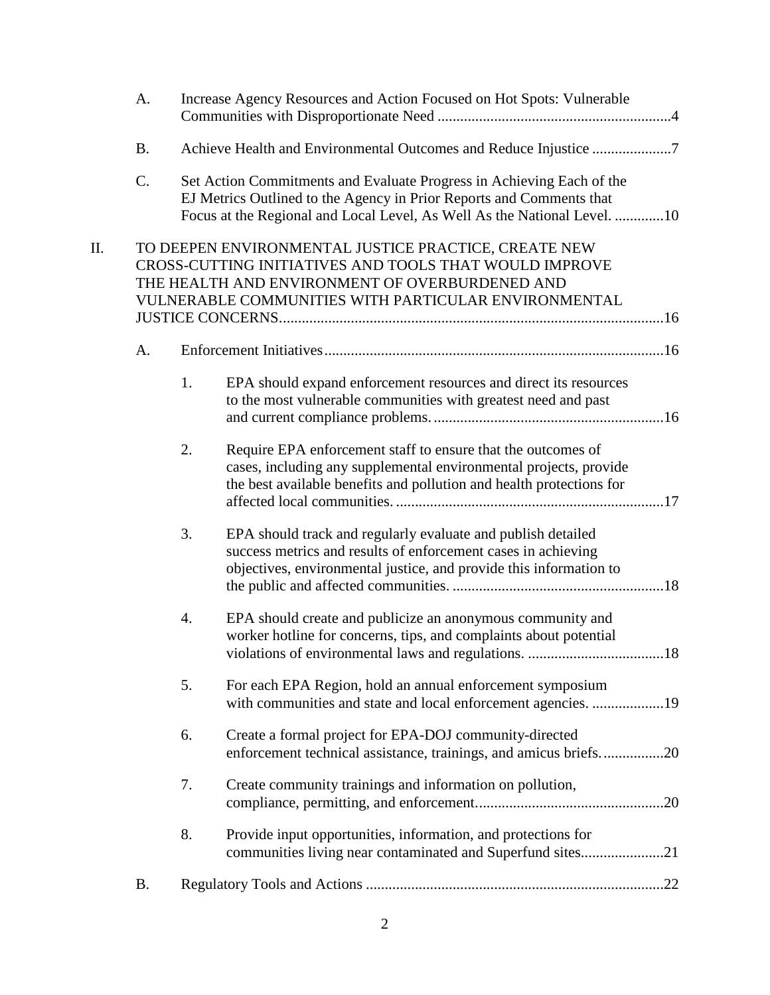|    | A.        |    | Increase Agency Resources and Action Focused on Hot Spots: Vulnerable                                                                                                                                                     |  |  |
|----|-----------|----|---------------------------------------------------------------------------------------------------------------------------------------------------------------------------------------------------------------------------|--|--|
|    | <b>B.</b> |    | Achieve Health and Environmental Outcomes and Reduce Injustice 7                                                                                                                                                          |  |  |
|    | C.        |    | Set Action Commitments and Evaluate Progress in Achieving Each of the<br>EJ Metrics Outlined to the Agency in Prior Reports and Comments that<br>Focus at the Regional and Local Level, As Well As the National Level. 10 |  |  |
| Π. |           |    | TO DEEPEN ENVIRONMENTAL JUSTICE PRACTICE, CREATE NEW<br>CROSS-CUTTING INITIATIVES AND TOOLS THAT WOULD IMPROVE<br>THE HEALTH AND ENVIRONMENT OF OVERBURDENED AND<br>VULNERABLE COMMUNITIES WITH PARTICULAR ENVIRONMENTAL  |  |  |
|    | A.        |    |                                                                                                                                                                                                                           |  |  |
|    |           | 1. | EPA should expand enforcement resources and direct its resources<br>to the most vulnerable communities with greatest need and past                                                                                        |  |  |
|    |           | 2. | Require EPA enforcement staff to ensure that the outcomes of<br>cases, including any supplemental environmental projects, provide<br>the best available benefits and pollution and health protections for                 |  |  |
|    |           | 3. | EPA should track and regularly evaluate and publish detailed<br>success metrics and results of enforcement cases in achieving<br>objectives, environmental justice, and provide this information to                       |  |  |
|    |           | 4. | EPA should create and publicize an anonymous community and<br>worker hotline for concerns, tips, and complaints about potential                                                                                           |  |  |
|    |           | 5. | For each EPA Region, hold an annual enforcement symposium<br>with communities and state and local enforcement agencies. 19                                                                                                |  |  |
|    |           | 6. | Create a formal project for EPA-DOJ community-directed<br>enforcement technical assistance, trainings, and amicus briefs20                                                                                                |  |  |
|    |           | 7. | Create community trainings and information on pollution,                                                                                                                                                                  |  |  |
|    |           | 8. | Provide input opportunities, information, and protections for<br>communities living near contaminated and Superfund sites21                                                                                               |  |  |
|    | <b>B.</b> |    |                                                                                                                                                                                                                           |  |  |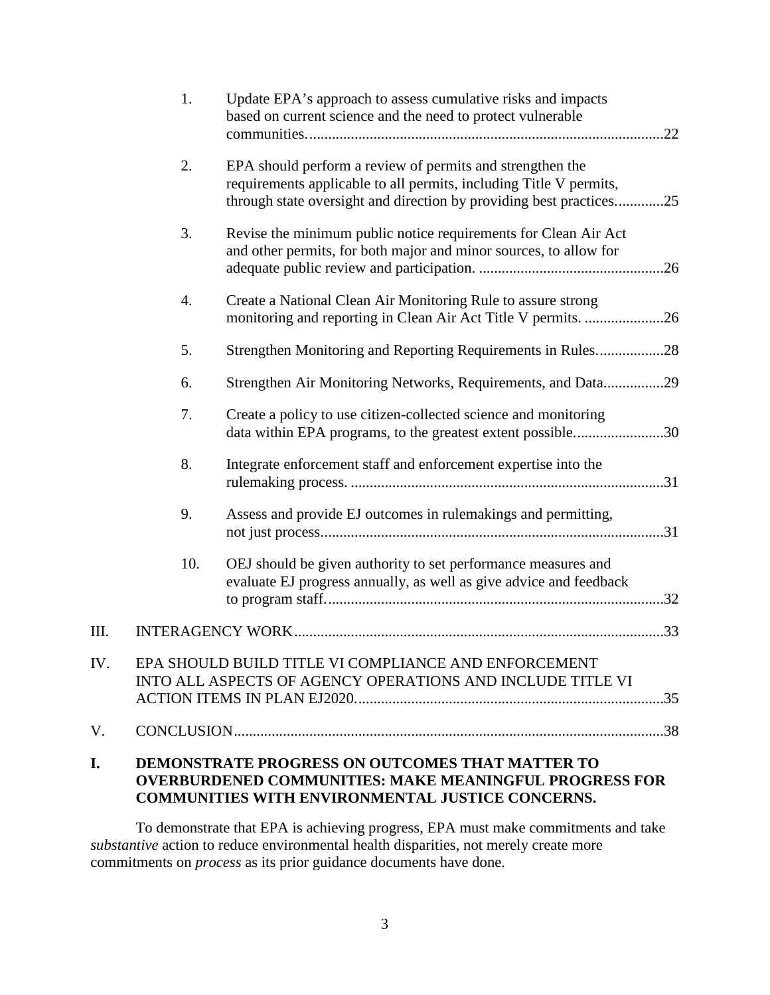|     | 1.  | Update EPA's approach to assess cumulative risks and impacts<br>based on current science and the need to protect vulnerable                                                                          | .22 |
|-----|-----|------------------------------------------------------------------------------------------------------------------------------------------------------------------------------------------------------|-----|
|     | 2.  | EPA should perform a review of permits and strengthen the<br>requirements applicable to all permits, including Title V permits,<br>through state oversight and direction by providing best practices | .25 |
|     | 3.  | Revise the minimum public notice requirements for Clean Air Act<br>and other permits, for both major and minor sources, to allow for                                                                 |     |
|     | 4.  | Create a National Clean Air Monitoring Rule to assure strong<br>monitoring and reporting in Clean Air Act Title V permits. 26                                                                        |     |
|     | 5.  | Strengthen Monitoring and Reporting Requirements in Rules28                                                                                                                                          |     |
|     | 6.  | Strengthen Air Monitoring Networks, Requirements, and Data29                                                                                                                                         |     |
|     | 7.  | Create a policy to use citizen-collected science and monitoring<br>data within EPA programs, to the greatest extent possible30                                                                       |     |
|     | 8.  | Integrate enforcement staff and enforcement expertise into the                                                                                                                                       |     |
|     | 9.  | Assess and provide EJ outcomes in rulemakings and permitting,                                                                                                                                        |     |
|     | 10. | OEJ should be given authority to set performance measures and<br>evaluate EJ progress annually, as well as give advice and feedback                                                                  |     |
| Ш.  |     |                                                                                                                                                                                                      |     |
| IV. |     | EPA SHOULD BUILD TITLE VI COMPLIANCE AND ENFORCEMENT<br>INTO ALL ASPECTS OF AGENCY OPERATIONS AND INCLUDE TITLE VI                                                                                   |     |
| V.  |     |                                                                                                                                                                                                      |     |
| I.  |     | DEMONSTRATE PROGRESS ON OUTCOMES THAT MATTER TO<br><b>OVERBURDENED COMMUNITIES: MAKE MEANINGFUL PROGRESS FOR</b>                                                                                     |     |

<span id="page-2-0"></span>**COMMUNITIES WITH ENVIRONMENTAL JUSTICE CONCERNS.** 

To demonstrate that EPA is achieving progress, EPA must make commitments and take *substantive* action to reduce environmental health disparities, not merely create more commitments on *process* as its prior guidance documents have done.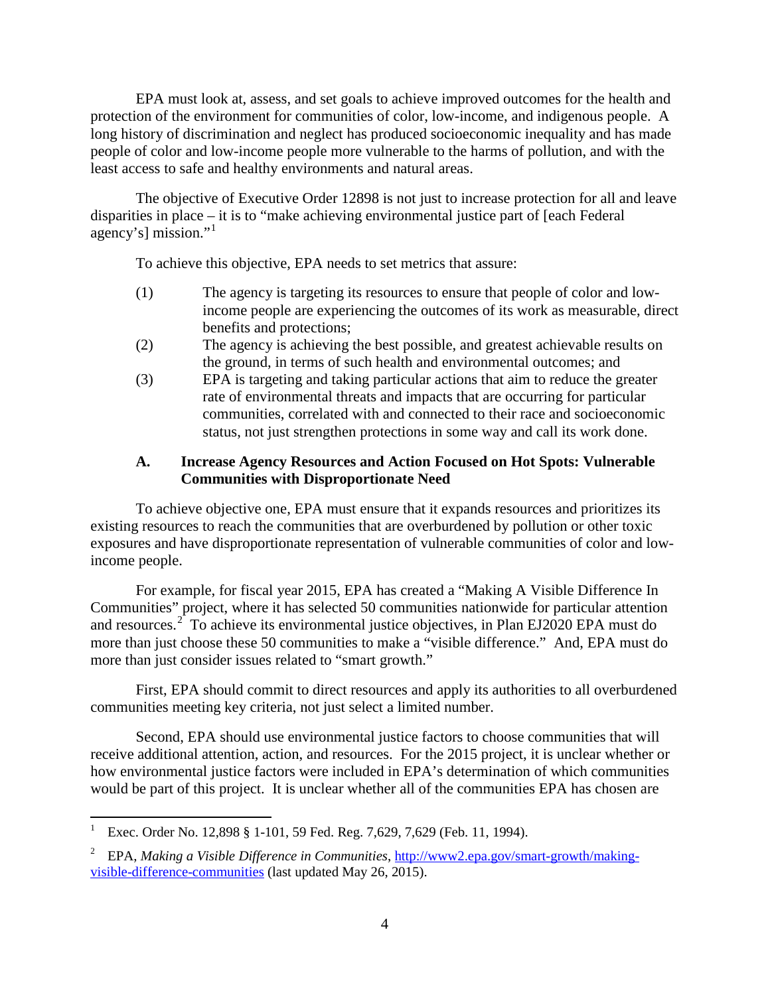EPA must look at, assess, and set goals to achieve improved outcomes for the health and protection of the environment for communities of color, low-income, and indigenous people. A long history of discrimination and neglect has produced socioeconomic inequality and has made people of color and low-income people more vulnerable to the harms of pollution, and with the least access to safe and healthy environments and natural areas.

The objective of Executive Order 12898 is not just to increase protection for all and leave disparities in place – it is to "make achieving environmental justice part of [each Federal agency's] mission."[1](#page-3-1)

To achieve this objective, EPA needs to set metrics that assure:

- (1) The agency is targeting its resources to ensure that people of color and lowincome people are experiencing the outcomes of its work as measurable, direct benefits and protections;
- (2) The agency is achieving the best possible, and greatest achievable results on the ground, in terms of such health and environmental outcomes; and
- (3) EPA is targeting and taking particular actions that aim to reduce the greater rate of environmental threats and impacts that are occurring for particular communities, correlated with and connected to their race and socioeconomic status, not just strengthen protections in some way and call its work done.

# <span id="page-3-0"></span>**A. Increase Agency Resources and Action Focused on Hot Spots: Vulnerable Communities with Disproportionate Need**

To achieve objective one, EPA must ensure that it expands resources and prioritizes its existing resources to reach the communities that are overburdened by pollution or other toxic exposures and have disproportionate representation of vulnerable communities of color and lowincome people.

For example, for fiscal year 2015, EPA has created a "Making A Visible Difference In Communities" project, where it has selected 50 communities nationwide for particular attention and resources.<sup>[2](#page-3-2)</sup> To achieve its environmental justice objectives, in Plan EJ2020 EPA must do more than just choose these 50 communities to make a "visible difference." And, EPA must do more than just consider issues related to "smart growth."

First, EPA should commit to direct resources and apply its authorities to all overburdened communities meeting key criteria, not just select a limited number.

Second, EPA should use environmental justice factors to choose communities that will receive additional attention, action, and resources. For the 2015 project, it is unclear whether or how environmental justice factors were included in EPA's determination of which communities would be part of this project. It is unclear whether all of the communities EPA has chosen are

<span id="page-3-1"></span>Exec. Order No. 12,898 § 1-101, 59 Fed. Reg. 7,629, 7,629 (Feb. 11, 1994).

<span id="page-3-2"></span><sup>2</sup> EPA, *Making a Visible Difference in Communities*[, http://www2.epa.gov/smart-growth/making](http://www2.epa.gov/smart-growth/making-visible-difference-communities)[visible-difference-communities](http://www2.epa.gov/smart-growth/making-visible-difference-communities) (last updated May 26, 2015).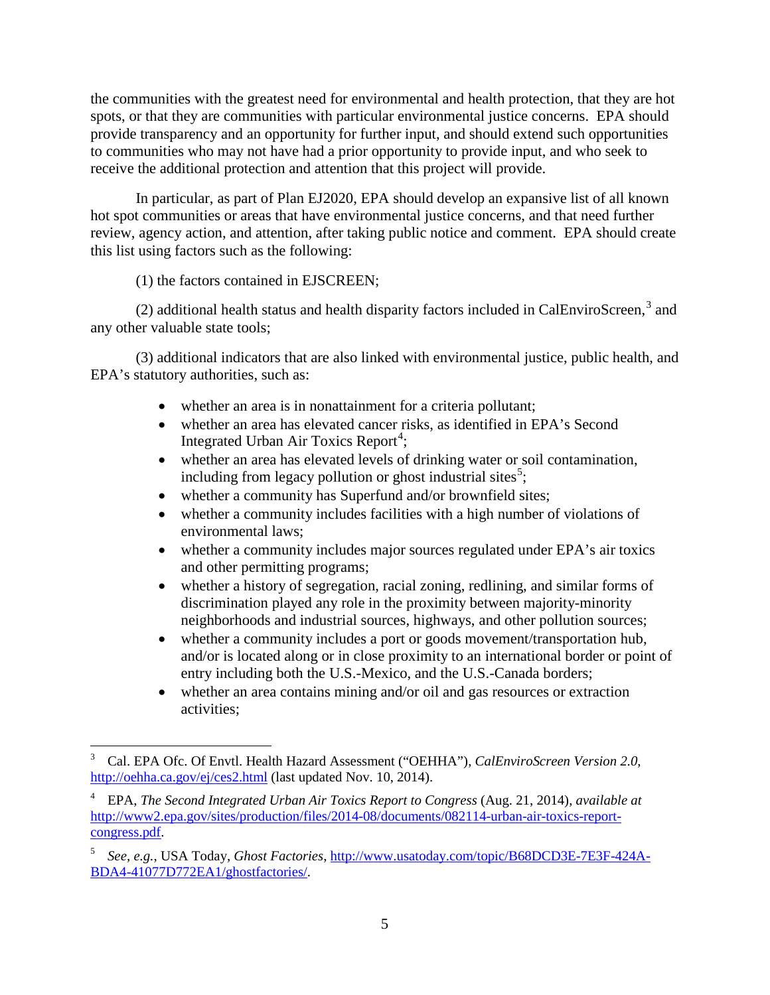the communities with the greatest need for environmental and health protection, that they are hot spots, or that they are communities with particular environmental justice concerns. EPA should provide transparency and an opportunity for further input, and should extend such opportunities to communities who may not have had a prior opportunity to provide input, and who seek to receive the additional protection and attention that this project will provide.

In particular, as part of Plan EJ2020, EPA should develop an expansive list of all known hot spot communities or areas that have environmental justice concerns, and that need further review, agency action, and attention, after taking public notice and comment. EPA should create this list using factors such as the following:

(1) the factors contained in EJSCREEN;

(2) additional health status and health disparity factors included in CalEnviroScreen, $3$  and any other valuable state tools;

(3) additional indicators that are also linked with environmental justice, public health, and EPA's statutory authorities, such as:

- whether an area is in nonattainment for a criteria pollutant;
- whether an area has elevated cancer risks, as identified in EPA's Second Integrated Urban Air Toxics Report<sup>[4](#page-4-1)</sup>;
- <span id="page-4-3"></span>• whether an area has elevated levels of drinking water or soil contamination, including from legacy pollution or ghost industrial sites<sup>[5](#page-4-2)</sup>;
- whether a community has Superfund and/or brownfield sites;
- whether a community includes facilities with a high number of violations of environmental laws;
- whether a community includes major sources regulated under EPA's air toxics and other permitting programs;
- whether a history of segregation, racial zoning, redlining, and similar forms of discrimination played any role in the proximity between majority-minority neighborhoods and industrial sources, highways, and other pollution sources;
- whether a community includes a port or goods movement/transportation hub, and/or is located along or in close proximity to an international border or point of entry including both the U.S.-Mexico, and the U.S.-Canada borders;
- whether an area contains mining and/or oil and gas resources or extraction activities;

<span id="page-4-0"></span> <sup>3</sup> Cal. EPA Ofc. Of Envtl. Health Hazard Assessment ("OEHHA"), *CalEnviroScreen Version 2.0*, <http://oehha.ca.gov/ej/ces2.html> (last updated Nov. 10, 2014).

<span id="page-4-1"></span><sup>4</sup> EPA, *The Second Integrated Urban Air Toxics Report to Congress* (Aug. 21, 2014), *available at* http://www2.epa.gov/sites/production/files/2014-08/documents/082114-urban-air-toxics-reportcongress.pdf.

<span id="page-4-2"></span><sup>5</sup> *See, e.g.*, USA Today, *Ghost Factories*[, http://www.usatoday.com/topic/B68DCD3E-7E3F-424A-](http://www.usatoday.com/topic/B68DCD3E-7E3F-424A-BDA4-41077D772EA1/ghostfactories/)[BDA4-41077D772EA1/ghostfactories/.](http://www.usatoday.com/topic/B68DCD3E-7E3F-424A-BDA4-41077D772EA1/ghostfactories/)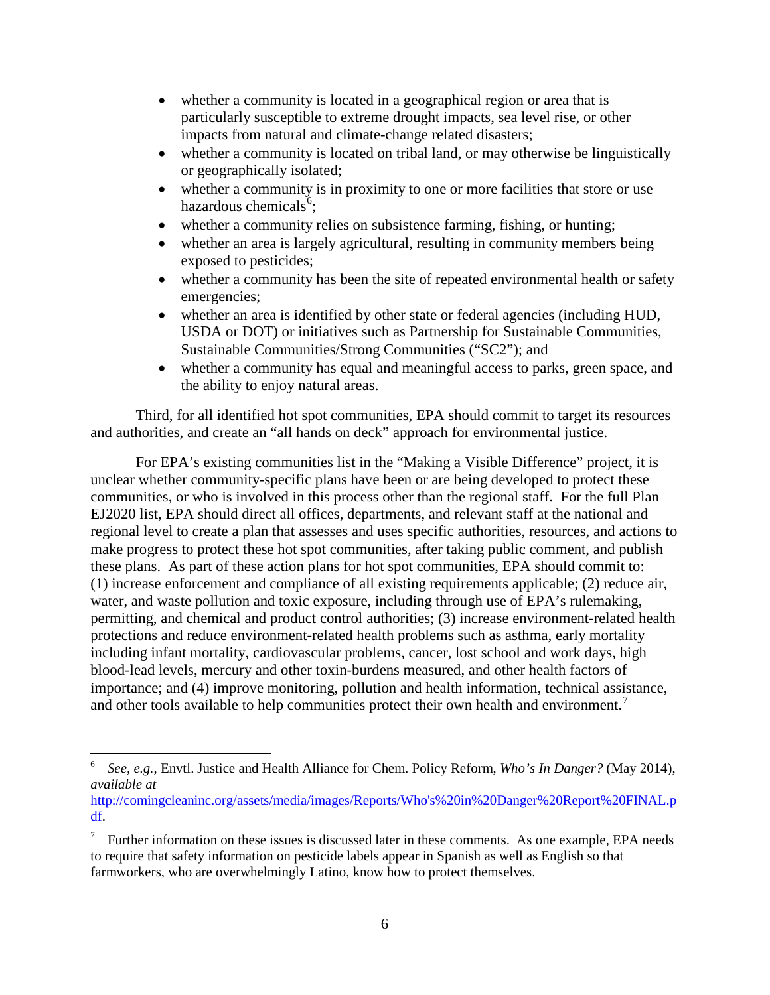- whether a community is located in a geographical region or area that is particularly susceptible to extreme drought impacts, sea level rise, or other impacts from natural and climate-change related disasters;
- whether a community is located on tribal land, or may otherwise be linguistically or geographically isolated;
- <span id="page-5-2"></span>• whether a community is in proximity to one or more facilities that store or use hazardous chemicals<sup>[6](#page-5-0)</sup>;
- whether a community relies on subsistence farming, fishing, or hunting;
- whether an area is largely agricultural, resulting in community members being exposed to pesticides;
- whether a community has been the site of repeated environmental health or safety emergencies;
- whether an area is identified by other state or federal agencies (including HUD, USDA or DOT) or initiatives such as Partnership for Sustainable Communities, Sustainable Communities/Strong Communities ("SC2"); and
- whether a community has equal and meaningful access to parks, green space, and the ability to enjoy natural areas.

Third, for all identified hot spot communities, EPA should commit to target its resources and authorities, and create an "all hands on deck" approach for environmental justice.

For EPA's existing communities list in the "Making a Visible Difference" project, it is unclear whether community-specific plans have been or are being developed to protect these communities, or who is involved in this process other than the regional staff. For the full Plan EJ2020 list, EPA should direct all offices, departments, and relevant staff at the national and regional level to create a plan that assesses and uses specific authorities, resources, and actions to make progress to protect these hot spot communities, after taking public comment, and publish these plans. As part of these action plans for hot spot communities, EPA should commit to: (1) increase enforcement and compliance of all existing requirements applicable; (2) reduce air, water, and waste pollution and toxic exposure, including through use of EPA's rulemaking, permitting, and chemical and product control authorities; (3) increase environment-related health protections and reduce environment-related health problems such as asthma, early mortality including infant mortality, cardiovascular problems, cancer, lost school and work days, high blood-lead levels, mercury and other toxin-burdens measured, and other health factors of importance; and (4) improve monitoring, pollution and health information, technical assistance, and other tools available to help communities protect their own health and environment.<sup>[7](#page-5-1)</sup>

<span id="page-5-0"></span> <sup>6</sup> *See, e.g.*, Envtl. Justice and Health Alliance for Chem. Policy Reform, *Who's In Danger?* (May 2014), *available at* 

[http://comingcleaninc.org/assets/media/images/Reports/Who's%20in%20Danger%20Report%20FINAL.p](http://comingcleaninc.org/assets/media/images/Reports/Who) [df.](http://comingcleaninc.org/assets/media/images/Reports/Who)

<span id="page-5-1"></span><sup>&</sup>lt;sup>7</sup> Further information on these issues is discussed later in these comments. As one example, EPA needs to require that safety information on pesticide labels appear in Spanish as well as English so that farmworkers, who are overwhelmingly Latino, know how to protect themselves.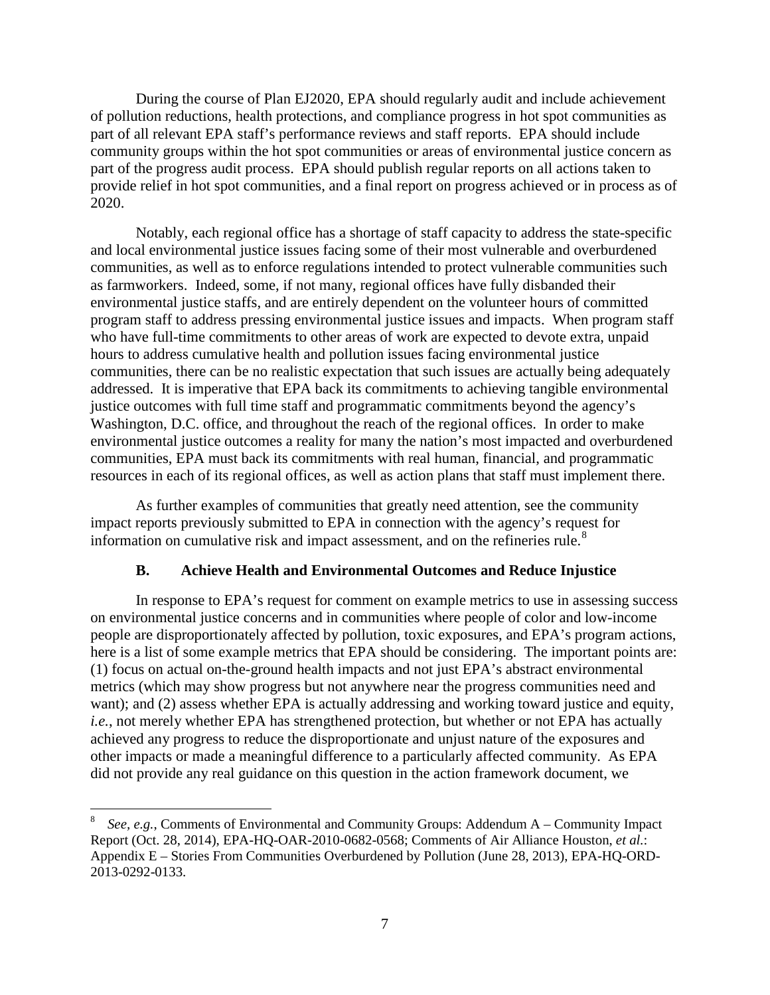During the course of Plan EJ2020, EPA should regularly audit and include achievement of pollution reductions, health protections, and compliance progress in hot spot communities as part of all relevant EPA staff's performance reviews and staff reports. EPA should include community groups within the hot spot communities or areas of environmental justice concern as part of the progress audit process. EPA should publish regular reports on all actions taken to provide relief in hot spot communities, and a final report on progress achieved or in process as of 2020.

Notably, each regional office has a shortage of staff capacity to address the state-specific and local environmental justice issues facing some of their most vulnerable and overburdened communities, as well as to enforce regulations intended to protect vulnerable communities such as farmworkers. Indeed, some, if not many, regional offices have fully disbanded their environmental justice staffs, and are entirely dependent on the volunteer hours of committed program staff to address pressing environmental justice issues and impacts. When program staff who have full-time commitments to other areas of work are expected to devote extra, unpaid hours to address cumulative health and pollution issues facing environmental justice communities, there can be no realistic expectation that such issues are actually being adequately addressed. It is imperative that EPA back its commitments to achieving tangible environmental justice outcomes with full time staff and programmatic commitments beyond the agency's Washington, D.C. office, and throughout the reach of the regional offices. In order to make environmental justice outcomes a reality for many the nation's most impacted and overburdened communities, EPA must back its commitments with real human, financial, and programmatic resources in each of its regional offices, as well as action plans that staff must implement there.

As further examples of communities that greatly need attention, see the community impact reports previously submitted to EPA in connection with the agency's request for information on cumulative risk and impact assessment, and on the refineries rule.[8](#page-6-1)

#### <span id="page-6-2"></span>**B. Achieve Health and Environmental Outcomes and Reduce Injustice**

<span id="page-6-0"></span>In response to EPA's request for comment on example metrics to use in assessing success on environmental justice concerns and in communities where people of color and low-income people are disproportionately affected by pollution, toxic exposures, and EPA's program actions, here is a list of some example metrics that EPA should be considering. The important points are: (1) focus on actual on-the-ground health impacts and not just EPA's abstract environmental metrics (which may show progress but not anywhere near the progress communities need and want); and (2) assess whether EPA is actually addressing and working toward justice and equity, *i.e.*, not merely whether EPA has strengthened protection, but whether or not EPA has actually achieved any progress to reduce the disproportionate and unjust nature of the exposures and other impacts or made a meaningful difference to a particularly affected community. As EPA did not provide any real guidance on this question in the action framework document, we

<span id="page-6-1"></span> <sup>8</sup> *See, e.g.*, Comments of Environmental and Community Groups: Addendum A – Community Impact Report (Oct. 28, 2014), EPA-HQ-OAR-2010-0682-0568; Comments of Air Alliance Houston, *et al.*: Appendix E – Stories From Communities Overburdened by Pollution (June 28, 2013), EPA-HQ-ORD-2013-0292-0133.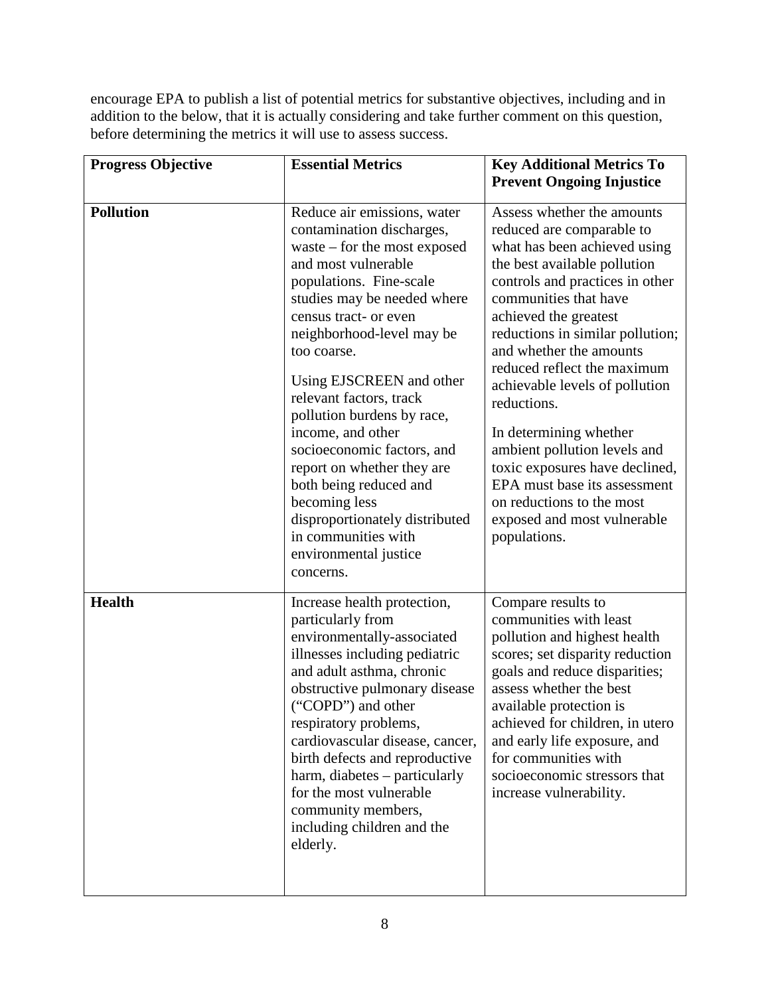encourage EPA to publish a list of potential metrics for substantive objectives, including and in addition to the below, that it is actually considering and take further comment on this question, before determining the metrics it will use to assess success.

| <b>Progress Objective</b> | <b>Essential Metrics</b>                                                                                                                                                                                                                                                                                                                                                                                                                                                                                                                                         | <b>Key Additional Metrics To</b><br><b>Prevent Ongoing Injustice</b>                                                                                                                                                                                                                                                                                                                                                                                                                                                                                                |
|---------------------------|------------------------------------------------------------------------------------------------------------------------------------------------------------------------------------------------------------------------------------------------------------------------------------------------------------------------------------------------------------------------------------------------------------------------------------------------------------------------------------------------------------------------------------------------------------------|---------------------------------------------------------------------------------------------------------------------------------------------------------------------------------------------------------------------------------------------------------------------------------------------------------------------------------------------------------------------------------------------------------------------------------------------------------------------------------------------------------------------------------------------------------------------|
| <b>Pollution</b>          | Reduce air emissions, water<br>contamination discharges,<br>waste $-$ for the most exposed<br>and most vulnerable<br>populations. Fine-scale<br>studies may be needed where<br>census tract- or even<br>neighborhood-level may be<br>too coarse.<br>Using EJSCREEN and other<br>relevant factors, track<br>pollution burdens by race,<br>income, and other<br>socioeconomic factors, and<br>report on whether they are<br>both being reduced and<br>becoming less<br>disproportionately distributed<br>in communities with<br>environmental justice<br>concerns. | Assess whether the amounts<br>reduced are comparable to<br>what has been achieved using<br>the best available pollution<br>controls and practices in other<br>communities that have<br>achieved the greatest<br>reductions in similar pollution;<br>and whether the amounts<br>reduced reflect the maximum<br>achievable levels of pollution<br>reductions.<br>In determining whether<br>ambient pollution levels and<br>toxic exposures have declined,<br>EPA must base its assessment<br>on reductions to the most<br>exposed and most vulnerable<br>populations. |
| <b>Health</b>             | Increase health protection,<br>particularly from<br>environmentally-associated<br>illnesses including pediatric<br>and adult asthma, chronic<br>obstructive pulmonary disease<br>("COPD") and other<br>respiratory problems,<br>cardiovascular disease, cancer,<br>birth defects and reproductive<br>harm, diabetes – particularly<br>for the most vulnerable<br>community members,<br>including children and the<br>elderly.                                                                                                                                    | Compare results to<br>communities with least<br>pollution and highest health<br>scores; set disparity reduction<br>goals and reduce disparities;<br>assess whether the best<br>available protection is<br>achieved for children, in utero<br>and early life exposure, and<br>for communities with<br>socioeconomic stressors that<br>increase vulnerability.                                                                                                                                                                                                        |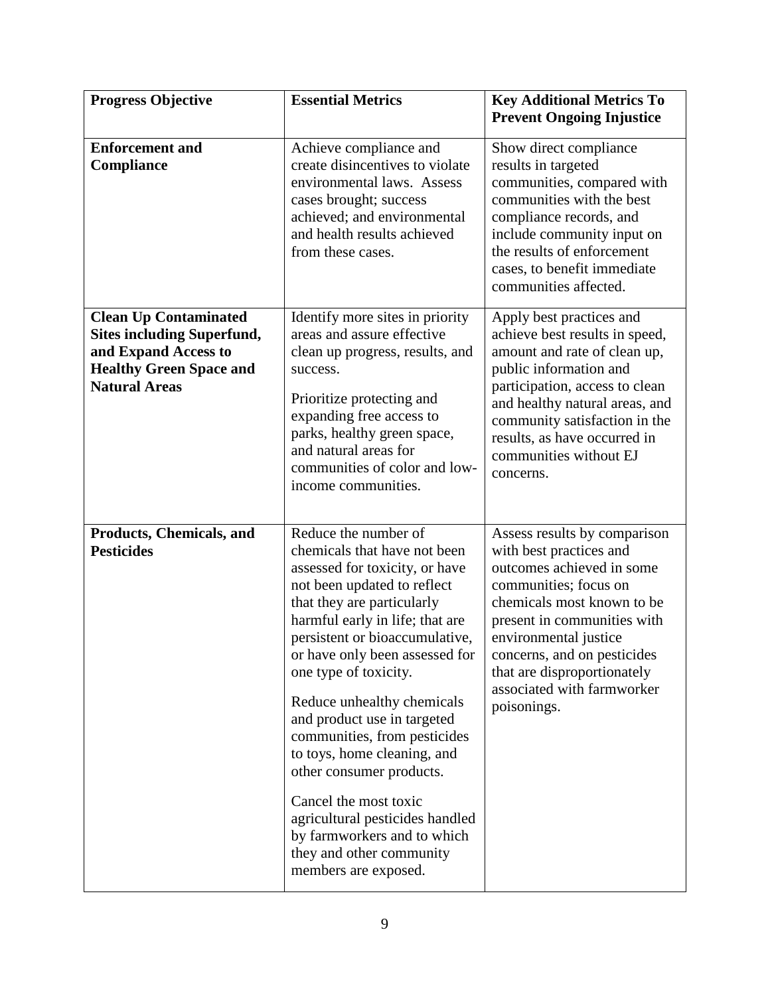| <b>Progress Objective</b>                                                                                                                           | <b>Essential Metrics</b>                                                                                                                                                                                                                                                                                                                                                                                                                                                                                                                                                                   | <b>Key Additional Metrics To</b><br><b>Prevent Ongoing Injustice</b>                                                                                                                                                                                                                                           |
|-----------------------------------------------------------------------------------------------------------------------------------------------------|--------------------------------------------------------------------------------------------------------------------------------------------------------------------------------------------------------------------------------------------------------------------------------------------------------------------------------------------------------------------------------------------------------------------------------------------------------------------------------------------------------------------------------------------------------------------------------------------|----------------------------------------------------------------------------------------------------------------------------------------------------------------------------------------------------------------------------------------------------------------------------------------------------------------|
| <b>Enforcement and</b><br>Compliance                                                                                                                | Achieve compliance and<br>create disincentives to violate<br>environmental laws. Assess<br>cases brought; success<br>achieved; and environmental<br>and health results achieved<br>from these cases.                                                                                                                                                                                                                                                                                                                                                                                       | Show direct compliance<br>results in targeted<br>communities, compared with<br>communities with the best<br>compliance records, and<br>include community input on<br>the results of enforcement<br>cases, to benefit immediate<br>communities affected.                                                        |
| <b>Clean Up Contaminated</b><br><b>Sites including Superfund,</b><br>and Expand Access to<br><b>Healthy Green Space and</b><br><b>Natural Areas</b> | Identify more sites in priority<br>areas and assure effective<br>clean up progress, results, and<br>success.<br>Prioritize protecting and<br>expanding free access to<br>parks, healthy green space,<br>and natural areas for<br>communities of color and low-<br>income communities.                                                                                                                                                                                                                                                                                                      | Apply best practices and<br>achieve best results in speed,<br>amount and rate of clean up,<br>public information and<br>participation, access to clean<br>and healthy natural areas, and<br>community satisfaction in the<br>results, as have occurred in<br>communities without EJ<br>concerns.               |
| Products, Chemicals, and<br><b>Pesticides</b>                                                                                                       | Reduce the number of<br>chemicals that have not been<br>assessed for toxicity, or have<br>not been updated to reflect<br>that they are particularly<br>harmful early in life; that are<br>persistent or bioaccumulative,<br>or have only been assessed for<br>one type of toxicity.<br>Reduce unhealthy chemicals<br>and product use in targeted<br>communities, from pesticides<br>to toys, home cleaning, and<br>other consumer products.<br>Cancel the most toxic<br>agricultural pesticides handled<br>by farmworkers and to which<br>they and other community<br>members are exposed. | Assess results by comparison<br>with best practices and<br>outcomes achieved in some<br>communities; focus on<br>chemicals most known to be<br>present in communities with<br>environmental justice<br>concerns, and on pesticides<br>that are disproportionately<br>associated with farmworker<br>poisonings. |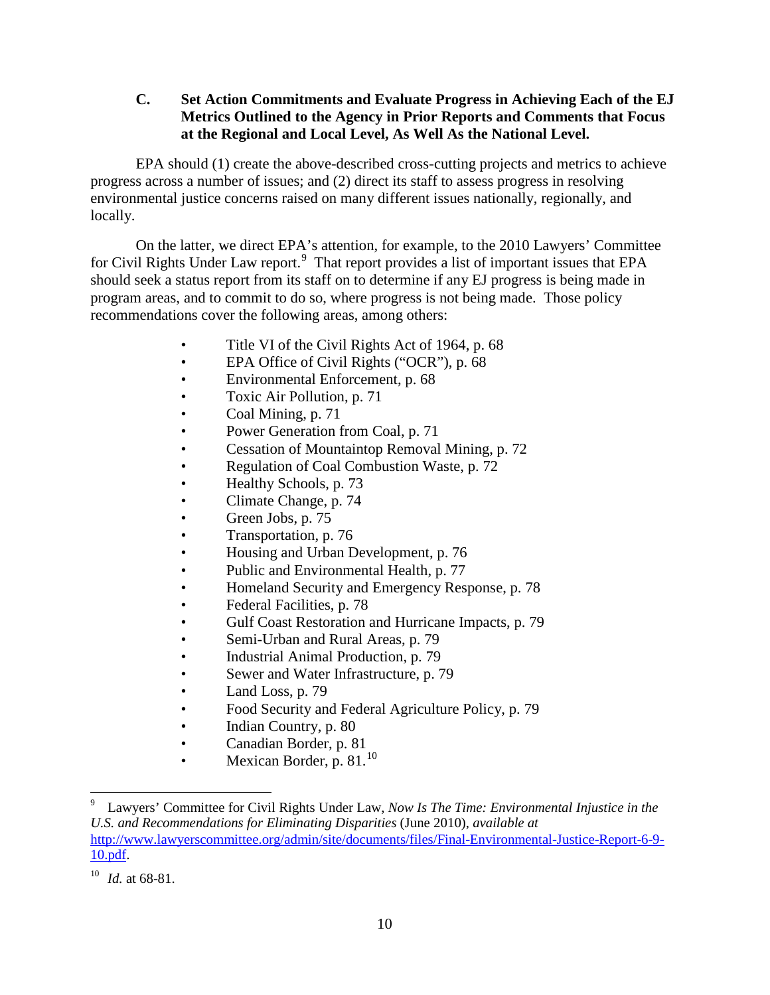<span id="page-9-0"></span>**C. Set Action Commitments and Evaluate Progress in Achieving Each of the EJ Metrics Outlined to the Agency in Prior Reports and Comments that Focus at the Regional and Local Level, As Well As the National Level.**

EPA should (1) create the above-described cross-cutting projects and metrics to achieve progress across a number of issues; and (2) direct its staff to assess progress in resolving environmental justice concerns raised on many different issues nationally, regionally, and locally.

On the latter, we direct EPA's attention, for example, to the 2010 Lawyers' Committee for Civil Rights Under Law report.<sup>[9](#page-9-1)</sup> That report provides a list of important issues that EPA should seek a status report from its staff on to determine if any EJ progress is being made in program areas, and to commit to do so, where progress is not being made. Those policy recommendations cover the following areas, among others:

- Title VI of the Civil Rights Act of 1964, p. 68
- EPA Office of Civil Rights ("OCR"), p. 68
- Environmental Enforcement, p. 68
- Toxic Air Pollution, p. 71
- Coal Mining, p. 71
- Power Generation from Coal, p. 71
- Cessation of Mountaintop Removal Mining, p. 72
- Regulation of Coal Combustion Waste, p. 72
- Healthy Schools, p. 73
- Climate Change, p. 74
- Green Jobs, p. 75
- Transportation, p. 76
- Housing and Urban Development, p. 76
- Public and Environmental Health, p. 77
- Homeland Security and Emergency Response, p. 78
- Federal Facilities, p. 78
- Gulf Coast Restoration and Hurricane Impacts, p. 79
- Semi-Urban and Rural Areas, p. 79
- Industrial Animal Production, p. 79
- Sewer and Water Infrastructure, p. 79
- Land Loss, p. 79
- Food Security and Federal Agriculture Policy, p. 79
- Indian Country, p. 80
- Canadian Border, p. 81
- Mexican Border, p.  $81.<sup>10</sup>$  $81.<sup>10</sup>$  $81.<sup>10</sup>$

<span id="page-9-1"></span> <sup>9</sup> Lawyers' Committee for Civil Rights Under Law, *Now Is The Time: Environmental Injustice in the U.S. and Recommendations for Eliminating Disparities* (June 2010), *available at*  [http://www.lawyerscommittee.org/admin/site/documents/files/Final-Environmental-Justice-Report-6-9-](http://www.lawyerscommittee.org/admin/site/documents/files/Final-Environmental-Justice-Report-6-9-10.pdf) [10.pdf.](http://www.lawyerscommittee.org/admin/site/documents/files/Final-Environmental-Justice-Report-6-9-10.pdf)

<span id="page-9-2"></span> $^{10}$  *Id.* at 68-81.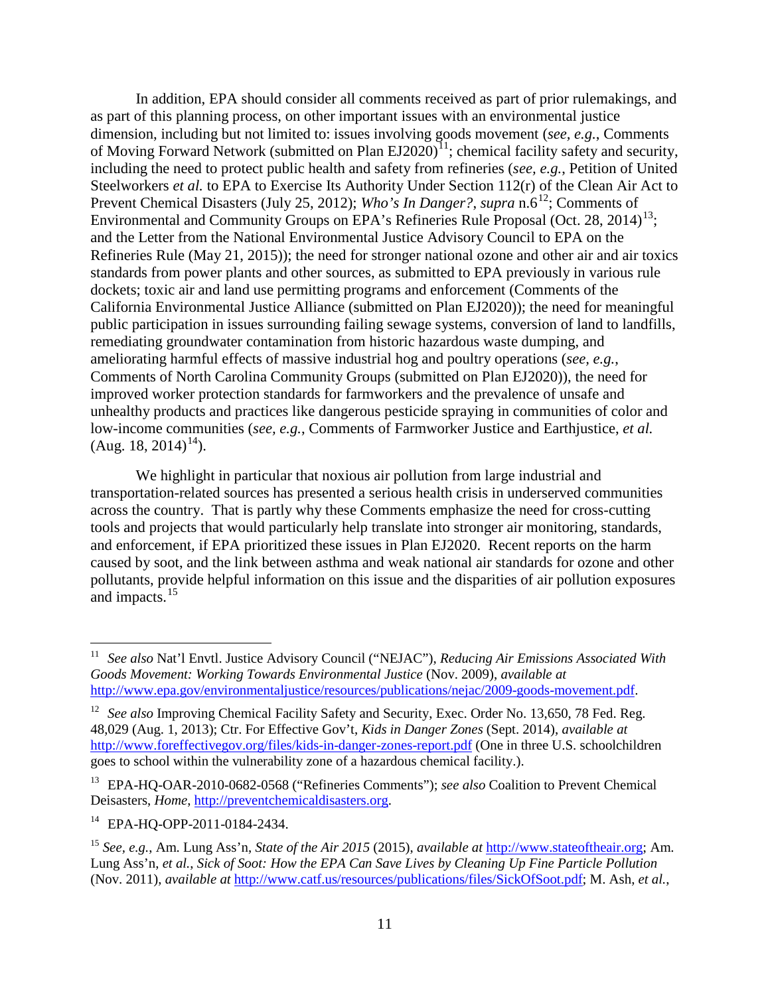<span id="page-10-6"></span>In addition, EPA should consider all comments received as part of prior rulemakings, and as part of this planning process, on other important issues with an environmental justice dimension, including but not limited to: issues involving goods movement (*see, e.g.*, Comments of Moving Forward Network (submitted on Plan EJ2020)<sup>[11](#page-10-0)</sup>; chemical facility safety and security, including the need to protect public health and safety from refineries (*see, e.g.*, Petition of United Steelworkers *et al.* to EPA to Exercise Its Authority Under Section 112(r) of the Clean Air Act to Prevent Chemical Disasters (July 25, 20[12](#page-10-1)); *Who's In Danger?*, *supra* n[.6](#page-5-2)<sup>12</sup>; Comments of Environmental and Community Groups on EPA's Refineries Rule Proposal (Oct. 28, 2014)<sup>13</sup>; and the Letter from the National Environmental Justice Advisory Council to EPA on the Refineries Rule (May 21, 2015)); the need for stronger national ozone and other air and air toxics standards from power plants and other sources, as submitted to EPA previously in various rule dockets; toxic air and land use permitting programs and enforcement (Comments of the California Environmental Justice Alliance (submitted on Plan EJ2020)); the need for meaningful public participation in issues surrounding failing sewage systems, conversion of land to landfills, remediating groundwater contamination from historic hazardous waste dumping, and ameliorating harmful effects of massive industrial hog and poultry operations (*see, e.g.*, Comments of North Carolina Community Groups (submitted on Plan EJ2020)), the need for improved worker protection standards for farmworkers and the prevalence of unsafe and unhealthy products and practices like dangerous pesticide spraying in communities of color and low-income communities (*see, e.g.*, Comments of Farmworker Justice and Earthjustice, *et al.*  $(Aug. 18, 2014)^{14}$  $(Aug. 18, 2014)^{14}$  $(Aug. 18, 2014)^{14}$ ).

We highlight in particular that noxious air pollution from large industrial and transportation-related sources has presented a serious health crisis in underserved communities across the country. That is partly why these Comments emphasize the need for cross-cutting tools and projects that would particularly help translate into stronger air monitoring, standards, and enforcement, if EPA prioritized these issues in Plan EJ2020. Recent reports on the harm caused by soot, and the link between asthma and weak national air standards for ozone and other pollutants, provide helpful information on this issue and the disparities of air pollution exposures and impacts.<sup>[15](#page-10-4)</sup>

<span id="page-10-5"></span><span id="page-10-0"></span> <sup>11</sup> *See also* Nat'l Envtl. Justice Advisory Council ("NEJAC"), *Reducing Air Emissions Associated With Goods Movement: Working Towards Environmental Justice* (Nov. 2009), *available at* [http://www.epa.gov/environmentaljustice/resources/publications/nejac/2009-goods-movement.pdf.](http://www.epa.gov/environmentaljustice/resources/publications/nejac/2009-goods-movement.pdf)

<span id="page-10-1"></span><sup>&</sup>lt;sup>12</sup> *See also* Improving Chemical Facility Safety and Security, Exec. Order No. 13,650, 78 Fed. Reg. 48,029 (Aug. 1, 2013); Ctr. For Effective Gov't, *Kids in Danger Zones* (Sept. 2014), *available at* <http://www.foreffectivegov.org/files/kids-in-danger-zones-report.pdf> (One in three U.S. schoolchildren goes to school within the vulnerability zone of a hazardous chemical facility.).

<span id="page-10-2"></span><sup>13</sup> EPA-HQ-OAR-2010-0682-0568 ("Refineries Comments"); *see also* Coalition to Prevent Chemical Deisasters, *Home*, [http://preventchemicaldisasters.org.](http://preventchemicaldisasters.org/)

<span id="page-10-3"></span><sup>&</sup>lt;sup>14</sup> EPA-HO-OPP-2011-0184-2434.

<span id="page-10-4"></span><sup>15</sup> *See, e.g.*, Am. Lung Ass'n, *State of the Air 2015* (2015), *available at* [http://www.stateoftheair.org;](http://www.stateoftheair.org/) Am. Lung Ass'n, *et al.*, *Sick of Soot: How the EPA Can Save Lives by Cleaning Up Fine Particle Pollution* (Nov. 2011), *available at* [http://www.catf.us/resources/publications/files/SickOfSoot.pdf;](http://www.catf.us/resources/publications/files/SickOfSoot.pdf) M. Ash, *et al.*,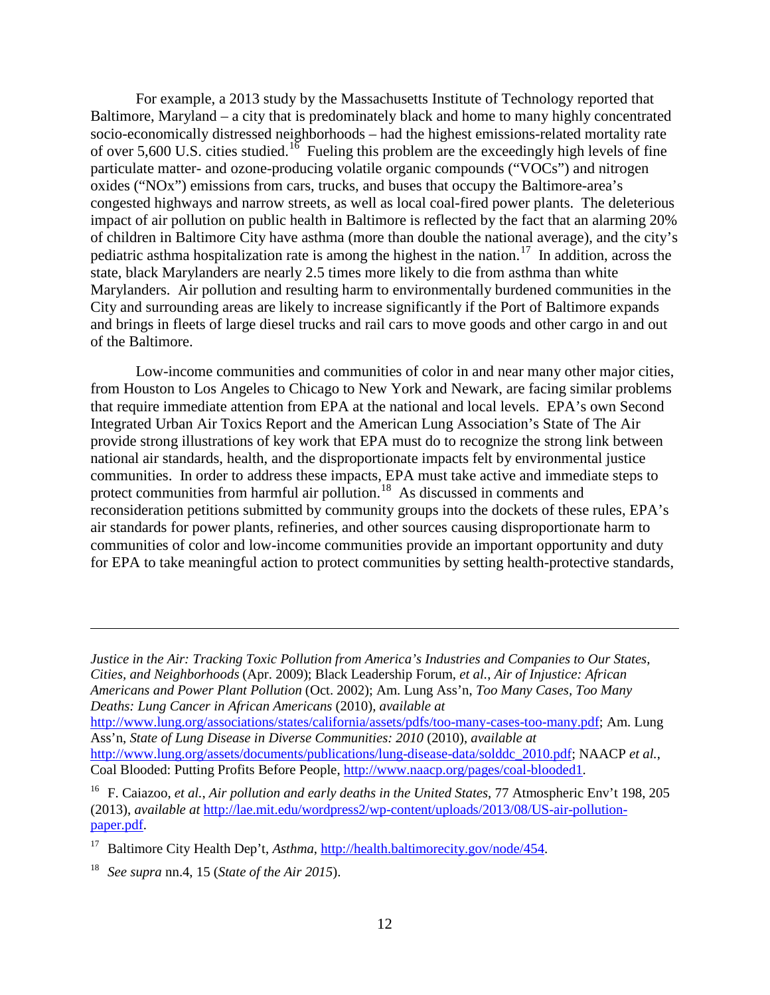For example, a 2013 study by the Massachusetts Institute of Technology reported that Baltimore, Maryland – a city that is predominately black and home to many highly concentrated socio-economically distressed neighborhoods – had the highest emissions-related mortality rate of over 5,600 U.S. cities studied.<sup>[16](#page-11-0)</sup> Fueling this problem are the exceedingly high levels of fine particulate matter- and ozone-producing volatile organic compounds ("VOCs") and nitrogen oxides ("NOx") emissions from cars, trucks, and buses that occupy the Baltimore-area's congested highways and narrow streets, as well as local coal-fired power plants. The deleterious impact of air pollution on public health in Baltimore is reflected by the fact that an alarming 20% of children in Baltimore City have asthma (more than double the national average), and the city's pediatric asthma hospitalization rate is among the highest in the nation.<sup>[17](#page-11-1)</sup> In addition, across the state, black Marylanders are nearly 2.5 times more likely to die from asthma than white Marylanders. Air pollution and resulting harm to environmentally burdened communities in the City and surrounding areas are likely to increase significantly if the Port of Baltimore expands and brings in fleets of large diesel trucks and rail cars to move goods and other cargo in and out of the Baltimore.

Low-income communities and communities of color in and near many other major cities, from Houston to Los Angeles to Chicago to New York and Newark, are facing similar problems that require immediate attention from EPA at the national and local levels. EPA's own Second Integrated Urban Air Toxics Report and the American Lung Association's State of The Air provide strong illustrations of key work that EPA must do to recognize the strong link between national air standards, health, and the disproportionate impacts felt by environmental justice communities. In order to address these impacts, EPA must take active and immediate steps to protect communities from harmful air pollution.<sup>[18](#page-11-2)</sup> As discussed in comments and reconsideration petitions submitted by community groups into the dockets of these rules, EPA's air standards for power plants, refineries, and other sources causing disproportionate harm to communities of color and low-income communities provide an important opportunity and duty for EPA to take meaningful action to protect communities by setting health-protective standards,

*Justice in the Air: Tracking Toxic Pollution from America's Industries and Companies to Our States, Cities, and Neighborhoods* (Apr. 2009); Black Leadership Forum, *et al.*, *Air of Injustice: African Americans and Power Plant Pollution* (Oct. 2002); Am. Lung Ass'n, *Too Many Cases, Too Many Deaths: Lung Cancer in African Americans* (2010), *available at* [http://www.lung.org/associations/states/california/assets/pdfs/too-many-cases-too-many.pdf;](http://www.lung.org/associations/states/california/assets/pdfs/too-many-cases-too-many.pdf) Am. Lung Ass'n, *State of Lung Disease in Diverse Communities: 2010* (2010), *available at* [http://www.lung.org/assets/documents/publications/lung-disease-data/solddc\\_2010.pdf;](http://www.lung.org/assets/documents/publications/lung-disease-data/solddc_2010.pdf) NAACP *et al.*, Coal Blooded: Putting Profits Before People, [http://www.naacp.org/pages/coal-blooded1.](http://www.naacp.org/pages/coal-blooded1)

<span id="page-11-0"></span><sup>16</sup> F. Caiazoo, *et al.*, *Air pollution and early deaths in the United States*, 77 Atmospheric Env't 198, 205 (2013), *available at* [http://lae.mit.edu/wordpress2/wp-content/uploads/2013/08/US-air-pollution](http://lae.mit.edu/wordpress2/wp-content/uploads/2013/08/US-air-pollution-paper.pdf)[paper.pdf.](http://lae.mit.edu/wordpress2/wp-content/uploads/2013/08/US-air-pollution-paper.pdf)

<span id="page-11-1"></span><sup>17</sup> Baltimore City Health Dep't, *Asthma*, [http://health.baltimorecity.gov/node/454.](http://health.baltimorecity.gov/node/454)

 $\overline{a}$ 

<span id="page-11-2"></span><sup>18</sup> *See supra* nn[.4,](#page-4-3) [15](#page-10-5) (*State of the Air 2015*).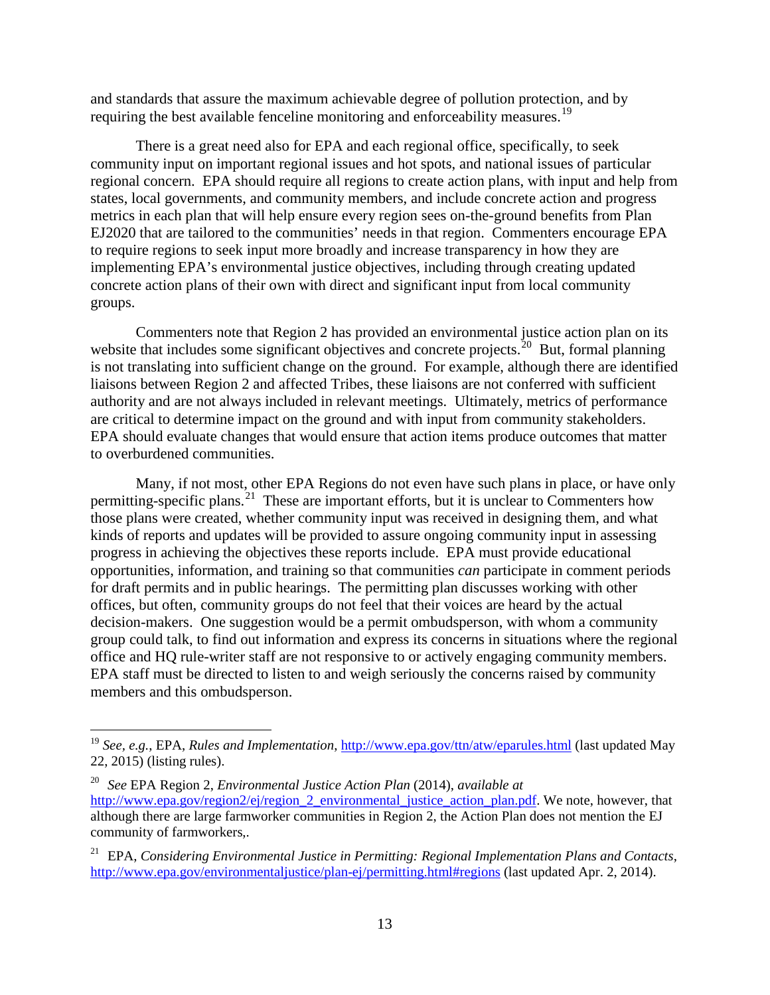and standards that assure the maximum achievable degree of pollution protection, and by requiring the best available fenceline monitoring and enforceability measures.<sup>[19](#page-12-0)</sup>

There is a great need also for EPA and each regional office, specifically, to seek community input on important regional issues and hot spots, and national issues of particular regional concern. EPA should require all regions to create action plans, with input and help from states, local governments, and community members, and include concrete action and progress metrics in each plan that will help ensure every region sees on-the-ground benefits from Plan EJ2020 that are tailored to the communities' needs in that region. Commenters encourage EPA to require regions to seek input more broadly and increase transparency in how they are implementing EPA's environmental justice objectives, including through creating updated concrete action plans of their own with direct and significant input from local community groups.

Commenters note that Region 2 has provided an environmental justice action plan on its website that includes some significant objectives and concrete projects.<sup>[20](#page-12-1)</sup> But, formal planning is not translating into sufficient change on the ground. For example, although there are identified liaisons between Region 2 and affected Tribes, these liaisons are not conferred with sufficient authority and are not always included in relevant meetings. Ultimately, metrics of performance are critical to determine impact on the ground and with input from community stakeholders. EPA should evaluate changes that would ensure that action items produce outcomes that matter to overburdened communities.

Many, if not most, other EPA Regions do not even have such plans in place, or have only permitting-specific plans.<sup>[21](#page-12-2)</sup> These are important efforts, but it is unclear to Commenters how those plans were created, whether community input was received in designing them, and what kinds of reports and updates will be provided to assure ongoing community input in assessing progress in achieving the objectives these reports include. EPA must provide educational opportunities, information, and training so that communities *can* participate in comment periods for draft permits and in public hearings. The permitting plan discusses working with other offices, but often, community groups do not feel that their voices are heard by the actual decision-makers. One suggestion would be a permit ombudsperson, with whom a community group could talk, to find out information and express its concerns in situations where the regional office and HQ rule-writer staff are not responsive to or actively engaging community members. EPA staff must be directed to listen to and weigh seriously the concerns raised by community members and this ombudsperson.

<span id="page-12-0"></span> <sup>19</sup> *See, e.g.*, EPA, *Rules and Implementation*,<http://www.epa.gov/ttn/atw/eparules.html> (last updated May 22, 2015) (listing rules).

<span id="page-12-1"></span><sup>20</sup> *See* EPA Region 2, *Environmental Justice Action Plan* (2014), *available at*  [http://www.epa.gov/region2/ej/region\\_2\\_environmental\\_justice\\_action\\_plan.pdf.](http://www.epa.gov/region2/ej/region_2_environmental_justice_action_plan.pdf) We note, however, that although there are large farmworker communities in Region 2, the Action Plan does not mention the EJ community of farmworkers,.

<span id="page-12-2"></span><sup>21</sup> EPA, *Considering Environmental Justice in Permitting: Regional Implementation Plans and Contacts*, [http://www.epa.gov/environmentaljustice/plan-ej/permitting.html#regions](http://www.epa.gov/environmentaljustice/plan-ej/permitting.html%23regions) (last updated Apr. 2, 2014).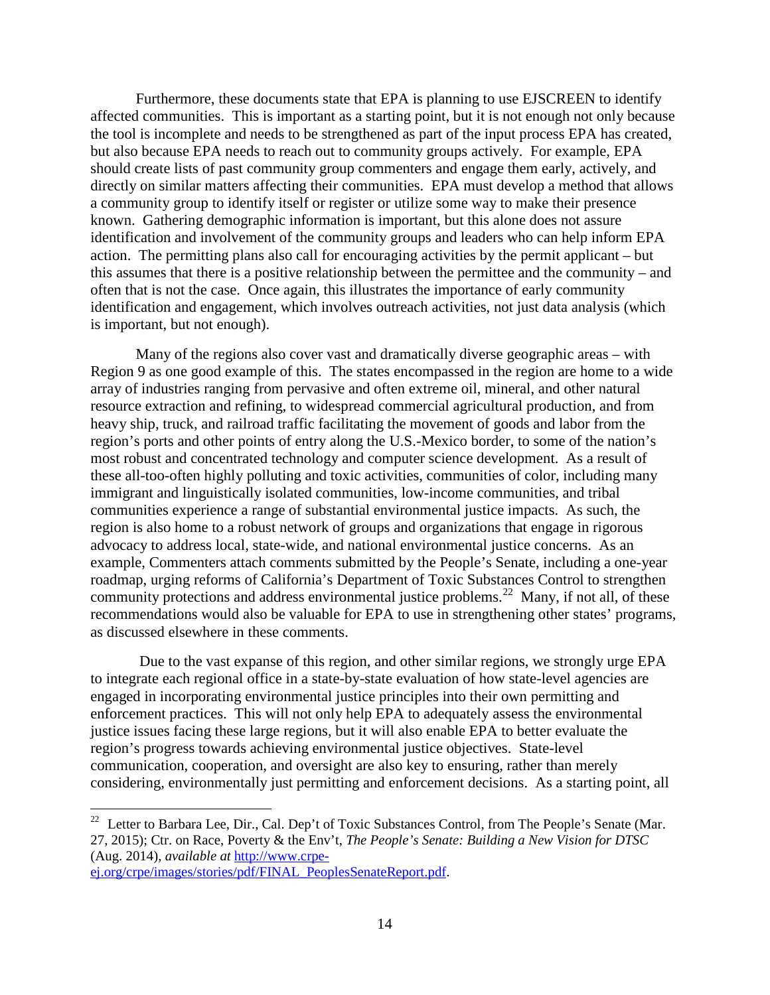Furthermore, these documents state that EPA is planning to use EJSCREEN to identify affected communities. This is important as a starting point, but it is not enough not only because the tool is incomplete and needs to be strengthened as part of the input process EPA has created, but also because EPA needs to reach out to community groups actively. For example, EPA should create lists of past community group commenters and engage them early, actively, and directly on similar matters affecting their communities. EPA must develop a method that allows a community group to identify itself or register or utilize some way to make their presence known. Gathering demographic information is important, but this alone does not assure identification and involvement of the community groups and leaders who can help inform EPA action. The permitting plans also call for encouraging activities by the permit applicant – but this assumes that there is a positive relationship between the permittee and the community – and often that is not the case. Once again, this illustrates the importance of early community identification and engagement, which involves outreach activities, not just data analysis (which is important, but not enough).

Many of the regions also cover vast and dramatically diverse geographic areas – with Region 9 as one good example of this. The states encompassed in the region are home to a wide array of industries ranging from pervasive and often extreme oil, mineral, and other natural resource extraction and refining, to widespread commercial agricultural production, and from heavy ship, truck, and railroad traffic facilitating the movement of goods and labor from the region's ports and other points of entry along the U.S.-Mexico border, to some of the nation's most robust and concentrated technology and computer science development. As a result of these all-too-often highly polluting and toxic activities, communities of color, including many immigrant and linguistically isolated communities, low-income communities, and tribal communities experience a range of substantial environmental justice impacts. As such, the region is also home to a robust network of groups and organizations that engage in rigorous advocacy to address local, state-wide, and national environmental justice concerns. As an example, Commenters attach comments submitted by the People's Senate, including a one-year roadmap, urging reforms of California's Department of Toxic Substances Control to strengthen community protections and address environmental justice problems.<sup>[22](#page-13-0)</sup> Many, if not all, of these recommendations would also be valuable for EPA to use in strengthening other states' programs, as discussed elsewhere in these comments.

Due to the vast expanse of this region, and other similar regions, we strongly urge EPA to integrate each regional office in a state-by-state evaluation of how state-level agencies are engaged in incorporating environmental justice principles into their own permitting and enforcement practices. This will not only help EPA to adequately assess the environmental justice issues facing these large regions, but it will also enable EPA to better evaluate the region's progress towards achieving environmental justice objectives. State-level communication, cooperation, and oversight are also key to ensuring, rather than merely considering, environmentally just permitting and enforcement decisions. As a starting point, all

<span id="page-13-0"></span><sup>&</sup>lt;sup>22</sup> Letter to Barbara Lee, Dir., Cal. Dep't of Toxic Substances Control, from The People's Senate (Mar. 27, 2015); Ctr. on Race, Poverty & the Env't, *The People's Senate: Building a New Vision for DTSC* (Aug. 2014), *available at* [http://www.crpe-](http://www.crpe-ej.org/crpe/images/stories/pdf/FINAL_PeoplesSenateReport.pdf)

[ej.org/crpe/images/stories/pdf/FINAL\\_PeoplesSenateReport.pdf.](http://www.crpe-ej.org/crpe/images/stories/pdf/FINAL_PeoplesSenateReport.pdf)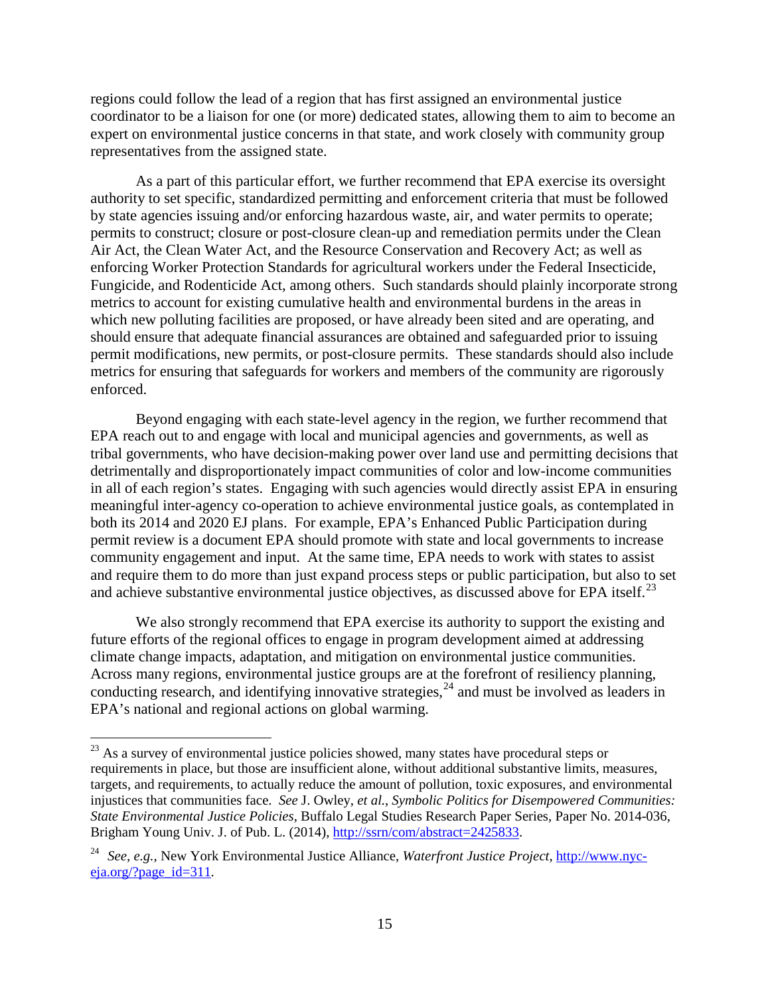regions could follow the lead of a region that has first assigned an environmental justice coordinator to be a liaison for one (or more) dedicated states, allowing them to aim to become an expert on environmental justice concerns in that state, and work closely with community group representatives from the assigned state.

As a part of this particular effort, we further recommend that EPA exercise its oversight authority to set specific, standardized permitting and enforcement criteria that must be followed by state agencies issuing and/or enforcing hazardous waste, air, and water permits to operate; permits to construct; closure or post-closure clean-up and remediation permits under the Clean Air Act, the Clean Water Act, and the Resource Conservation and Recovery Act; as well as enforcing Worker Protection Standards for agricultural workers under the Federal Insecticide, Fungicide, and Rodenticide Act, among others. Such standards should plainly incorporate strong metrics to account for existing cumulative health and environmental burdens in the areas in which new polluting facilities are proposed, or have already been sited and are operating, and should ensure that adequate financial assurances are obtained and safeguarded prior to issuing permit modifications, new permits, or post-closure permits. These standards should also include metrics for ensuring that safeguards for workers and members of the community are rigorously enforced.

Beyond engaging with each state-level agency in the region, we further recommend that EPA reach out to and engage with local and municipal agencies and governments, as well as tribal governments, who have decision-making power over land use and permitting decisions that detrimentally and disproportionately impact communities of color and low-income communities in all of each region's states. Engaging with such agencies would directly assist EPA in ensuring meaningful inter-agency co-operation to achieve environmental justice goals, as contemplated in both its 2014 and 2020 EJ plans. For example, EPA's Enhanced Public Participation during permit review is a document EPA should promote with state and local governments to increase community engagement and input. At the same time, EPA needs to work with states to assist and require them to do more than just expand process steps or public participation, but also to set and achieve substantive environmental justice objectives, as discussed above for EPA itself.<sup>[23](#page-14-0)</sup>

<span id="page-14-2"></span>We also strongly recommend that EPA exercise its authority to support the existing and future efforts of the regional offices to engage in program development aimed at addressing climate change impacts, adaptation, and mitigation on environmental justice communities. Across many regions, environmental justice groups are at the forefront of resiliency planning, conducting research, and identifying innovative strategies,  $^{24}$  $^{24}$  $^{24}$  and must be involved as leaders in EPA's national and regional actions on global warming.

<span id="page-14-0"></span><sup>&</sup>lt;sup>23</sup> As a survey of environmental justice policies showed, many states have procedural steps or requirements in place, but those are insufficient alone, without additional substantive limits, measures, targets, and requirements, to actually reduce the amount of pollution, toxic exposures, and environmental injustices that communities face. *See* J. Owley, *et al.*, *Symbolic Politics for Disempowered Communities: State Environmental Justice Policies*, Buffalo Legal Studies Research Paper Series, Paper No. 2014-036, Brigham Young Univ. J. of Pub. L. (2014), [http://ssrn/com/abstract=2425833.](http://ssrn/com/abstract=2425833)

<span id="page-14-1"></span><sup>24</sup> *See, e.g.*, New York Environmental Justice Alliance, *Waterfront Justice Project*, [http://www.nyc](http://www.nyc-eja.org/?page_id=311)[eja.org/?page\\_id=311.](http://www.nyc-eja.org/?page_id=311)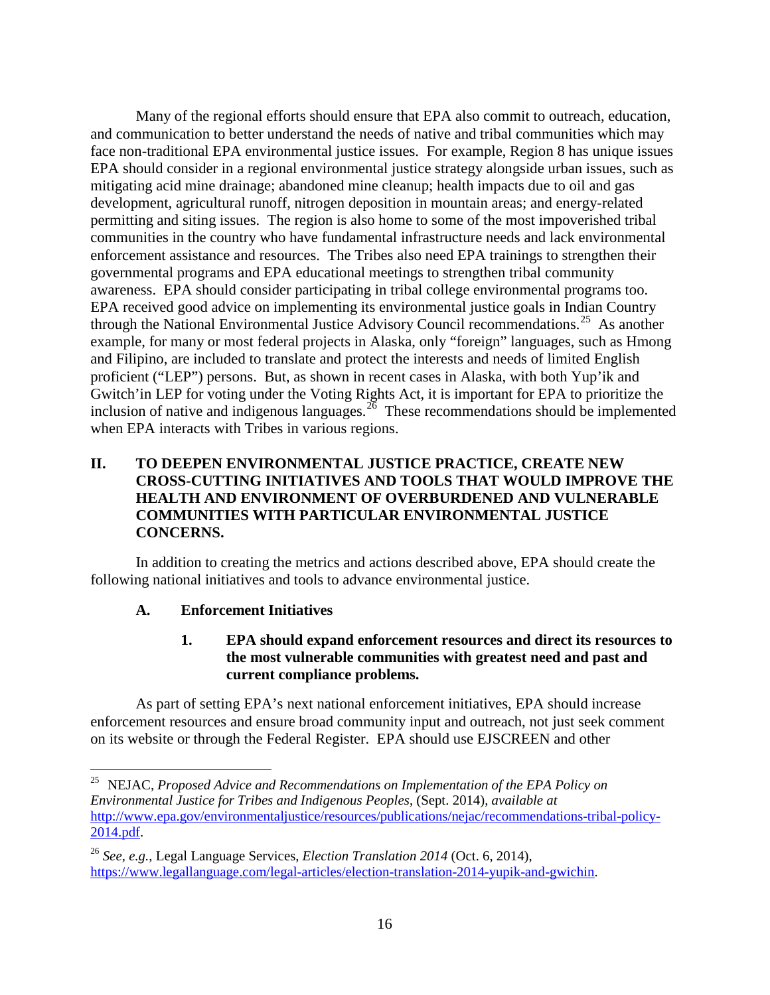Many of the regional efforts should ensure that EPA also commit to outreach, education, and communication to better understand the needs of native and tribal communities which may face non-traditional EPA environmental justice issues. For example, Region 8 has unique issues EPA should consider in a regional environmental justice strategy alongside urban issues, such as mitigating acid mine drainage; abandoned mine cleanup; health impacts due to oil and gas development, agricultural runoff, nitrogen deposition in mountain areas; and energy-related permitting and siting issues. The region is also home to some of the most impoverished tribal communities in the country who have fundamental infrastructure needs and lack environmental enforcement assistance and resources. The Tribes also need EPA trainings to strengthen their governmental programs and EPA educational meetings to strengthen tribal community awareness. EPA should consider participating in tribal college environmental programs too. EPA received good advice on implementing its environmental justice goals in Indian Country through the National Environmental Justice Advisory Council recommendations.<sup>25</sup> As another example, for many or most federal projects in Alaska, only "foreign" languages, such as Hmong and Filipino, are included to translate and protect the interests and needs of limited English proficient ("LEP") persons. But, as shown in recent cases in Alaska, with both Yup'ik and Gwitch'in LEP for voting under the Voting Rights Act, it is important for EPA to prioritize the inclusion of native and indigenous languages.<sup>[26](#page-15-4)</sup> These recommendations should be implemented when EPA interacts with Tribes in various regions.

# <span id="page-15-0"></span>**II. TO DEEPEN ENVIRONMENTAL JUSTICE PRACTICE, CREATE NEW CROSS-CUTTING INITIATIVES AND TOOLS THAT WOULD IMPROVE THE HEALTH AND ENVIRONMENT OF OVERBURDENED AND VULNERABLE COMMUNITIES WITH PARTICULAR ENVIRONMENTAL JUSTICE CONCERNS.**

<span id="page-15-1"></span>In addition to creating the metrics and actions described above, EPA should create the following national initiatives and tools to advance environmental justice.

# <span id="page-15-2"></span>**A. Enforcement Initiatives**

# **1. EPA should expand enforcement resources and direct its resources to the most vulnerable communities with greatest need and past and current compliance problems.**

As part of setting EPA's next national enforcement initiatives, EPA should increase enforcement resources and ensure broad community input and outreach, not just seek comment on its website or through the Federal Register. EPA should use EJSCREEN and other

<span id="page-15-3"></span> <sup>25</sup> NEJAC, *Proposed Advice and Recommendations on Implementation of the EPA Policy on Environmental Justice for Tribes and Indigenous Peoples*, (Sept. 2014), *available at* [http://www.epa.gov/environmentaljustice/resources/publications/nejac/recommendations-tribal-policy-](http://www.epa.gov/environmentaljustice/resources/publications/nejac/recommendations-tribal-policy-2014.pdf)[2014.pdf.](http://www.epa.gov/environmentaljustice/resources/publications/nejac/recommendations-tribal-policy-2014.pdf)

<span id="page-15-4"></span><sup>26</sup> *See, e.g.*, Legal Language Services, *Election Translation 2014* (Oct. 6, 2014), [https://www.legallanguage.com/legal-articles/election-translation-2014-yupik-and-gwichin.](https://www.legallanguage.com/legal-articles/election-translation-2014-yupik-and-gwichin)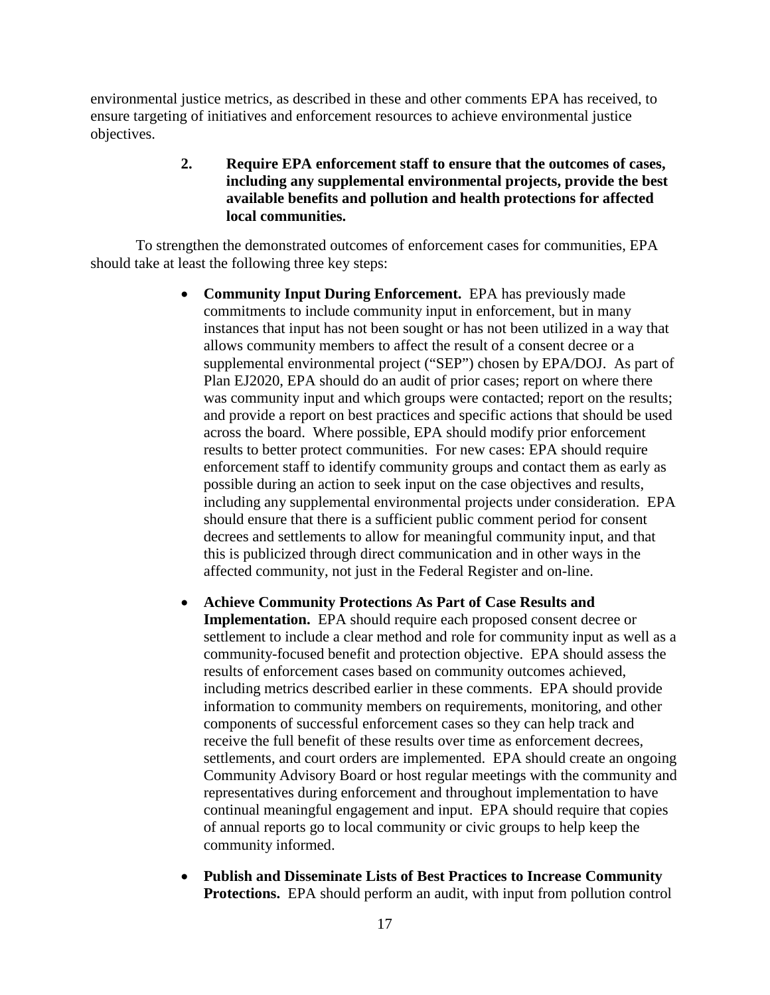<span id="page-16-0"></span>environmental justice metrics, as described in these and other comments EPA has received, to ensure targeting of initiatives and enforcement resources to achieve environmental justice objectives.

# **2. Require EPA enforcement staff to ensure that the outcomes of cases, including any supplemental environmental projects, provide the best available benefits and pollution and health protections for affected local communities.**

To strengthen the demonstrated outcomes of enforcement cases for communities, EPA should take at least the following three key steps:

- **Community Input During Enforcement.** EPA has previously made commitments to include community input in enforcement, but in many instances that input has not been sought or has not been utilized in a way that allows community members to affect the result of a consent decree or a supplemental environmental project ("SEP") chosen by EPA/DOJ. As part of Plan EJ2020, EPA should do an audit of prior cases; report on where there was community input and which groups were contacted; report on the results; and provide a report on best practices and specific actions that should be used across the board. Where possible, EPA should modify prior enforcement results to better protect communities. For new cases: EPA should require enforcement staff to identify community groups and contact them as early as possible during an action to seek input on the case objectives and results, including any supplemental environmental projects under consideration. EPA should ensure that there is a sufficient public comment period for consent decrees and settlements to allow for meaningful community input, and that this is publicized through direct communication and in other ways in the affected community, not just in the Federal Register and on-line.
- **Achieve Community Protections As Part of Case Results and Implementation.** EPA should require each proposed consent decree or settlement to include a clear method and role for community input as well as a community-focused benefit and protection objective. EPA should assess the results of enforcement cases based on community outcomes achieved, including metrics described earlier in these comments. EPA should provide information to community members on requirements, monitoring, and other components of successful enforcement cases so they can help track and receive the full benefit of these results over time as enforcement decrees, settlements, and court orders are implemented. EPA should create an ongoing Community Advisory Board or host regular meetings with the community and representatives during enforcement and throughout implementation to have continual meaningful engagement and input. EPA should require that copies of annual reports go to local community or civic groups to help keep the community informed.
- **Publish and Disseminate Lists of Best Practices to Increase Community Protections.** EPA should perform an audit, with input from pollution control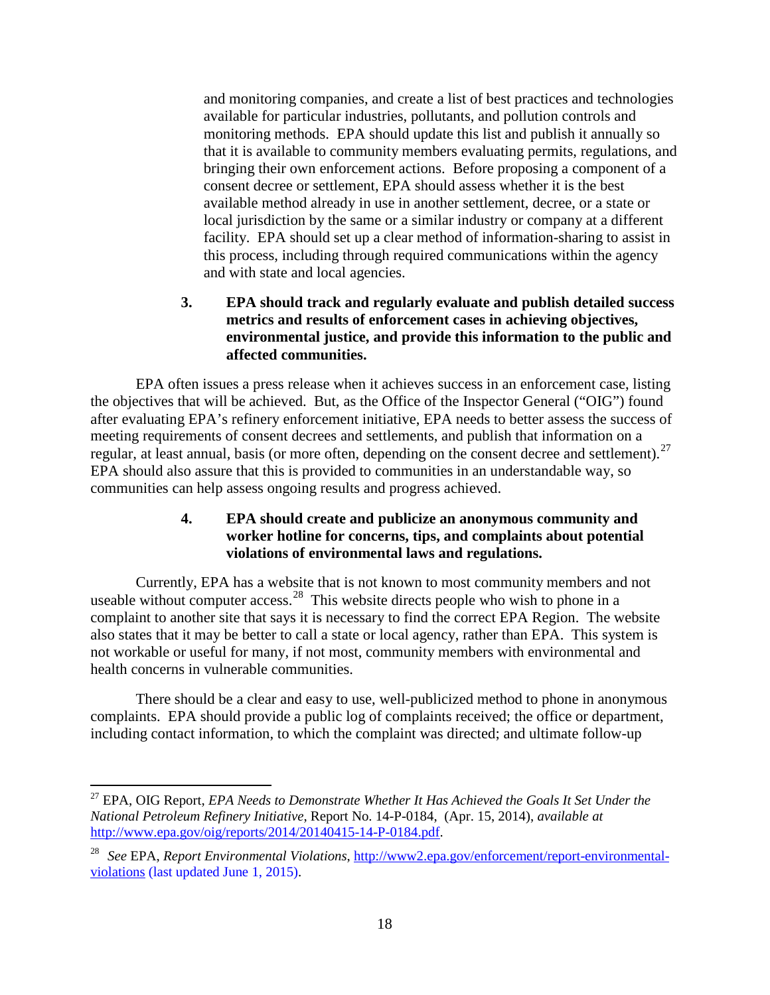and monitoring companies, and create a list of best practices and technologies available for particular industries, pollutants, and pollution controls and monitoring methods. EPA should update this list and publish it annually so that it is available to community members evaluating permits, regulations, and bringing their own enforcement actions. Before proposing a component of a consent decree or settlement, EPA should assess whether it is the best available method already in use in another settlement, decree, or a state or local jurisdiction by the same or a similar industry or company at a different facility. EPA should set up a clear method of information-sharing to assist in this process, including through required communications within the agency and with state and local agencies.

# **3. EPA should track and regularly evaluate and publish detailed success metrics and results of enforcement cases in achieving objectives, environmental justice, and provide this information to the public and affected communities.**

<span id="page-17-0"></span>EPA often issues a press release when it achieves success in an enforcement case, listing the objectives that will be achieved. But, as the Office of the Inspector General ("OIG") found after evaluating EPA's refinery enforcement initiative, EPA needs to better assess the success of meeting requirements of consent decrees and settlements, and publish that information on a regular, at least annual, basis (or more often, depending on the consent decree and settlement).<sup>27</sup> EPA should also assure that this is provided to communities in an understandable way, so communities can help assess ongoing results and progress achieved.

# **4. EPA should create and publicize an anonymous community and worker hotline for concerns, tips, and complaints about potential violations of environmental laws and regulations.**

<span id="page-17-1"></span>Currently, EPA has a website that is not known to most community members and not useable without computer  $access<sup>28</sup>$  $access<sup>28</sup>$  $access<sup>28</sup>$ . This website directs people who wish to phone in a complaint to another site that says it is necessary to find the correct EPA Region. The website also states that it may be better to call a state or local agency, rather than EPA. This system is not workable or useful for many, if not most, community members with environmental and health concerns in vulnerable communities.

There should be a clear and easy to use, well-publicized method to phone in anonymous complaints. EPA should provide a public log of complaints received; the office or department, including contact information, to which the complaint was directed; and ultimate follow-up

<span id="page-17-2"></span> <sup>27</sup> EPA, OIG Report, *EPA Needs to Demonstrate Whether It Has Achieved the Goals It Set Under the National Petroleum Refinery Initiative*, Report No. 14-P-0184, (Apr. 15, 2014), *available at*  [http://www.epa.gov/oig/reports/2014/20140415-14-P-0184.pdf.](http://www.epa.gov/oig/reports/2014/20140415-14-P-0184.pdf)

<span id="page-17-3"></span><sup>28</sup> *See* EPA, *Report Environmental Violations*, [http://www2.epa.gov/enforcement/report-environmental](http://www2.epa.gov/enforcement/report-environmental-violations)[violations](http://www2.epa.gov/enforcement/report-environmental-violations) (last updated June 1, 2015).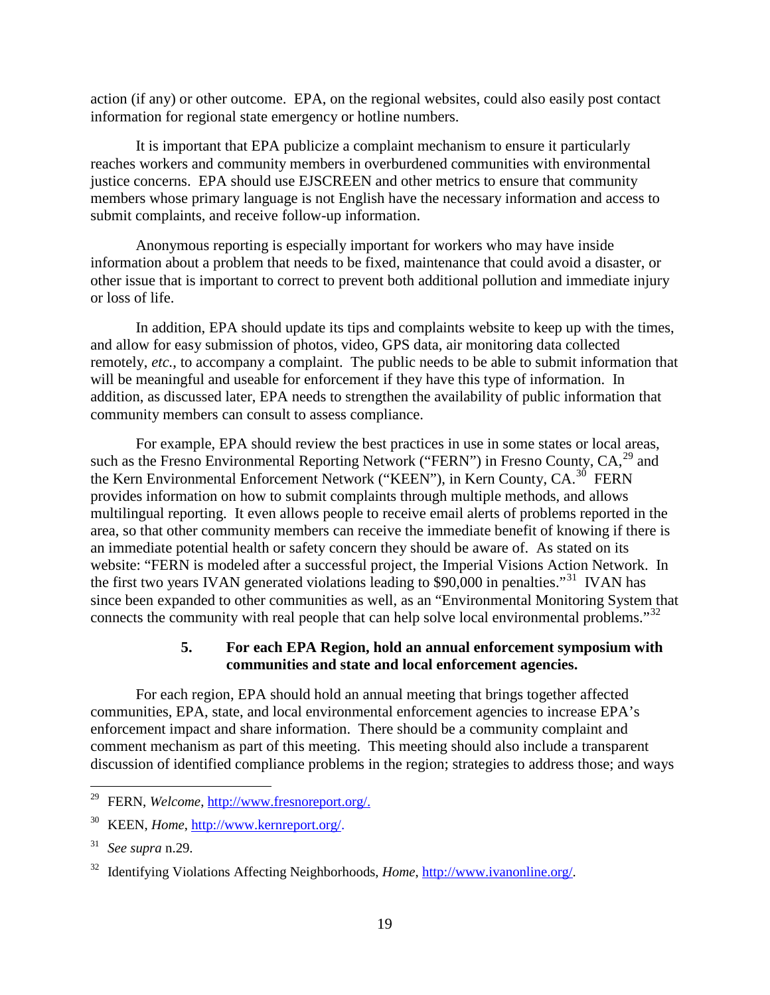action (if any) or other outcome. EPA, on the regional websites, could also easily post contact information for regional state emergency or hotline numbers.

It is important that EPA publicize a complaint mechanism to ensure it particularly reaches workers and community members in overburdened communities with environmental justice concerns. EPA should use EJSCREEN and other metrics to ensure that community members whose primary language is not English have the necessary information and access to submit complaints, and receive follow-up information.

Anonymous reporting is especially important for workers who may have inside information about a problem that needs to be fixed, maintenance that could avoid a disaster, or other issue that is important to correct to prevent both additional pollution and immediate injury or loss of life.

In addition, EPA should update its tips and complaints website to keep up with the times, and allow for easy submission of photos, video, GPS data, air monitoring data collected remotely, *etc.*, to accompany a complaint. The public needs to be able to submit information that will be meaningful and useable for enforcement if they have this type of information. In addition, as discussed later, EPA needs to strengthen the availability of public information that community members can consult to assess compliance.

For example, EPA should review the best practices in use in some states or local areas, such as the Fresno Environmental Reporting Network ("FERN") in Fresno County,  $CA<sub>2</sub><sup>29</sup>$  $CA<sub>2</sub><sup>29</sup>$  $CA<sub>2</sub><sup>29</sup>$  and the Kern Environmental Enforcement Network ("KEEN"), in Kern County, CA.<sup>30</sup> FERN provides information on how to submit complaints through multiple methods, and allows multilingual reporting. It even allows people to receive email alerts of problems reported in the area, so that other community members can receive the immediate benefit of knowing if there is an immediate potential health or safety concern they should be aware of. As stated on its website: "FERN is modeled after a successful project, the Imperial Visions Action Network. In the first two years IVAN generated violations leading to \$90,000 in penalties."<sup>[31](#page-18-4)</sup> IVAN has since been expanded to other communities as well, as an "Environmental Monitoring System that connects the community with real people that can help solve local environmental problems."<sup>[32](#page-18-5)</sup>

## <span id="page-18-1"></span>**5. For each EPA Region, hold an annual enforcement symposium with communities and state and local enforcement agencies.**

<span id="page-18-0"></span>For each region, EPA should hold an annual meeting that brings together affected communities, EPA, state, and local environmental enforcement agencies to increase EPA's enforcement impact and share information. There should be a community complaint and comment mechanism as part of this meeting. This meeting should also include a transparent discussion of identified compliance problems in the region; strategies to address those; and ways

<span id="page-18-2"></span> <sup>29</sup> FERN, *Welcome*, [http://www.fresnoreport.org/.](http://www.fresnoreport.org/)

<span id="page-18-3"></span><sup>30</sup> KEEN, *Home*, [http://www.kernreport.org/.](http://www.kernreport.org/)

<span id="page-18-4"></span><sup>31</sup> *See supra* [n.29.](#page-18-1)

<span id="page-18-5"></span><sup>32</sup> Identifying Violations Affecting Neighborhoods, *Home*[, http://www.ivanonline.org/.](http://www.ivanonline.org/)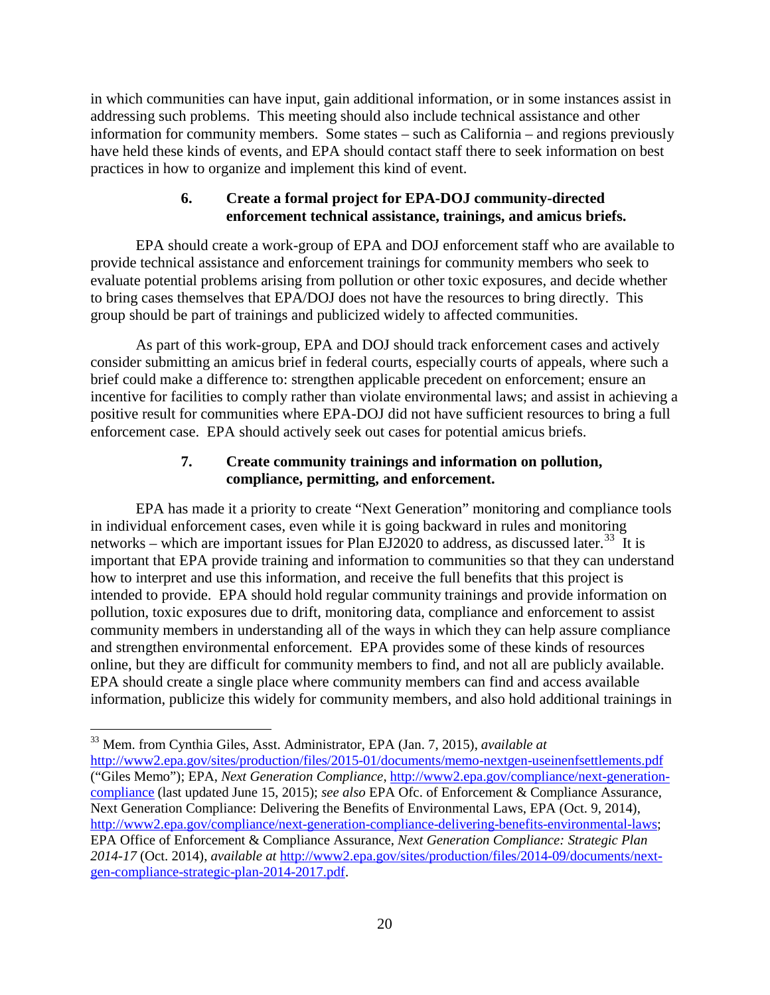in which communities can have input, gain additional information, or in some instances assist in addressing such problems. This meeting should also include technical assistance and other information for community members. Some states – such as California – and regions previously have held these kinds of events, and EPA should contact staff there to seek information on best practices in how to organize and implement this kind of event.

# **6. Create a formal project for EPA-DOJ community-directed enforcement technical assistance, trainings, and amicus briefs.**

<span id="page-19-0"></span>EPA should create a work-group of EPA and DOJ enforcement staff who are available to provide technical assistance and enforcement trainings for community members who seek to evaluate potential problems arising from pollution or other toxic exposures, and decide whether to bring cases themselves that EPA/DOJ does not have the resources to bring directly. This group should be part of trainings and publicized widely to affected communities.

As part of this work-group, EPA and DOJ should track enforcement cases and actively consider submitting an amicus brief in federal courts, especially courts of appeals, where such a brief could make a difference to: strengthen applicable precedent on enforcement; ensure an incentive for facilities to comply rather than violate environmental laws; and assist in achieving a positive result for communities where EPA-DOJ did not have sufficient resources to bring a full enforcement case. EPA should actively seek out cases for potential amicus briefs.

# <span id="page-19-3"></span>**7. Create community trainings and information on pollution, compliance, permitting, and enforcement.**

<span id="page-19-1"></span>EPA has made it a priority to create "Next Generation" monitoring and compliance tools in individual enforcement cases, even while it is going backward in rules and monitoring networks – which are important issues for Plan EJ2020 to address, as discussed later.<sup>[33](#page-19-2)</sup> It is important that EPA provide training and information to communities so that they can understand how to interpret and use this information, and receive the full benefits that this project is intended to provide. EPA should hold regular community trainings and provide information on pollution, toxic exposures due to drift, monitoring data, compliance and enforcement to assist community members in understanding all of the ways in which they can help assure compliance and strengthen environmental enforcement. EPA provides some of these kinds of resources online, but they are difficult for community members to find, and not all are publicly available. EPA should create a single place where community members can find and access available information, publicize this widely for community members, and also hold additional trainings in

<span id="page-19-2"></span> <sup>33</sup> Mem. from Cynthia Giles, Asst. Administrator, EPA (Jan. 7, 2015), *available at*

<http://www2.epa.gov/sites/production/files/2015-01/documents/memo-nextgen-useinenfsettlements.pdf> ("Giles Memo"); EPA, *Next Generation Compliance*, [http://www2.epa.gov/compliance/next-generation](http://www2.epa.gov/compliance/next-generation-compliance)[compliance](http://www2.epa.gov/compliance/next-generation-compliance) (last updated June 15, 2015); *see also* EPA Ofc. of Enforcement & Compliance Assurance, Next Generation Compliance: Delivering the Benefits of Environmental Laws, EPA (Oct. 9, 2014), [http://www2.epa.gov/compliance/next-generation-compliance-delivering-benefits-environmental-laws;](http://www2.epa.gov/compliance/next-generation-compliance-delivering-benefits-environmental-laws) EPA Office of Enforcement & Compliance Assurance, *Next Generation Compliance: Strategic Plan 2014-17* (Oct. 2014), *available at* [http://www2.epa.gov/sites/production/files/2014-09/documents/next](http://www2.epa.gov/sites/production/files/2014-09/documents/next-gen-compliance-strategic-plan-2014-2017.pdf)[gen-compliance-strategic-plan-2014-2017.pdf.](http://www2.epa.gov/sites/production/files/2014-09/documents/next-gen-compliance-strategic-plan-2014-2017.pdf)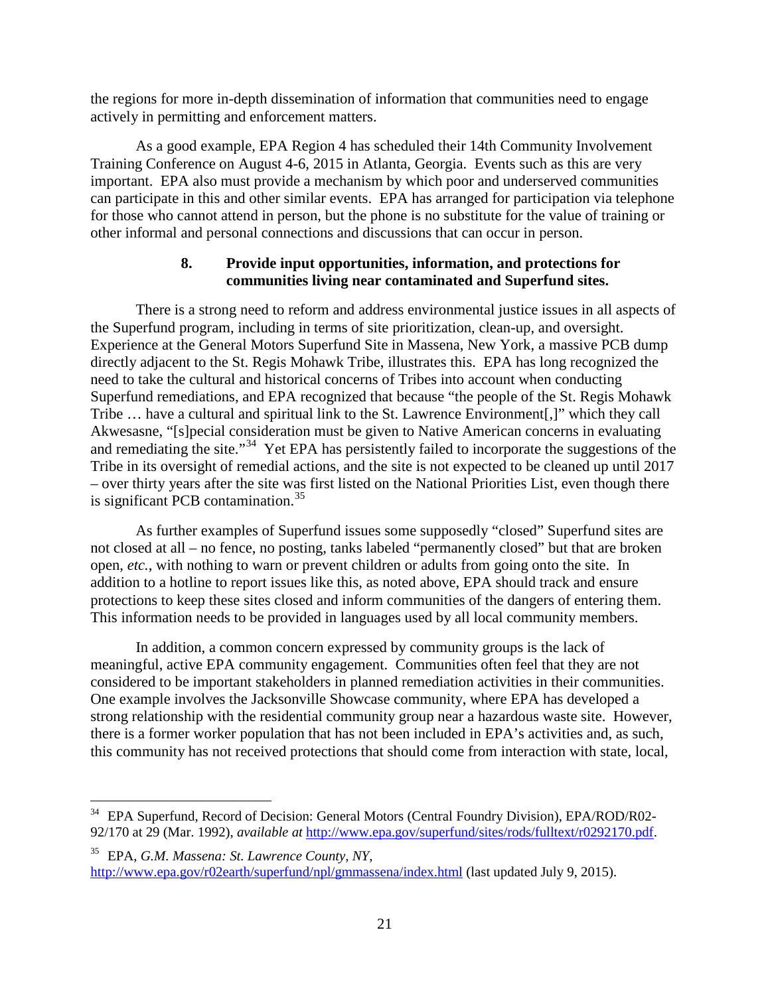the regions for more in-depth dissemination of information that communities need to engage actively in permitting and enforcement matters.

As a good example, EPA Region 4 has scheduled their 14th Community Involvement Training Conference on August 4-6, 2015 in Atlanta, Georgia. Events such as this are very important. EPA also must provide a mechanism by which poor and underserved communities can participate in this and other similar events. EPA has arranged for participation via telephone for those who cannot attend in person, but the phone is no substitute for the value of training or other informal and personal connections and discussions that can occur in person.

# **8. Provide input opportunities, information, and protections for communities living near contaminated and Superfund sites.**

<span id="page-20-0"></span>There is a strong need to reform and address environmental justice issues in all aspects of the Superfund program, including in terms of site prioritization, clean-up, and oversight. Experience at the General Motors Superfund Site in Massena, New York, a massive PCB dump directly adjacent to the St. Regis Mohawk Tribe, illustrates this. EPA has long recognized the need to take the cultural and historical concerns of Tribes into account when conducting Superfund remediations, and EPA recognized that because "the people of the St. Regis Mohawk Tribe … have a cultural and spiritual link to the St. Lawrence Environment[,]" which they call Akwesasne, "[s]pecial consideration must be given to Native American concerns in evaluating and remediating the site."<sup>[34](#page-20-1)</sup> Yet EPA has persistently failed to incorporate the suggestions of the Tribe in its oversight of remedial actions, and the site is not expected to be cleaned up until 2017 – over thirty years after the site was first listed on the National Priorities List, even though there is significant PCB contamination. $35$ 

As further examples of Superfund issues some supposedly "closed" Superfund sites are not closed at all – no fence, no posting, tanks labeled "permanently closed" but that are broken open, *etc.*, with nothing to warn or prevent children or adults from going onto the site. In addition to a hotline to report issues like this, as noted above, EPA should track and ensure protections to keep these sites closed and inform communities of the dangers of entering them. This information needs to be provided in languages used by all local community members.

In addition, a common concern expressed by community groups is the lack of meaningful, active EPA community engagement. Communities often feel that they are not considered to be important stakeholders in planned remediation activities in their communities. One example involves the Jacksonville Showcase community, where EPA has developed a strong relationship with the residential community group near a hazardous waste site. However, there is a former worker population that has not been included in EPA's activities and, as such, this community has not received protections that should come from interaction with state, local,

<span id="page-20-1"></span><sup>&</sup>lt;sup>34</sup> EPA Superfund, Record of Decision: General Motors (Central Foundry Division), EPA/ROD/R02-92/170 at 29 (Mar. 1992), *available at* [http://www.epa.gov/superfund/sites/rods/fulltext/r0292170.pdf.](http://www.epa.gov/superfund/sites/rods/fulltext/r0292170.pdf)

<span id="page-20-2"></span><sup>35</sup> EPA, *G.M. Massena: St. Lawrence County, NY*, <http://www.epa.gov/r02earth/superfund/npl/gmmassena/index.html> (last updated July 9, 2015).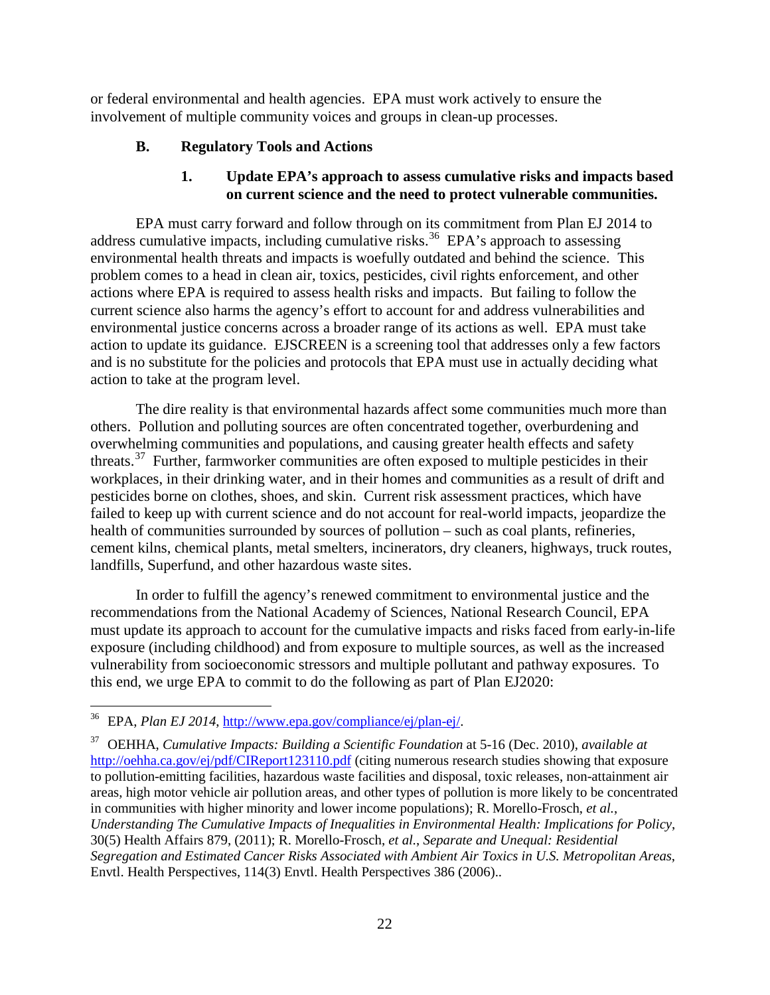<span id="page-21-0"></span>or federal environmental and health agencies. EPA must work actively to ensure the involvement of multiple community voices and groups in clean-up processes.

### **B. Regulatory Tools and Actions**

### **1. Update EPA's approach to assess cumulative risks and impacts based on current science and the need to protect vulnerable communities.**

<span id="page-21-1"></span>EPA must carry forward and follow through on its commitment from Plan EJ 2014 to address cumulative impacts, including cumulative risks.<sup>36</sup> EPA's approach to assessing environmental health threats and impacts is woefully outdated and behind the science. This problem comes to a head in clean air, toxics, pesticides, civil rights enforcement, and other actions where EPA is required to assess health risks and impacts. But failing to follow the current science also harms the agency's effort to account for and address vulnerabilities and environmental justice concerns across a broader range of its actions as well. EPA must take action to update its guidance. EJSCREEN is a screening tool that addresses only a few factors and is no substitute for the policies and protocols that EPA must use in actually deciding what action to take at the program level.

The dire reality is that environmental hazards affect some communities much more than others. Pollution and polluting sources are often concentrated together, overburdening and overwhelming communities and populations, and causing greater health effects and safety threats.<sup>37</sup> Further, farmworker communities are often exposed to multiple pesticides in their workplaces, in their drinking water, and in their homes and communities as a result of drift and pesticides borne on clothes, shoes, and skin. Current risk assessment practices, which have failed to keep up with current science and do not account for real-world impacts, jeopardize the health of communities surrounded by sources of pollution – such as coal plants, refineries, cement kilns, chemical plants, metal smelters, incinerators, dry cleaners, highways, truck routes, landfills, Superfund, and other hazardous waste sites.

In order to fulfill the agency's renewed commitment to environmental justice and the recommendations from the National Academy of Sciences, National Research Council, EPA must update its approach to account for the cumulative impacts and risks faced from early-in-life exposure (including childhood) and from exposure to multiple sources, as well as the increased vulnerability from socioeconomic stressors and multiple pollutant and pathway exposures. To this end, we urge EPA to commit to do the following as part of Plan EJ2020:

<span id="page-21-2"></span> <sup>36</sup> EPA, *Plan EJ 2014*, [http://www.epa.gov/compliance/ej/plan-ej/.](http://www.epa.gov/compliance/ej/plan-ej/)

<span id="page-21-3"></span><sup>37</sup> OEHHA, *Cumulative Impacts: Building a Scientific Foundation* at 5-16 (Dec. 2010), *available at*  <http://oehha.ca.gov/ej/pdf/CIReport123110.pdf> (citing numerous research studies showing that exposure to pollution-emitting facilities, hazardous waste facilities and disposal, toxic releases, non-attainment air areas, high motor vehicle air pollution areas, and other types of pollution is more likely to be concentrated in communities with higher minority and lower income populations); R. Morello-Frosch, *et al.*, *Understanding The Cumulative Impacts of Inequalities in Environmental Health: Implications for Policy*, 30(5) Health Affairs 879, (2011); R. Morello-Frosch, *et al.*, *Separate and Unequal: Residential Segregation and Estimated Cancer Risks Associated with Ambient Air Toxics in U.S. Metropolitan Areas*, Envtl. Health Perspectives, 114(3) Envtl. Health Perspectives 386 (2006)..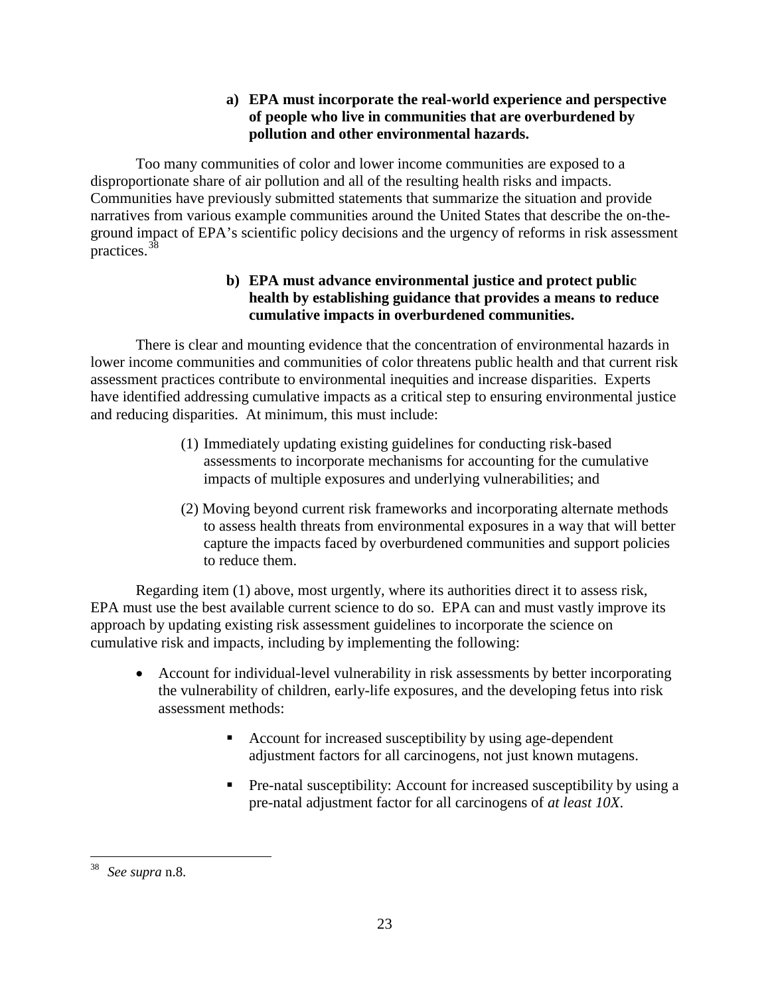# **a) EPA must incorporate the real-world experience and perspective of people who live in communities that are overburdened by pollution and other environmental hazards.**

Too many communities of color and lower income communities are exposed to a disproportionate share of air pollution and all of the resulting health risks and impacts. Communities have previously submitted statements that summarize the situation and provide narratives from various example communities around the United States that describe the on-theground impact of EPA's scientific policy decisions and the urgency of reforms in risk assessment practices.<sup>[38](#page-22-0)</sup>

# **b) EPA must advance environmental justice and protect public health by establishing guidance that provides a means to reduce cumulative impacts in overburdened communities.**

There is clear and mounting evidence that the concentration of environmental hazards in lower income communities and communities of color threatens public health and that current risk assessment practices contribute to environmental inequities and increase disparities. Experts have identified addressing cumulative impacts as a critical step to ensuring environmental justice and reducing disparities. At minimum, this must include:

- (1) Immediately updating existing guidelines for conducting risk-based assessments to incorporate mechanisms for accounting for the cumulative impacts of multiple exposures and underlying vulnerabilities; and
- (2) Moving beyond current risk frameworks and incorporating alternate methods to assess health threats from environmental exposures in a way that will better capture the impacts faced by overburdened communities and support policies to reduce them.

Regarding item (1) above, most urgently, where its authorities direct it to assess risk, EPA must use the best available current science to do so. EPA can and must vastly improve its approach by updating existing risk assessment guidelines to incorporate the science on cumulative risk and impacts, including by implementing the following:

- Account for individual-level vulnerability in risk assessments by better incorporating the vulnerability of children, early-life exposures, and the developing fetus into risk assessment methods:
	- Account for increased susceptibility by using age-dependent adjustment factors for all carcinogens, not just known mutagens.
	- Pre-natal susceptibility: Account for increased susceptibility by using a pre-natal adjustment factor for all carcinogens of *at least 10X*.

<span id="page-22-0"></span> <sup>38</sup> *See supra* [n.8.](#page-6-2)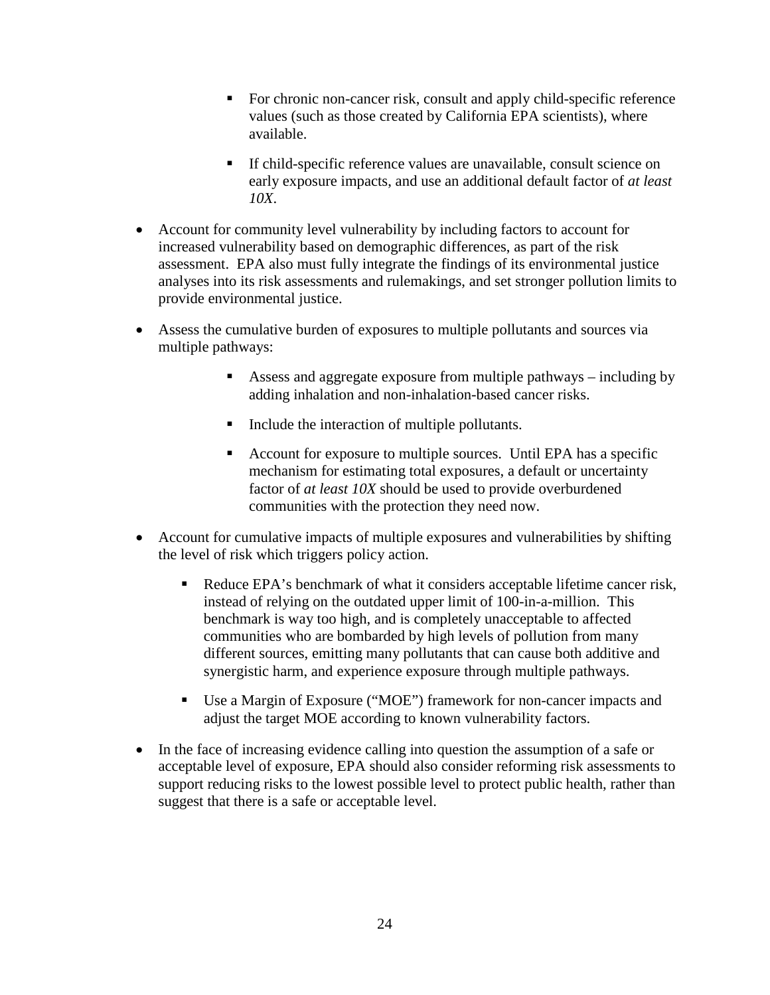- For chronic non-cancer risk, consult and apply child-specific reference values (such as those created by California EPA scientists), where available.
- If child-specific reference values are unavailable, consult science on early exposure impacts, and use an additional default factor of *at least 10X*.
- Account for community level vulnerability by including factors to account for increased vulnerability based on demographic differences, as part of the risk assessment. EPA also must fully integrate the findings of its environmental justice analyses into its risk assessments and rulemakings, and set stronger pollution limits to provide environmental justice.
- Assess the cumulative burden of exposures to multiple pollutants and sources via multiple pathways:
	- Assess and aggregate exposure from multiple pathways including by adding inhalation and non-inhalation-based cancer risks.
	- Include the interaction of multiple pollutants.
	- Account for exposure to multiple sources. Until EPA has a specific mechanism for estimating total exposures, a default or uncertainty factor of *at least 10X* should be used to provide overburdened communities with the protection they need now.
- Account for cumulative impacts of multiple exposures and vulnerabilities by shifting the level of risk which triggers policy action.
	- Reduce EPA's benchmark of what it considers acceptable lifetime cancer risk, instead of relying on the outdated upper limit of 100-in-a-million. This benchmark is way too high, and is completely unacceptable to affected communities who are bombarded by high levels of pollution from many different sources, emitting many pollutants that can cause both additive and synergistic harm, and experience exposure through multiple pathways.
	- Use a Margin of Exposure ("MOE") framework for non-cancer impacts and adjust the target MOE according to known vulnerability factors.
- In the face of increasing evidence calling into question the assumption of a safe or acceptable level of exposure, EPA should also consider reforming risk assessments to support reducing risks to the lowest possible level to protect public health, rather than suggest that there is a safe or acceptable level.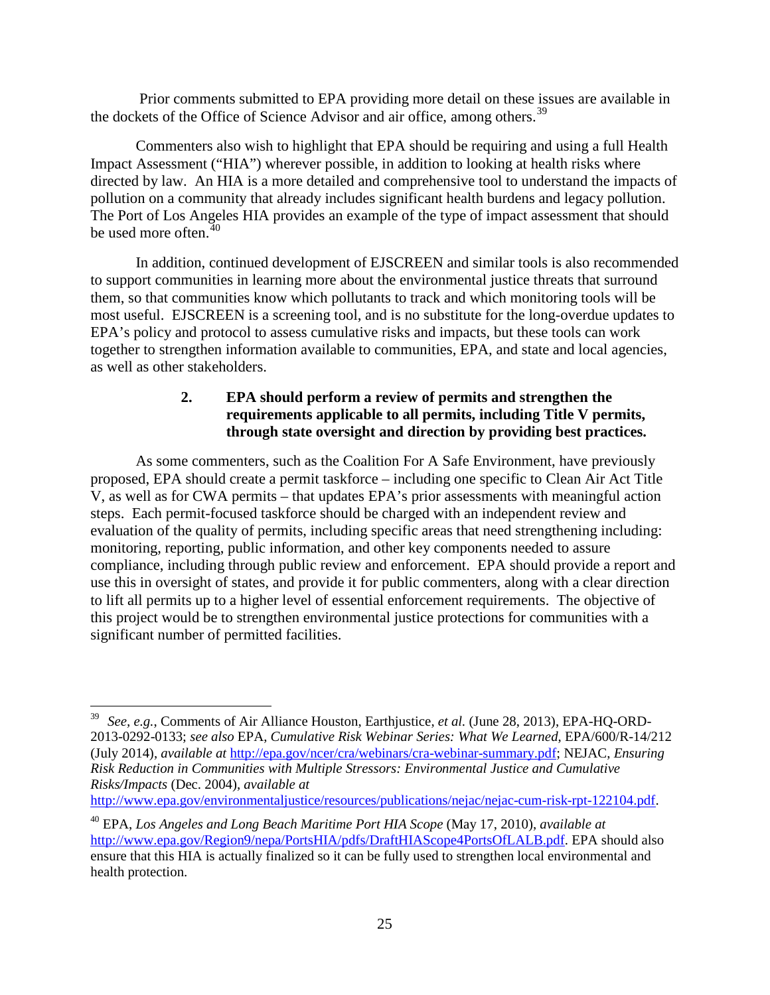Prior comments submitted to EPA providing more detail on these issues are available in the dockets of the Office of Science Advisor and air office, among others.<sup>[39](#page-24-1)</sup>

Commenters also wish to highlight that EPA should be requiring and using a full Health Impact Assessment ("HIA") wherever possible, in addition to looking at health risks where directed by law. An HIA is a more detailed and comprehensive tool to understand the impacts of pollution on a community that already includes significant health burdens and legacy pollution. The Port of Los Angeles HIA provides an example of the type of impact assessment that should be used more often. $40$ 

In addition, continued development of EJSCREEN and similar tools is also recommended to support communities in learning more about the environmental justice threats that surround them, so that communities know which pollutants to track and which monitoring tools will be most useful. EJSCREEN is a screening tool, and is no substitute for the long-overdue updates to EPA's policy and protocol to assess cumulative risks and impacts, but these tools can work together to strengthen information available to communities, EPA, and state and local agencies, as well as other stakeholders.

# **2. EPA should perform a review of permits and strengthen the requirements applicable to all permits, including Title V permits, through state oversight and direction by providing best practices.**

<span id="page-24-0"></span>As some commenters, such as the Coalition For A Safe Environment, have previously proposed, EPA should create a permit taskforce – including one specific to Clean Air Act Title V, as well as for CWA permits – that updates EPA's prior assessments with meaningful action steps. Each permit-focused taskforce should be charged with an independent review and evaluation of the quality of permits, including specific areas that need strengthening including: monitoring, reporting, public information, and other key components needed to assure compliance, including through public review and enforcement. EPA should provide a report and use this in oversight of states, and provide it for public commenters, along with a clear direction to lift all permits up to a higher level of essential enforcement requirements. The objective of this project would be to strengthen environmental justice protections for communities with a significant number of permitted facilities.

[http://www.epa.gov/environmentaljustice/resources/publications/nejac/nejac-cum-risk-rpt-122104.pdf.](http://www.epa.gov/environmentaljustice/resources/publications/nejac/nejac-cum-risk-rpt-122104.pdf)

<span id="page-24-1"></span> <sup>39</sup> *See, e.g.*, Comments of Air Alliance Houston, Earthjustice, *et al.* (June 28, 2013), EPA-HQ-ORD-2013-0292-0133; *see also* EPA, *Cumulative Risk Webinar Series: What We Learned*, EPA/600/R-14/212 (July 2014), *available at* [http://epa.gov/ncer/cra/webinars/cra-webinar-summary.pdf;](http://epa.gov/ncer/cra/webinars/cra-webinar-summary.pdf) NEJAC, *Ensuring Risk Reduction in Communities with Multiple Stressors: Environmental Justice and Cumulative Risks/Impacts* (Dec. 2004), *available at* 

<span id="page-24-2"></span><sup>40</sup> EPA, *Los Angeles and Long Beach Maritime Port HIA Scope* (May 17, 2010), *available at*  [http://www.epa.gov/Region9/nepa/PortsHIA/pdfs/DraftHIAScope4PortsOfLALB.pdf.](http://www.epa.gov/Region9/nepa/PortsHIA/pdfs/DraftHIAScope4PortsOfLALB.pdf) EPA should also ensure that this HIA is actually finalized so it can be fully used to strengthen local environmental and health protection.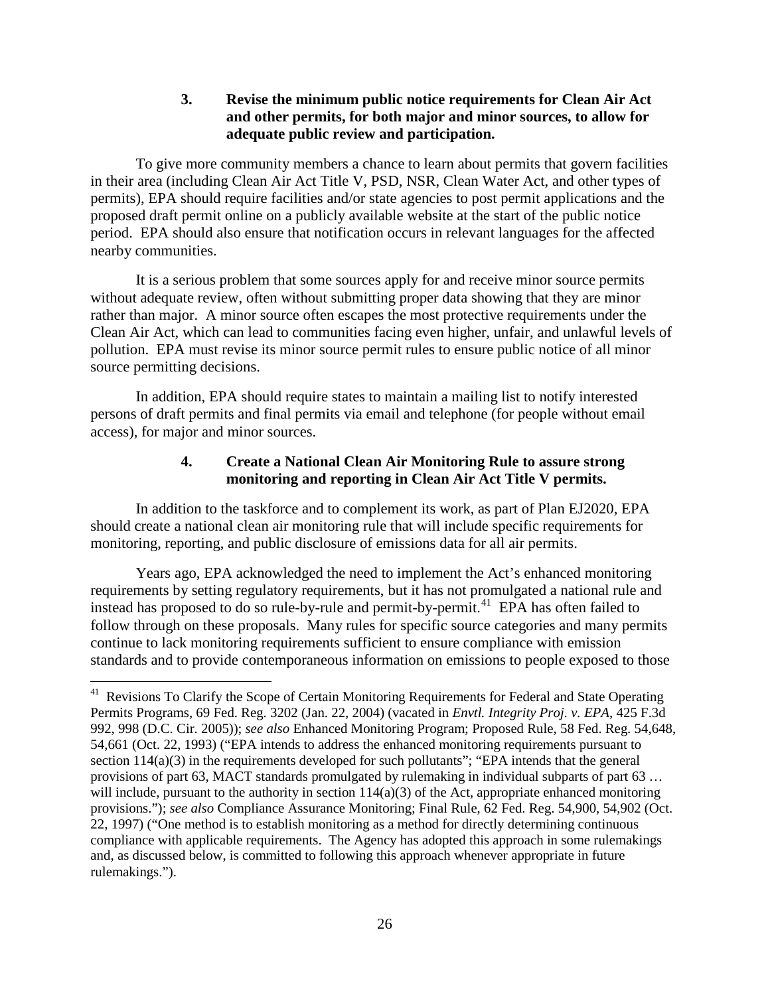### **3. Revise the minimum public notice requirements for Clean Air Act and other permits, for both major and minor sources, to allow for adequate public review and participation.**

<span id="page-25-0"></span>To give more community members a chance to learn about permits that govern facilities in their area (including Clean Air Act Title V, PSD, NSR, Clean Water Act, and other types of permits), EPA should require facilities and/or state agencies to post permit applications and the proposed draft permit online on a publicly available website at the start of the public notice period. EPA should also ensure that notification occurs in relevant languages for the affected nearby communities.

It is a serious problem that some sources apply for and receive minor source permits without adequate review, often without submitting proper data showing that they are minor rather than major. A minor source often escapes the most protective requirements under the Clean Air Act, which can lead to communities facing even higher, unfair, and unlawful levels of pollution. EPA must revise its minor source permit rules to ensure public notice of all minor source permitting decisions.

In addition, EPA should require states to maintain a mailing list to notify interested persons of draft permits and final permits via email and telephone (for people without email access), for major and minor sources.

# **4. Create a National Clean Air Monitoring Rule to assure strong monitoring and reporting in Clean Air Act Title V permits.**

<span id="page-25-1"></span>In addition to the taskforce and to complement its work, as part of Plan EJ2020, EPA should create a national clean air monitoring rule that will include specific requirements for monitoring, reporting, and public disclosure of emissions data for all air permits.

Years ago, EPA acknowledged the need to implement the Act's enhanced monitoring requirements by setting regulatory requirements, but it has not promulgated a national rule and instead has proposed to do so rule-by-rule and permit-by-permit.<sup>41</sup> EPA has often failed to follow through on these proposals. Many rules for specific source categories and many permits continue to lack monitoring requirements sufficient to ensure compliance with emission standards and to provide contemporaneous information on emissions to people exposed to those

<span id="page-25-2"></span><sup>&</sup>lt;sup>41</sup> Revisions To Clarify the Scope of Certain Monitoring Requirements for Federal and State Operating Permits Programs, 69 Fed. Reg. 3202 (Jan. 22, 2004) (vacated in *Envtl. Integrity Proj. v. EPA*, 425 F.3d 992, 998 (D.C. Cir. 2005)); *see also* Enhanced Monitoring Program; Proposed Rule, 58 Fed. Reg. 54,648, 54,661 (Oct. 22, 1993) ("EPA intends to address the enhanced monitoring requirements pursuant to section 114(a)(3) in the requirements developed for such pollutants"; "EPA intends that the general provisions of part 63, MACT standards promulgated by rulemaking in individual subparts of part 63 … will include, pursuant to the authority in section  $114(a)(3)$  of the Act, appropriate enhanced monitoring provisions."); *see also* Compliance Assurance Monitoring; Final Rule, 62 Fed. Reg. 54,900, 54,902 (Oct. 22, 1997) ("One method is to establish monitoring as a method for directly determining continuous compliance with applicable requirements. The Agency has adopted this approach in some rulemakings and, as discussed below, is committed to following this approach whenever appropriate in future rulemakings.").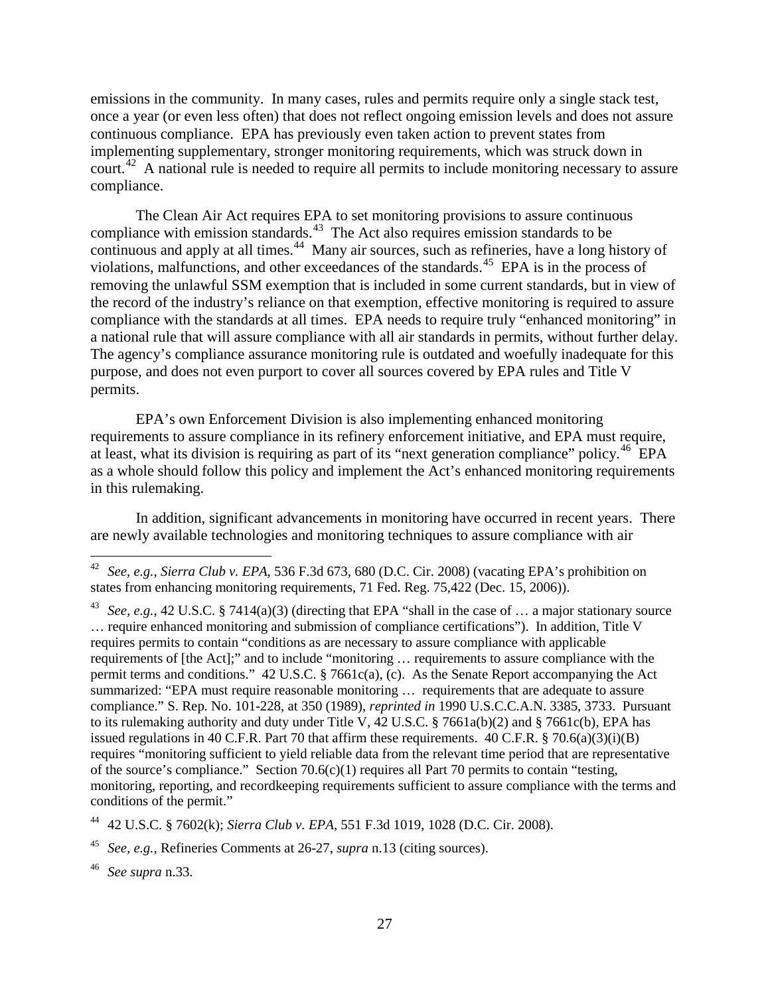emissions in the community. In many cases, rules and permits require only a single stack test, once a year (or even less often) that does not reflect ongoing emission levels and does not assure continuous compliance. EPA has previously even taken action to prevent states from implementing supplementary, stronger monitoring requirements, which was struck down in court.<sup>[42](#page-26-0)</sup> A national rule is needed to require all permits to include monitoring necessary to assure compliance.

The Clean Air Act requires EPA to set monitoring provisions to assure continuous compliance with emission standards.<sup>[43](#page-26-1)</sup> The Act also requires emission standards to be continuous and apply at all times.<sup>[44](#page-26-2)</sup> Many air sources, such as refineries, have a long history of violations, malfunctions, and other exceedances of the standards.<sup>45</sup> EPA is in the process of removing the unlawful SSM exemption that is included in some current standards, but in view of the record of the industry's reliance on that exemption, effective monitoring is required to assure compliance with the standards at all times. EPA needs to require truly "enhanced monitoring" in a national rule that will assure compliance with all air standards in permits, without further delay. The agency's compliance assurance monitoring rule is outdated and woefully inadequate for this purpose, and does not even purport to cover all sources covered by EPA rules and Title V permits.

EPA's own Enforcement Division is also implementing enhanced monitoring requirements to assure compliance in its refinery enforcement initiative, and EPA must require, at least, what its division is requiring as part of its "next generation compliance" policy.<sup>46</sup> EPA as a whole should follow this policy and implement the Act's enhanced monitoring requirements in this rulemaking.

In addition, significant advancements in monitoring have occurred in recent years. There are newly available technologies and monitoring techniques to assure compliance with air

<span id="page-26-0"></span> <sup>42</sup> *See, e.g.*, *Sierra Club v. EPA*, 536 F.3d 673, 680 (D.C. Cir. 2008) (vacating EPA's prohibition on states from enhancing monitoring requirements, 71 Fed. Reg. 75,422 (Dec. 15, 2006)).

<span id="page-26-1"></span><sup>43</sup> *See, e.g.*, 42 U.S.C. § 7414(a)(3) (directing that EPA "shall in the case of … a major stationary source … require enhanced monitoring and submission of compliance certifications"). In addition, Title V requires permits to contain "conditions as are necessary to assure compliance with applicable requirements of [the Act];" and to include "monitoring … requirements to assure compliance with the permit terms and conditions." 42 U.S.C. § 7661c(a), (c). As the Senate Report accompanying the Act summarized: "EPA must require reasonable monitoring … requirements that are adequate to assure compliance." S. Rep. No. 101-228, at 350 (1989), *reprinted in* 1990 U.S.C.C.A.N. 3385, 3733. Pursuant to its rulemaking authority and duty under Title V, 42 U.S.C. § 7661a(b)(2) and § 7661c(b), EPA has issued regulations in 40 C.F.R. Part 70 that affirm these requirements. 40 C.F.R. § 70.6(a)(3)(i)(B) requires "monitoring sufficient to yield reliable data from the relevant time period that are representative of the source's compliance." Section 70.6(c)(1) requires all Part 70 permits to contain "testing, monitoring, reporting, and recordkeeping requirements sufficient to assure compliance with the terms and conditions of the permit."

<span id="page-26-2"></span><sup>44</sup> 42 U.S.C. § 7602(k); *Sierra Club v. EPA*, 551 F.3d 1019, 1028 (D.C. Cir. 2008).

<span id="page-26-3"></span><sup>45</sup> *See, e.g.*, Refineries Comments at 26-27, *supra* n[.13](#page-10-6) (citing sources).

<span id="page-26-4"></span><sup>46</sup> *See supra* [n.33.](#page-19-3)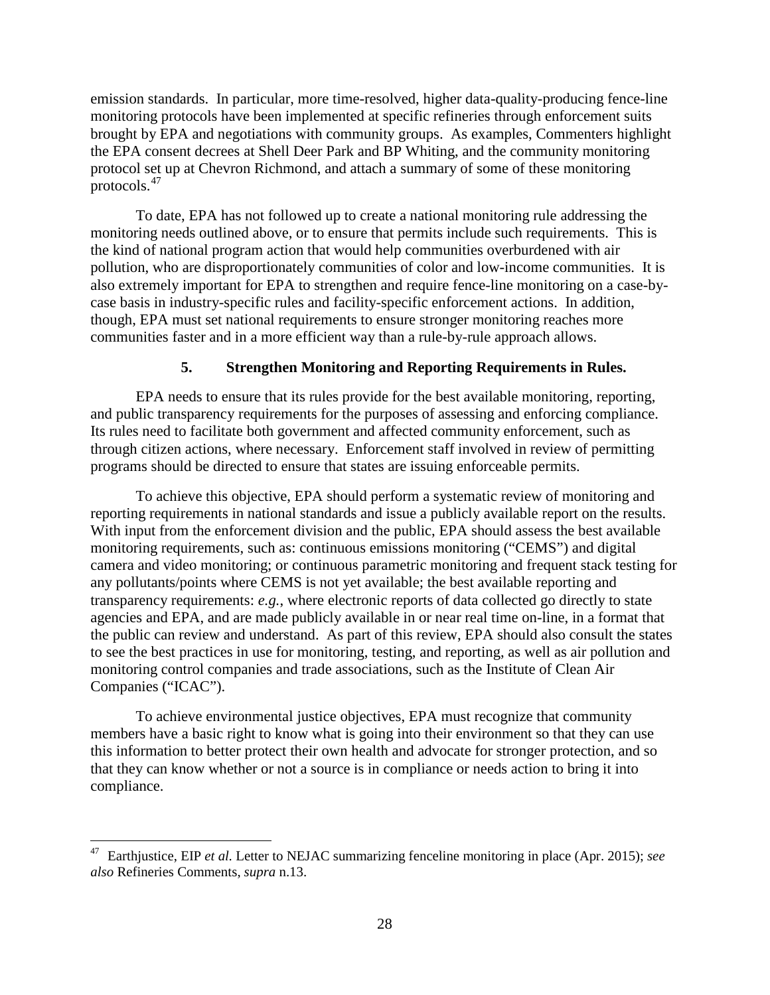emission standards. In particular, more time-resolved, higher data-quality-producing fence-line monitoring protocols have been implemented at specific refineries through enforcement suits brought by EPA and negotiations with community groups. As examples, Commenters highlight the EPA consent decrees at Shell Deer Park and BP Whiting, and the community monitoring protocol set up at Chevron Richmond, and attach a summary of some of these monitoring protocols.[47](#page-27-1)

To date, EPA has not followed up to create a national monitoring rule addressing the monitoring needs outlined above, or to ensure that permits include such requirements. This is the kind of national program action that would help communities overburdened with air pollution, who are disproportionately communities of color and low-income communities. It is also extremely important for EPA to strengthen and require fence-line monitoring on a case-bycase basis in industry-specific rules and facility-specific enforcement actions. In addition, though, EPA must set national requirements to ensure stronger monitoring reaches more communities faster and in a more efficient way than a rule-by-rule approach allows.

#### **5. Strengthen Monitoring and Reporting Requirements in Rules.**

<span id="page-27-0"></span>EPA needs to ensure that its rules provide for the best available monitoring, reporting, and public transparency requirements for the purposes of assessing and enforcing compliance. Its rules need to facilitate both government and affected community enforcement, such as through citizen actions, where necessary. Enforcement staff involved in review of permitting programs should be directed to ensure that states are issuing enforceable permits.

To achieve this objective, EPA should perform a systematic review of monitoring and reporting requirements in national standards and issue a publicly available report on the results. With input from the enforcement division and the public, EPA should assess the best available monitoring requirements, such as: continuous emissions monitoring ("CEMS") and digital camera and video monitoring; or continuous parametric monitoring and frequent stack testing for any pollutants/points where CEMS is not yet available; the best available reporting and transparency requirements: *e.g.*, where electronic reports of data collected go directly to state agencies and EPA, and are made publicly available in or near real time on-line, in a format that the public can review and understand. As part of this review, EPA should also consult the states to see the best practices in use for monitoring, testing, and reporting, as well as air pollution and monitoring control companies and trade associations, such as the Institute of Clean Air Companies ("ICAC").

To achieve environmental justice objectives, EPA must recognize that community members have a basic right to know what is going into their environment so that they can use this information to better protect their own health and advocate for stronger protection, and so that they can know whether or not a source is in compliance or needs action to bring it into compliance.

<span id="page-27-1"></span> <sup>47</sup> Earthjustice, EIP *et al.* Letter to NEJAC summarizing fenceline monitoring in place (Apr. 2015); *see also* Refineries Comments, *supra* n[.13.](#page-10-6)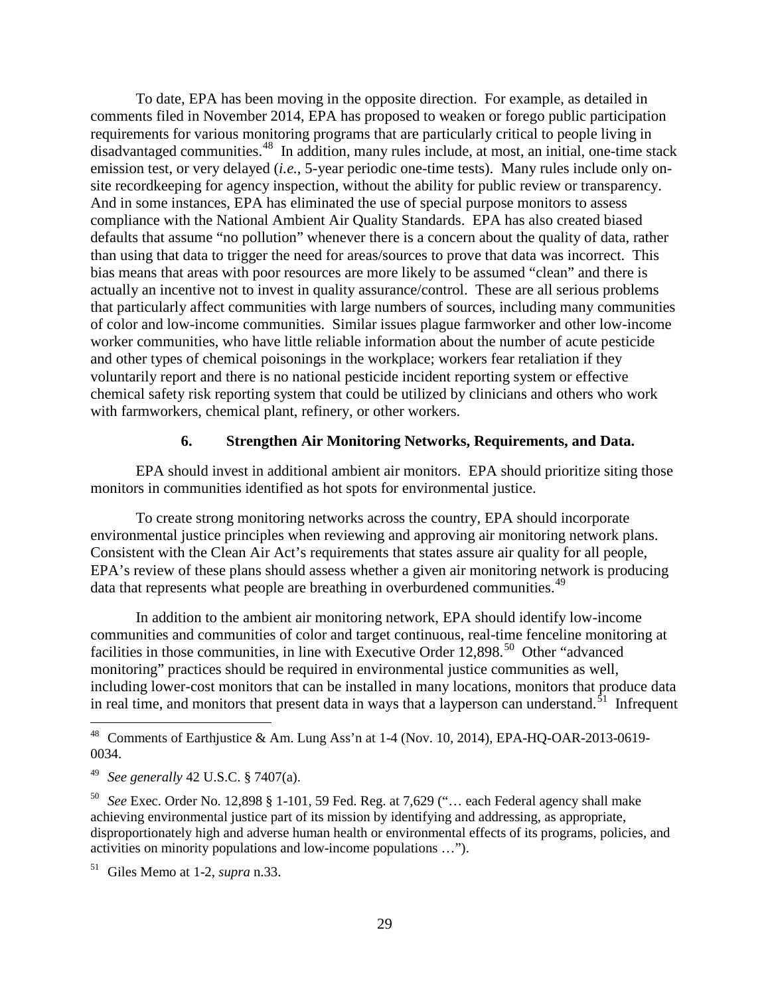To date, EPA has been moving in the opposite direction. For example, as detailed in comments filed in November 2014, EPA has proposed to weaken or forego public participation requirements for various monitoring programs that are particularly critical to people living in disadvantaged communities.[48](#page-28-1) In addition, many rules include, at most, an initial, one-time stack emission test, or very delayed (*i.e.*, 5-year periodic one-time tests). Many rules include only onsite recordkeeping for agency inspection, without the ability for public review or transparency. And in some instances, EPA has eliminated the use of special purpose monitors to assess compliance with the National Ambient Air Quality Standards. EPA has also created biased defaults that assume "no pollution" whenever there is a concern about the quality of data, rather than using that data to trigger the need for areas/sources to prove that data was incorrect. This bias means that areas with poor resources are more likely to be assumed "clean" and there is actually an incentive not to invest in quality assurance/control. These are all serious problems that particularly affect communities with large numbers of sources, including many communities of color and low-income communities. Similar issues plague farmworker and other low-income worker communities, who have little reliable information about the number of acute pesticide and other types of chemical poisonings in the workplace; workers fear retaliation if they voluntarily report and there is no national pesticide incident reporting system or effective chemical safety risk reporting system that could be utilized by clinicians and others who work with farmworkers, chemical plant, refinery, or other workers.

#### **6. Strengthen Air Monitoring Networks, Requirements, and Data.**

<span id="page-28-0"></span>EPA should invest in additional ambient air monitors. EPA should prioritize siting those monitors in communities identified as hot spots for environmental justice.

To create strong monitoring networks across the country, EPA should incorporate environmental justice principles when reviewing and approving air monitoring network plans. Consistent with the Clean Air Act's requirements that states assure air quality for all people, EPA's review of these plans should assess whether a given air monitoring network is producing data that represents what people are breathing in overburdened communities.<sup>[49](#page-28-2)</sup>

In addition to the ambient air monitoring network, EPA should identify low-income communities and communities of color and target continuous, real-time fenceline monitoring at facilities in those communities, in line with Executive Order 12,898.<sup>[50](#page-28-3)</sup> Other "advanced monitoring" practices should be required in environmental justice communities as well, including lower-cost monitors that can be installed in many locations, monitors that produce data in real time, and monitors that present data in ways that a layperson can understand.<sup>[51](#page-28-4)</sup> Infrequent

<span id="page-28-1"></span> <sup>48</sup> Comments of Earthjustice & Am. Lung Ass'n at 1-4 (Nov. 10, 2014), EPA-HQ-OAR-2013-0619- 0034.

<span id="page-28-2"></span><sup>49</sup> *See generally* 42 U.S.C. § 7407(a).

<span id="page-28-3"></span><sup>50</sup> *See* Exec. Order No. 12,898 § 1-101, 59 Fed. Reg. at 7,629 ("… each Federal agency shall make achieving environmental justice part of its mission by identifying and addressing, as appropriate, disproportionately high and adverse human health or environmental effects of its programs, policies, and activities on minority populations and low-income populations …").

<span id="page-28-4"></span><sup>51</sup> Giles Memo at 1-2, *supra* n[.33.](#page-19-3)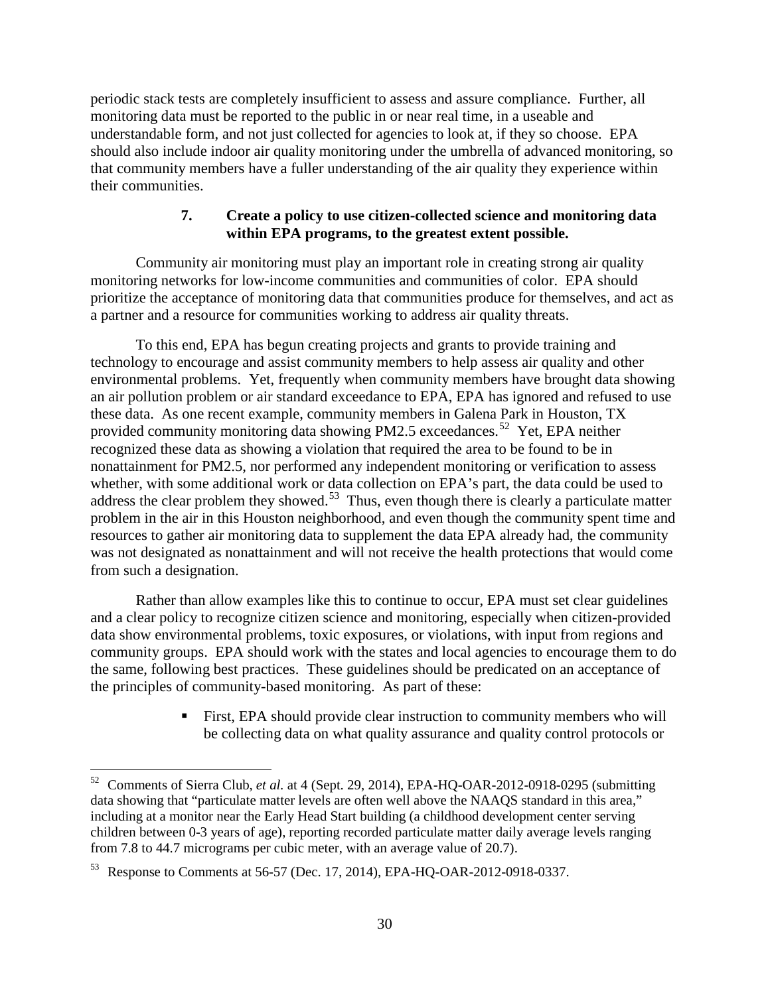periodic stack tests are completely insufficient to assess and assure compliance. Further, all monitoring data must be reported to the public in or near real time, in a useable and understandable form, and not just collected for agencies to look at, if they so choose. EPA should also include indoor air quality monitoring under the umbrella of advanced monitoring, so that community members have a fuller understanding of the air quality they experience within their communities.

# **7. Create a policy to use citizen-collected science and monitoring data within EPA programs, to the greatest extent possible.**

<span id="page-29-0"></span>Community air monitoring must play an important role in creating strong air quality monitoring networks for low-income communities and communities of color. EPA should prioritize the acceptance of monitoring data that communities produce for themselves, and act as a partner and a resource for communities working to address air quality threats.

To this end, EPA has begun creating projects and grants to provide training and technology to encourage and assist community members to help assess air quality and other environmental problems. Yet, frequently when community members have brought data showing an air pollution problem or air standard exceedance to EPA, EPA has ignored and refused to use these data. As one recent example, community members in Galena Park in Houston, TX provided community monitoring data showing PM2.5 exceedances.<sup>[52](#page-29-1)</sup> Yet, EPA neither recognized these data as showing a violation that required the area to be found to be in nonattainment for PM2.5, nor performed any independent monitoring or verification to assess whether, with some additional work or data collection on EPA's part, the data could be used to and  $\alpha$  and  $\alpha$  is a content of  $\alpha$  and  $\alpha$  is contented by  $\alpha$  and  $\alpha$  and  $\alpha$  is clearly a particulate matter and  $\alpha$  is clearly a particulate matter problem in the air in this Houston neighborhood, and even though the community spent time and resources to gather air monitoring data to supplement the data EPA already had, the community was not designated as nonattainment and will not receive the health protections that would come from such a designation.

Rather than allow examples like this to continue to occur, EPA must set clear guidelines and a clear policy to recognize citizen science and monitoring, especially when citizen-provided data show environmental problems, toxic exposures, or violations, with input from regions and community groups. EPA should work with the states and local agencies to encourage them to do the same, following best practices. These guidelines should be predicated on an acceptance of the principles of community-based monitoring. As part of these:

> First, EPA should provide clear instruction to community members who will be collecting data on what quality assurance and quality control protocols or

<span id="page-29-1"></span> <sup>52</sup> Comments of Sierra Club, *et al.* at 4 (Sept. 29, 2014), EPA-HQ-OAR-2012-0918-0295 (submitting data showing that "particulate matter levels are often well above the NAAQS standard in this area," including at a monitor near the Early Head Start building (a childhood development center serving children between 0-3 years of age), reporting recorded particulate matter daily average levels ranging from 7.8 to 44.7 micrograms per cubic meter, with an average value of 20.7).

<span id="page-29-2"></span><sup>53</sup> Response to Comments at 56-57 (Dec. 17, 2014), EPA-HQ-OAR-2012-0918-0337.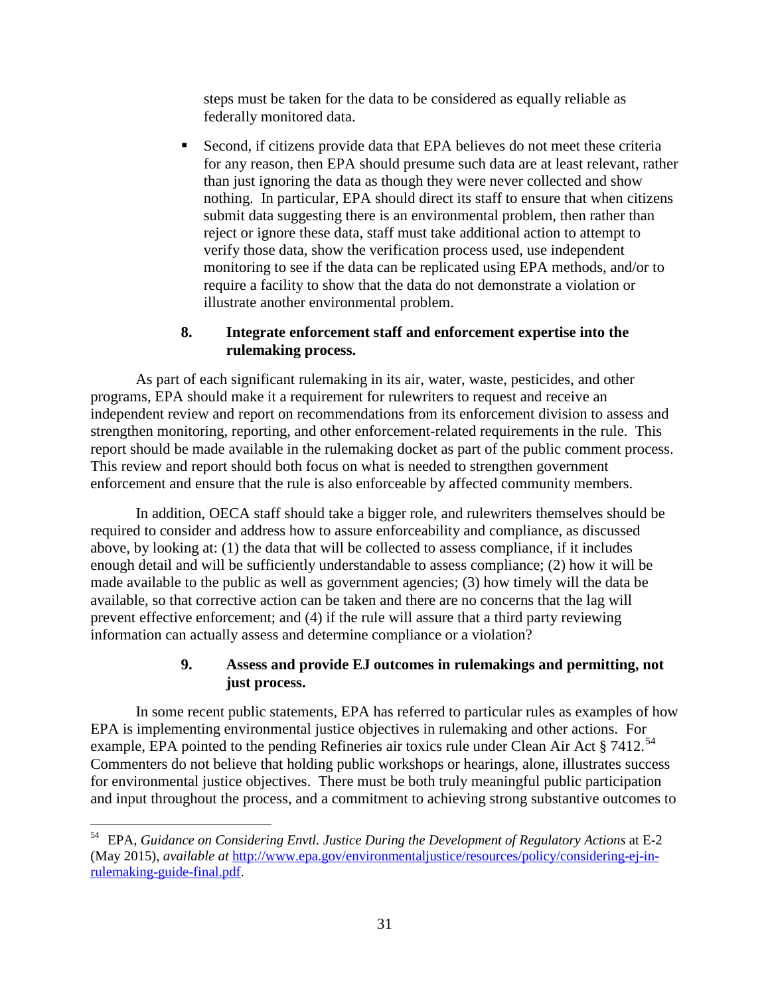steps must be taken for the data to be considered as equally reliable as federally monitored data.

 Second, if citizens provide data that EPA believes do not meet these criteria for any reason, then EPA should presume such data are at least relevant, rather than just ignoring the data as though they were never collected and show nothing. In particular, EPA should direct its staff to ensure that when citizens submit data suggesting there is an environmental problem, then rather than reject or ignore these data, staff must take additional action to attempt to verify those data, show the verification process used, use independent monitoring to see if the data can be replicated using EPA methods, and/or to require a facility to show that the data do not demonstrate a violation or illustrate another environmental problem.

# **8. Integrate enforcement staff and enforcement expertise into the rulemaking process.**

<span id="page-30-0"></span>As part of each significant rulemaking in its air, water, waste, pesticides, and other programs, EPA should make it a requirement for rulewriters to request and receive an independent review and report on recommendations from its enforcement division to assess and strengthen monitoring, reporting, and other enforcement-related requirements in the rule. This report should be made available in the rulemaking docket as part of the public comment process. This review and report should both focus on what is needed to strengthen government enforcement and ensure that the rule is also enforceable by affected community members.

In addition, OECA staff should take a bigger role, and rulewriters themselves should be required to consider and address how to assure enforceability and compliance, as discussed above, by looking at: (1) the data that will be collected to assess compliance, if it includes enough detail and will be sufficiently understandable to assess compliance; (2) how it will be made available to the public as well as government agencies; (3) how timely will the data be available, so that corrective action can be taken and there are no concerns that the lag will prevent effective enforcement; and (4) if the rule will assure that a third party reviewing information can actually assess and determine compliance or a violation?

## **9. Assess and provide EJ outcomes in rulemakings and permitting, not just process.**

<span id="page-30-1"></span>In some recent public statements, EPA has referred to particular rules as examples of how EPA is implementing environmental justice objectives in rulemaking and other actions. For example, EPA pointed to the pending Refineries air toxics rule under Clean Air Act § 7412.<sup>54</sup> Commenters do not believe that holding public workshops or hearings, alone, illustrates success for environmental justice objectives. There must be both truly meaningful public participation and input throughout the process, and a commitment to achieving strong substantive outcomes to

<span id="page-30-2"></span> <sup>54</sup> EPA, *Guidance on Considering Envtl. Justice During the Development of Regulatory Actions* at E-2 (May 2015), *available at* [http://www.epa.gov/environmentaljustice/resources/policy/considering-ej-in](http://www.epa.gov/environmentaljustice/resources/policy/considering-ej-in-rulemaking-guide-final.pdf)[rulemaking-guide-final.pdf.](http://www.epa.gov/environmentaljustice/resources/policy/considering-ej-in-rulemaking-guide-final.pdf)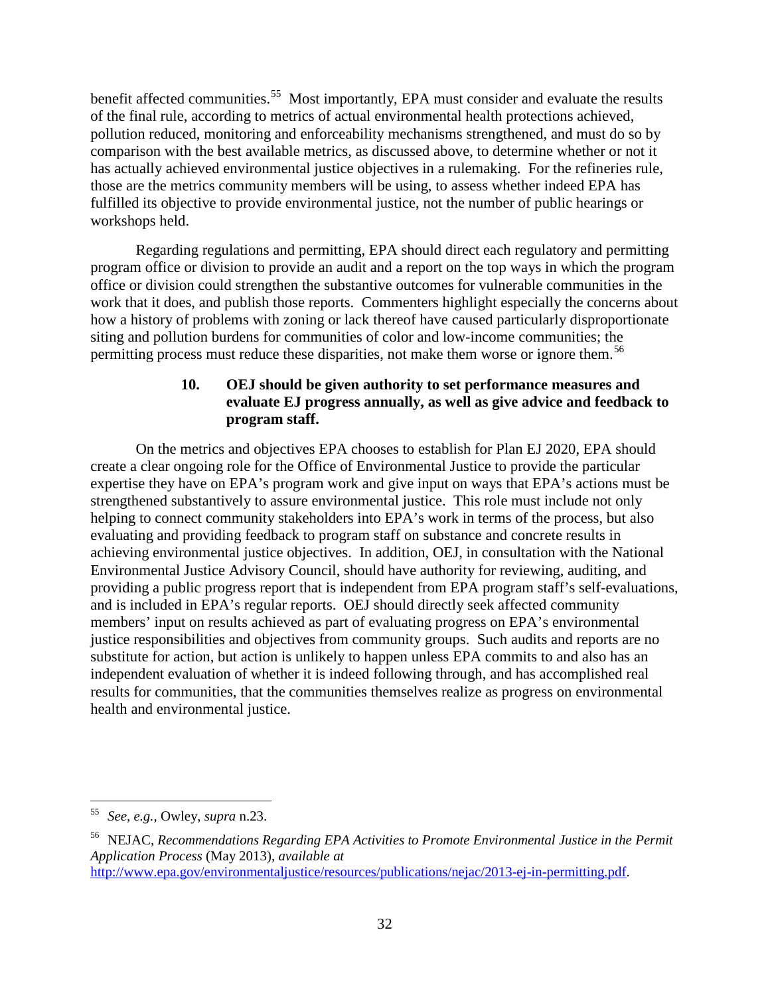benefit affected communities.<sup>55</sup> Most importantly, EPA must consider and evaluate the results of the final rule, according to metrics of actual environmental health protections achieved, pollution reduced, monitoring and enforceability mechanisms strengthened, and must do so by comparison with the best available metrics, as discussed above, to determine whether or not it has actually achieved environmental justice objectives in a rulemaking. For the refineries rule, those are the metrics community members will be using, to assess whether indeed EPA has fulfilled its objective to provide environmental justice, not the number of public hearings or workshops held.

Regarding regulations and permitting, EPA should direct each regulatory and permitting program office or division to provide an audit and a report on the top ways in which the program office or division could strengthen the substantive outcomes for vulnerable communities in the work that it does, and publish those reports. Commenters highlight especially the concerns about how a history of problems with zoning or lack thereof have caused particularly disproportionate siting and pollution burdens for communities of color and low-income communities; the permitting process must reduce these disparities, not make them worse or ignore them.<sup>56</sup>

# **10. OEJ should be given authority to set performance measures and evaluate EJ progress annually, as well as give advice and feedback to program staff.**

<span id="page-31-0"></span>On the metrics and objectives EPA chooses to establish for Plan EJ 2020, EPA should create a clear ongoing role for the Office of Environmental Justice to provide the particular expertise they have on EPA's program work and give input on ways that EPA's actions must be strengthened substantively to assure environmental justice. This role must include not only helping to connect community stakeholders into EPA's work in terms of the process, but also evaluating and providing feedback to program staff on substance and concrete results in achieving environmental justice objectives. In addition, OEJ, in consultation with the National Environmental Justice Advisory Council, should have authority for reviewing, auditing, and providing a public progress report that is independent from EPA program staff's self-evaluations, and is included in EPA's regular reports. OEJ should directly seek affected community members' input on results achieved as part of evaluating progress on EPA's environmental justice responsibilities and objectives from community groups. Such audits and reports are no substitute for action, but action is unlikely to happen unless EPA commits to and also has an independent evaluation of whether it is indeed following through, and has accomplished real results for communities, that the communities themselves realize as progress on environmental health and environmental justice.

<span id="page-31-1"></span> <sup>55</sup> *See, e.g.*, Owley, *supra* n[.23.](#page-14-2)

<span id="page-31-2"></span><sup>56</sup> NEJAC, *Recommendations Regarding EPA Activities to Promote Environmental Justice in the Permit Application Process* (May 2013), *available at*  [http://www.epa.gov/environmentaljustice/resources/publications/nejac/2013-ej-in-permitting.pdf.](http://www.epa.gov/environmentaljustice/resources/publications/nejac/2013-ej-in-permitting.pdf)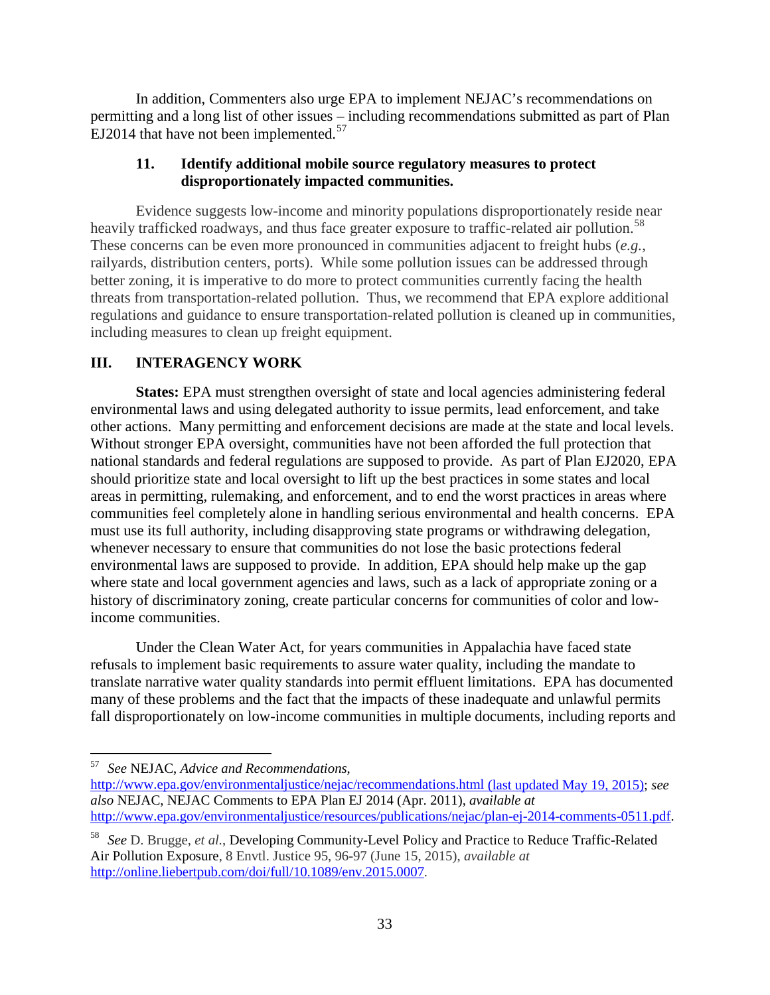In addition, Commenters also urge EPA to implement NEJAC's recommendations on permitting and a long list of other issues – including recommendations submitted as part of Plan EJ2014 that have not been implemented.<sup>[57](#page-32-1)</sup>

## **11. Identify additional mobile source regulatory measures to protect disproportionately impacted communities.**

Evidence suggests low-income and minority populations disproportionately reside near heavily trafficked roadways, and thus face greater exposure to traffic-related air pollution.<sup>[58](#page-32-2)</sup> These concerns can be even more pronounced in communities adjacent to freight hubs (*e.g.*, railyards, distribution centers, ports). While some pollution issues can be addressed through better zoning, it is imperative to do more to protect communities currently facing the health threats from transportation-related pollution. Thus, we recommend that EPA explore additional regulations and guidance to ensure transportation-related pollution is cleaned up in communities, including measures to clean up freight equipment.

# <span id="page-32-0"></span>**III. INTERAGENCY WORK**

**States:** EPA must strengthen oversight of state and local agencies administering federal environmental laws and using delegated authority to issue permits, lead enforcement, and take other actions. Many permitting and enforcement decisions are made at the state and local levels. Without stronger EPA oversight, communities have not been afforded the full protection that national standards and federal regulations are supposed to provide. As part of Plan EJ2020, EPA should prioritize state and local oversight to lift up the best practices in some states and local areas in permitting, rulemaking, and enforcement, and to end the worst practices in areas where communities feel completely alone in handling serious environmental and health concerns. EPA must use its full authority, including disapproving state programs or withdrawing delegation, whenever necessary to ensure that communities do not lose the basic protections federal environmental laws are supposed to provide. In addition, EPA should help make up the gap where state and local government agencies and laws, such as a lack of appropriate zoning or a history of discriminatory zoning, create particular concerns for communities of color and lowincome communities.

Under the Clean Water Act, for years communities in Appalachia have faced state refusals to implement basic requirements to assure water quality, including the mandate to translate narrative water quality standards into permit effluent limitations. EPA has documented many of these problems and the fact that the impacts of these inadequate and unlawful permits fall disproportionately on low-income communities in multiple documents, including reports and

<span id="page-32-1"></span> <sup>57</sup> *See* NEJAC, *Advice and Recommendations*,

<http://www.epa.gov/environmentaljustice/nejac/recommendations.html> (last updated May 19, 2015); *see also* NEJAC, NEJAC Comments to EPA Plan EJ 2014 (Apr. 2011), *available at*  [http://www.epa.gov/environmentaljustice/resources/publications/nejac/plan-ej-2014-comments-0511.pdf.](http://www.epa.gov/environmentaljustice/resources/publications/nejac/plan-ej-2014-comments-0511.pdf)

<span id="page-32-2"></span><sup>58</sup> *See* D. Brugge, *et al.*, Developing Community-Level Policy and Practice to Reduce Traffic-Related Air Pollution Exposure, 8 Envtl. Justice 95, 96-97 (June 15, 2015), *available at*  <http://online.liebertpub.com/doi/full/10.1089/env.2015.0007>*.*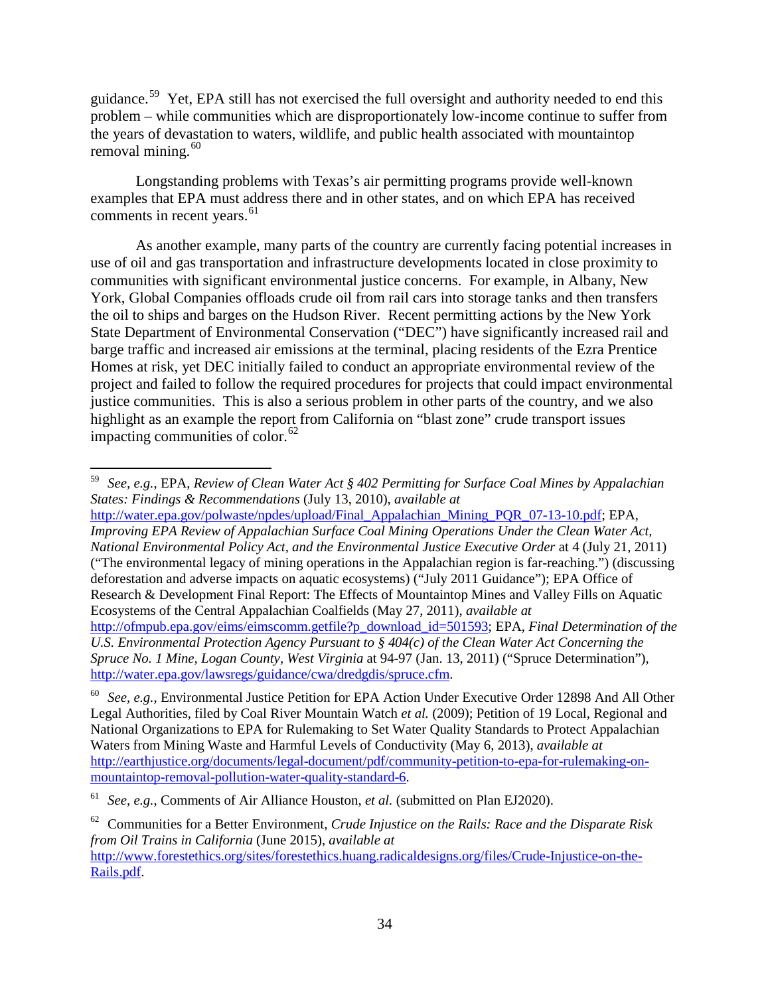guidance.[59](#page-33-0) Yet, EPA still has not exercised the full oversight and authority needed to end this problem – while communities which are disproportionately low-income continue to suffer from the years of devastation to waters, wildlife, and public health associated with mountaintop removal mining. $60$ 

Longstanding problems with Texas's air permitting programs provide well-known examples that EPA must address there and in other states, and on which EPA has received comments in recent years. $61$ 

As another example, many parts of the country are currently facing potential increases in use of oil and gas transportation and infrastructure developments located in close proximity to communities with significant environmental justice concerns. For example, in Albany, New York, Global Companies offloads crude oil from rail cars into storage tanks and then transfers the oil to ships and barges on the Hudson River. Recent permitting actions by the New York State Department of Environmental Conservation ("DEC") have significantly increased rail and barge traffic and increased air emissions at the terminal, placing residents of the Ezra Prentice Homes at risk, yet DEC initially failed to conduct an appropriate environmental review of the project and failed to follow the required procedures for projects that could impact environmental justice communities. This is also a serious problem in other parts of the country, and we also highlight as an example the report from California on "blast zone" crude transport issues impacting communities of color. $62$ 

[http://water.epa.gov/polwaste/npdes/upload/Final\\_Appalachian\\_Mining\\_PQR\\_07-13-10.pdf;](http://water.epa.gov/polwaste/npdes/upload/Final_Appalachian_Mining_PQR_07-13-10.pdf) EPA, *Improving EPA Review of Appalachian Surface Coal Mining Operations Under the Clean Water Act, National Environmental Policy Act, and the Environmental Justice Executive Order* at 4 (July 21, 2011) ("The environmental legacy of mining operations in the Appalachian region is far-reaching.") (discussing deforestation and adverse impacts on aquatic ecosystems) ("July 2011 Guidance"); EPA Office of Research & Development Final Report: The Effects of Mountaintop Mines and Valley Fills on Aquatic Ecosystems of the Central Appalachian Coalfields (May 27, 2011), *available at*  [http://ofmpub.epa.gov/eims/eimscomm.getfile?p\\_download\\_id=501593;](http://ofmpub.epa.gov/eims/eimscomm.getfile?p_download_id=501593) EPA, *Final Determination of the U.S. Environmental Protection Agency Pursuant to § 404(c) of the Clean Water Act Concerning the Spruce No. 1 Mine, Logan County, West Virginia* at 94-97 (Jan. 13, 2011) ("Spruce Determination"), [http://water.epa.gov/lawsregs/guidance/cwa/dredgdis/spruce.cfm.](http://water.epa.gov/lawsregs/guidance/cwa/dredgdis/spruce.cfm)

<span id="page-33-0"></span> <sup>59</sup> *See, e.g.*, EPA, *Review of Clean Water Act § 402 Permitting for Surface Coal Mines by Appalachian States: Findings & Recommendations* (July 13, 2010), *available at* 

<span id="page-33-1"></span><sup>60</sup> *See, e.g.*, Environmental Justice Petition for EPA Action Under Executive Order 12898 And All Other Legal Authorities, filed by Coal River Mountain Watch *et al.* (2009); Petition of 19 Local, Regional and National Organizations to EPA for Rulemaking to Set Water Quality Standards to Protect Appalachian Waters from Mining Waste and Harmful Levels of Conductivity (May 6, 2013), *available at* [http://earthjustice.org/documents/legal-document/pdf/community-petition-to-epa-for-rulemaking-on](http://earthjustice.org/documents/legal-document/pdf/community-petition-to-epa-for-rulemaking-on-mountaintop-removal-pollution-water-quality-standard-6)[mountaintop-removal-pollution-water-quality-standard-6.](http://earthjustice.org/documents/legal-document/pdf/community-petition-to-epa-for-rulemaking-on-mountaintop-removal-pollution-water-quality-standard-6)

<span id="page-33-2"></span><sup>61</sup> *See, e.g.*, Comments of Air Alliance Houston, *et al.* (submitted on Plan EJ2020).

<span id="page-33-3"></span><sup>62</sup> Communities for a Better Environment, *Crude Injustice on the Rails: Race and the Disparate Risk from Oil Trains in California* (June 2015), *available at*

[http://www.forestethics.org/sites/forestethics.huang.radicaldesigns.org/files/Crude-Injustice-on-the-](http://www.forestethics.org/sites/forestethics.huang.radicaldesigns.org/files/Crude-Injustice-on-the-Rails.pdf)[Rails.pdf.](http://www.forestethics.org/sites/forestethics.huang.radicaldesigns.org/files/Crude-Injustice-on-the-Rails.pdf)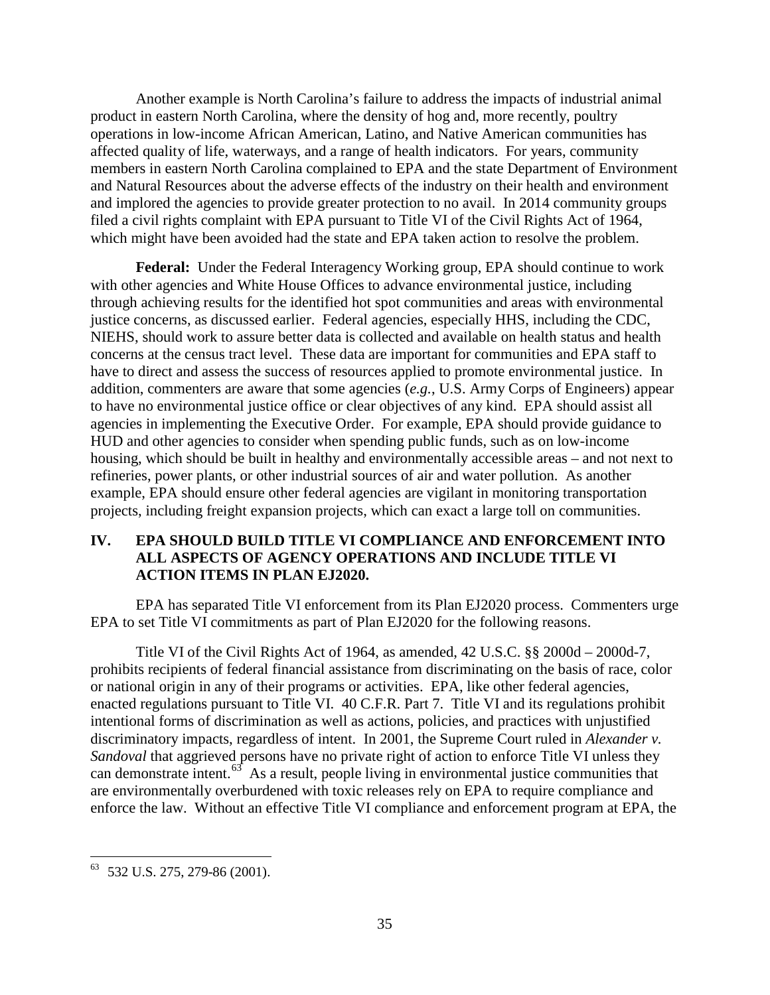Another example is North Carolina's failure to address the impacts of industrial animal product in eastern North Carolina, where the density of hog and, more recently, poultry operations in low-income African American, Latino, and Native American communities has affected quality of life, waterways, and a range of health indicators. For years, community members in eastern North Carolina complained to EPA and the state Department of Environment and Natural Resources about the adverse effects of the industry on their health and environment and implored the agencies to provide greater protection to no avail. In 2014 community groups filed a civil rights complaint with EPA pursuant to Title VI of the Civil Rights Act of 1964, which might have been avoided had the state and EPA taken action to resolve the problem.

**Federal:** Under the Federal Interagency Working group, EPA should continue to work with other agencies and White House Offices to advance environmental justice, including through achieving results for the identified hot spot communities and areas with environmental justice concerns, as discussed earlier. Federal agencies, especially HHS, including the CDC, NIEHS, should work to assure better data is collected and available on health status and health concerns at the census tract level. These data are important for communities and EPA staff to have to direct and assess the success of resources applied to promote environmental justice. In addition, commenters are aware that some agencies (*e.g.*, U.S. Army Corps of Engineers) appear to have no environmental justice office or clear objectives of any kind. EPA should assist all agencies in implementing the Executive Order. For example, EPA should provide guidance to HUD and other agencies to consider when spending public funds, such as on low-income housing, which should be built in healthy and environmentally accessible areas – and not next to refineries, power plants, or other industrial sources of air and water pollution. As another example, EPA should ensure other federal agencies are vigilant in monitoring transportation projects, including freight expansion projects, which can exact a large toll on communities.

## <span id="page-34-0"></span>**IV. EPA SHOULD BUILD TITLE VI COMPLIANCE AND ENFORCEMENT INTO ALL ASPECTS OF AGENCY OPERATIONS AND INCLUDE TITLE VI ACTION ITEMS IN PLAN EJ2020.**

EPA has separated Title VI enforcement from its Plan EJ2020 process. Commenters urge EPA to set Title VI commitments as part of Plan EJ2020 for the following reasons.

Title VI of the Civil Rights Act of 1964, as amended, 42 U.S.C. §§ 2000d – 2000d-7, prohibits recipients of federal financial assistance from discriminating on the basis of race, color or national origin in any of their programs or activities. EPA, like other federal agencies, enacted regulations pursuant to Title VI. 40 C.F.R. Part 7. Title VI and its regulations prohibit intentional forms of discrimination as well as actions, policies, and practices with unjustified discriminatory impacts, regardless of intent. In 2001, the Supreme Court ruled in *Alexander v. Sandoval* that aggrieved persons have no private right of action to enforce Title VI unless they can demonstrate intent. $^{63}$  $^{63}$  $^{63}$  As a result, people living in environmental justice communities that are environmentally overburdened with toxic releases rely on EPA to require compliance and enforce the law. Without an effective Title VI compliance and enforcement program at EPA, the

<span id="page-34-1"></span> <sup>63</sup> 532 U.S. 275, 279-86 (2001).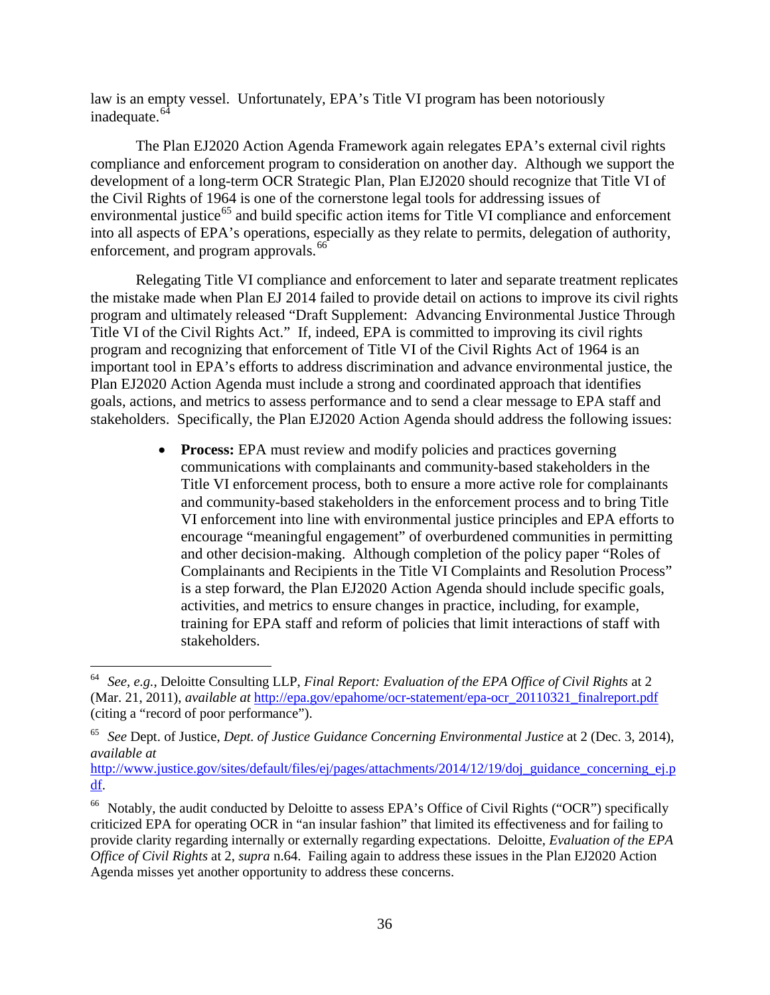<span id="page-35-0"></span>law is an empty vessel. Unfortunately, EPA's Title VI program has been notoriously inadequate. $64$ 

The Plan EJ2020 Action Agenda Framework again relegates EPA's external civil rights compliance and enforcement program to consideration on another day. Although we support the development of a long-term OCR Strategic Plan, Plan EJ2020 should recognize that Title VI of the Civil Rights of 1964 is one of the cornerstone legal tools for addressing issues of environmental justice<sup>[65](#page-35-2)</sup> and build specific action items for Title VI compliance and enforcement into all aspects of EPA's operations, especially as they relate to permits, delegation of authority, enforcement, and program approvals.<sup>[66](#page-35-3)</sup>

Relegating Title VI compliance and enforcement to later and separate treatment replicates the mistake made when Plan EJ 2014 failed to provide detail on actions to improve its civil rights program and ultimately released "Draft Supplement: Advancing Environmental Justice Through Title VI of the Civil Rights Act." If, indeed, EPA is committed to improving its civil rights program and recognizing that enforcement of Title VI of the Civil Rights Act of 1964 is an important tool in EPA's efforts to address discrimination and advance environmental justice, the Plan EJ2020 Action Agenda must include a strong and coordinated approach that identifies goals, actions, and metrics to assess performance and to send a clear message to EPA staff and stakeholders. Specifically, the Plan EJ2020 Action Agenda should address the following issues:

> • **Process:** EPA must review and modify policies and practices governing communications with complainants and community-based stakeholders in the Title VI enforcement process, both to ensure a more active role for complainants and community-based stakeholders in the enforcement process and to bring Title VI enforcement into line with environmental justice principles and EPA efforts to encourage "meaningful engagement" of overburdened communities in permitting and other decision-making. Although completion of the policy paper "Roles of Complainants and Recipients in the Title VI Complaints and Resolution Process" is a step forward, the Plan EJ2020 Action Agenda should include specific goals, activities, and metrics to ensure changes in practice, including, for example, training for EPA staff and reform of policies that limit interactions of staff with stakeholders.

<span id="page-35-1"></span> <sup>64</sup> *See, e.g.*, Deloitte Consulting LLP, *Final Report: Evaluation of the EPA Office of Civil Rights* at 2 (Mar. 21, 2011), *available at* [http://epa.gov/epahome/ocr-statement/epa-ocr\\_20110321\\_finalreport.pdf](http://epa.gov/epahome/ocr-statement/epa-ocr_20110321_finalreport.pdf) (citing a "record of poor performance").

<span id="page-35-2"></span><sup>65</sup> *See* Dept. of Justice, *Dept. of Justice Guidance Concerning Environmental Justice* at 2 (Dec. 3, 2014), *available at* 

[http://www.justice.gov/sites/default/files/ej/pages/attachments/2014/12/19/doj\\_guidance\\_concerning\\_ej.p](http://www.justice.gov/sites/default/files/ej/pages/attachments/2014/12/19/doj_guidance_concerning_ej.pdf) [df.](http://www.justice.gov/sites/default/files/ej/pages/attachments/2014/12/19/doj_guidance_concerning_ej.pdf)

<span id="page-35-3"></span><sup>&</sup>lt;sup>66</sup> Notably, the audit conducted by Deloitte to assess EPA's Office of Civil Rights ("OCR") specifically criticized EPA for operating OCR in "an insular fashion" that limited its effectiveness and for failing to provide clarity regarding internally or externally regarding expectations. Deloitte, *Evaluation of the EPA Office of Civil Rights* at 2, *supra* [n.64.](#page-35-0) Failing again to address these issues in the Plan EJ2020 Action Agenda misses yet another opportunity to address these concerns.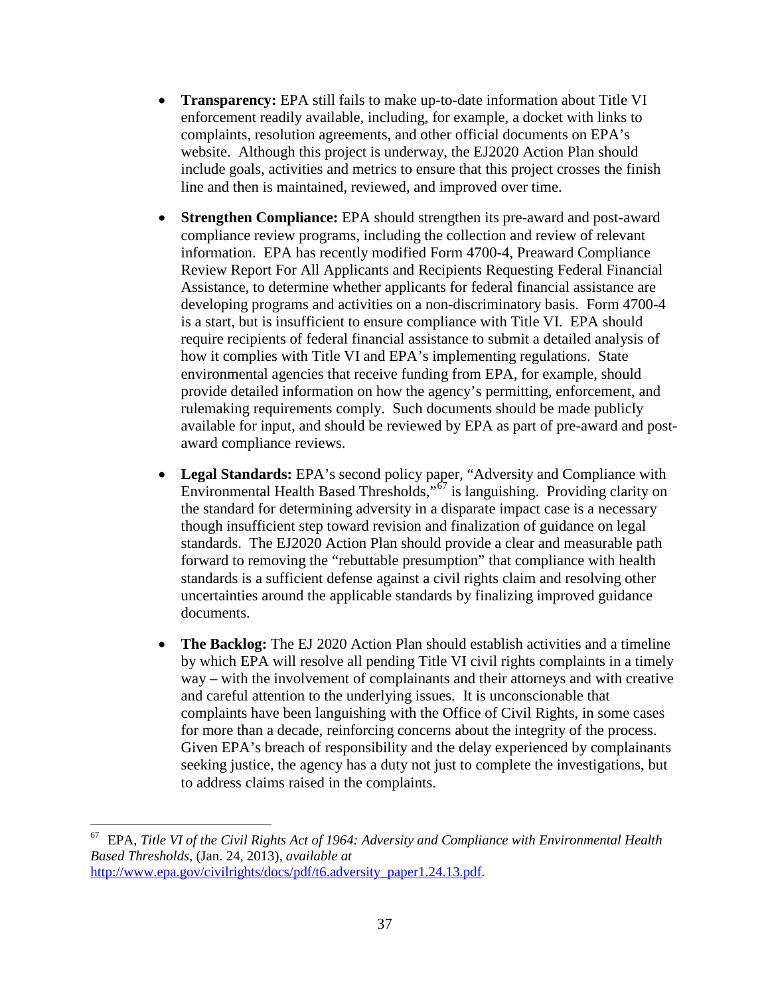- **Transparency:** EPA still fails to make up-to-date information about Title VI enforcement readily available, including, for example, a docket with links to complaints, resolution agreements, and other official documents on EPA's website. Although this project is underway, the EJ2020 Action Plan should include goals, activities and metrics to ensure that this project crosses the finish line and then is maintained, reviewed, and improved over time.
- **Strengthen Compliance:** EPA should strengthen its pre-award and post-award compliance review programs, including the collection and review of relevant information. EPA has recently modified Form 4700-4, Preaward Compliance Review Report For All Applicants and Recipients Requesting Federal Financial Assistance, to determine whether applicants for federal financial assistance are developing programs and activities on a non-discriminatory basis. Form 4700-4 is a start, but is insufficient to ensure compliance with Title VI. EPA should require recipients of federal financial assistance to submit a detailed analysis of how it complies with Title VI and EPA's implementing regulations. State environmental agencies that receive funding from EPA, for example, should provide detailed information on how the agency's permitting, enforcement, and rulemaking requirements comply. Such documents should be made publicly available for input, and should be reviewed by EPA as part of pre-award and postaward compliance reviews.
- **Legal Standards:** EPA's second policy paper, "Adversity and Compliance with Environmental Health Based Thresholds,"[67](#page-36-0) is languishing. Providing clarity on the standard for determining adversity in a disparate impact case is a necessary though insufficient step toward revision and finalization of guidance on legal standards. The EJ2020 Action Plan should provide a clear and measurable path forward to removing the "rebuttable presumption" that compliance with health standards is a sufficient defense against a civil rights claim and resolving other uncertainties around the applicable standards by finalizing improved guidance documents.
- **The Backlog:** The EJ 2020 Action Plan should establish activities and a timeline by which EPA will resolve all pending Title VI civil rights complaints in a timely way – with the involvement of complainants and their attorneys and with creative and careful attention to the underlying issues. It is unconscionable that complaints have been languishing with the Office of Civil Rights, in some cases for more than a decade, reinforcing concerns about the integrity of the process. Given EPA's breach of responsibility and the delay experienced by complainants seeking justice, the agency has a duty not just to complete the investigations, but to address claims raised in the complaints.

<span id="page-36-0"></span> <sup>67</sup> EPA, *Title VI of the Civil Rights Act of 1964: Adversity and Compliance with Environmental Health Based Thresholds*, (Jan. 24, 2013), *available at* [http://www.epa.gov/civilrights/docs/pdf/t6.adversity\\_paper1.24.13.pdf.](http://www.epa.gov/civilrights/docs/pdf/t6.adversity_paper1.24.13.pdf)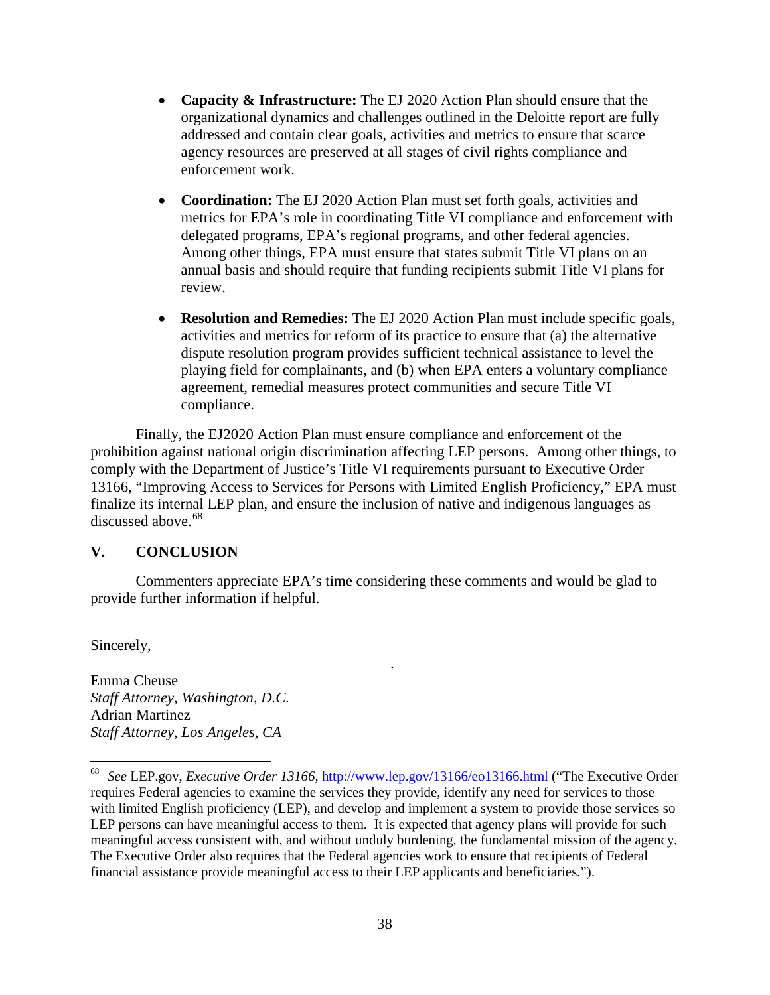- **Capacity & Infrastructure:** The EJ 2020 Action Plan should ensure that the organizational dynamics and challenges outlined in the Deloitte report are fully addressed and contain clear goals, activities and metrics to ensure that scarce agency resources are preserved at all stages of civil rights compliance and enforcement work.
- **Coordination:** The EJ 2020 Action Plan must set forth goals, activities and metrics for EPA's role in coordinating Title VI compliance and enforcement with delegated programs, EPA's regional programs, and other federal agencies. Among other things, EPA must ensure that states submit Title VI plans on an annual basis and should require that funding recipients submit Title VI plans for review.
- **Resolution and Remedies:** The EJ 2020 Action Plan must include specific goals, activities and metrics for reform of its practice to ensure that (a) the alternative dispute resolution program provides sufficient technical assistance to level the playing field for complainants, and (b) when EPA enters a voluntary compliance agreement, remedial measures protect communities and secure Title VI compliance.

Finally, the EJ2020 Action Plan must ensure compliance and enforcement of the prohibition against national origin discrimination affecting LEP persons. Among other things, to comply with the Department of Justice's Title VI requirements pursuant to Executive Order 13166, "Improving Access to Services for Persons with Limited English Proficiency," EPA must finalize its internal LEP plan, and ensure the inclusion of native and indigenous languages as discussed above.<sup>[68](#page-37-1)</sup>

#### <span id="page-37-0"></span>**V. CONCLUSION**

Commenters appreciate EPA's time considering these comments and would be glad to provide further information if helpful.

.

Sincerely,

Emma Cheuse *Staff Attorney, Washington, D.C.* Adrian Martinez *Staff Attorney, Los Angeles, CA*

<span id="page-37-1"></span> <sup>68</sup> *See* LEP.gov, *Executive Order 13166*,<http://www.lep.gov/13166/eo13166.html> ("The Executive Order requires Federal agencies to examine the services they provide, identify any need for services to those with limited English proficiency (LEP), and develop and implement a system to provide those services so LEP persons can have meaningful access to them. It is expected that agency plans will provide for such meaningful access consistent with, and without unduly burdening, the fundamental mission of the agency. The Executive Order also requires that the Federal agencies work to ensure that recipients of Federal financial assistance provide meaningful access to their LEP applicants and beneficiaries.").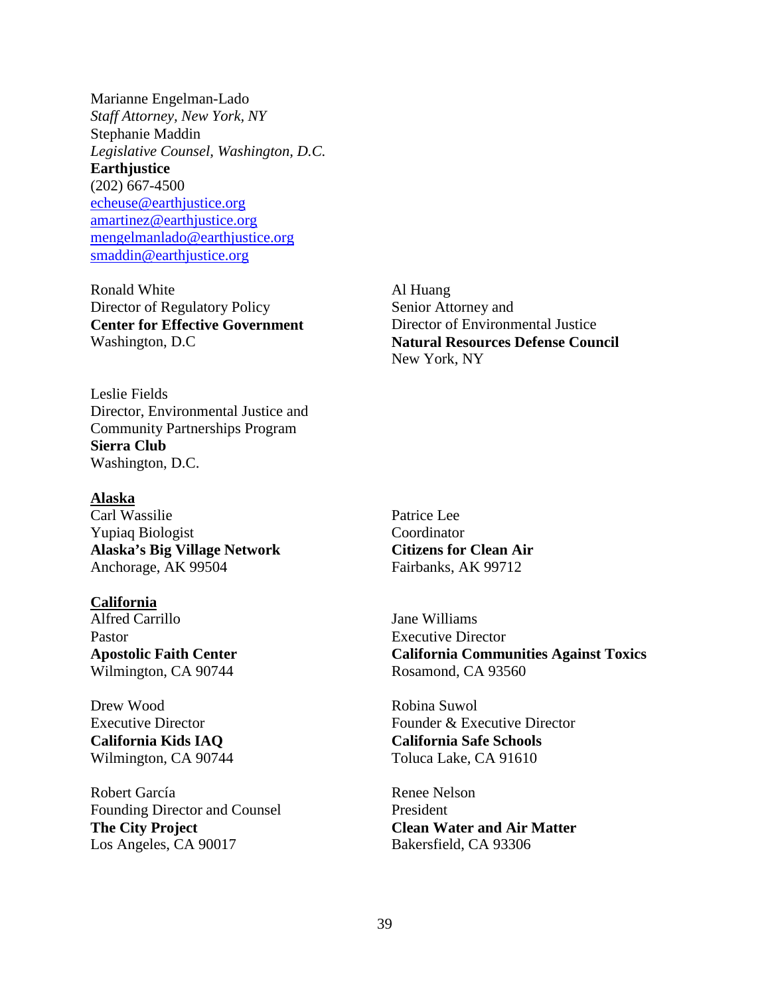Marianne Engelman-Lado *Staff Attorney, New York, NY* Stephanie Maddin *Legislative Counsel, Washington, D.C.*  **Earthjustice** (202) 667-4500 [echeuse@earthjustice.org](mailto:echeuse@earthjustice.org) [amartinez@earthjustice.org](mailto:amartinez@earthjustice.org) [mengelmanlado@earthjustice.org](mailto:mengelmanlado@earthjustice.org) [smaddin@earthjustice.org](mailto:smaddin@earthjustice.org)

Ronald White Director of Regulatory Policy **Center for Effective Government** Washington, D.C

Al Huang Senior Attorney and Director of Environmental Justice **Natural Resources Defense Council** New York, NY

Leslie Fields Director, Environmental Justice and Community Partnerships Program **Sierra Club** Washington, D.C.

#### **Alaska**

Carl Wassilie Yupiaq Biologist **Alaska's Big Village Network** Anchorage, AK 99504

#### **California**

Alfred Carrillo Pastor **Apostolic Faith Center** Wilmington, CA 90744

Drew Wood Executive Director **California Kids IAQ** Wilmington, CA 90744

Robert García Founding Director and Counsel **The City Project** Los Angeles, CA 90017

Patrice Lee Coordinator **Citizens for Clean Air** Fairbanks, AK 99712

Jane Williams Executive Director **California Communities Against Toxics** Rosamond, CA 93560

Robina Suwol Founder & Executive Director **California Safe Schools** Toluca Lake, CA 91610

Renee Nelson President **Clean Water and Air Matter** Bakersfield, CA 93306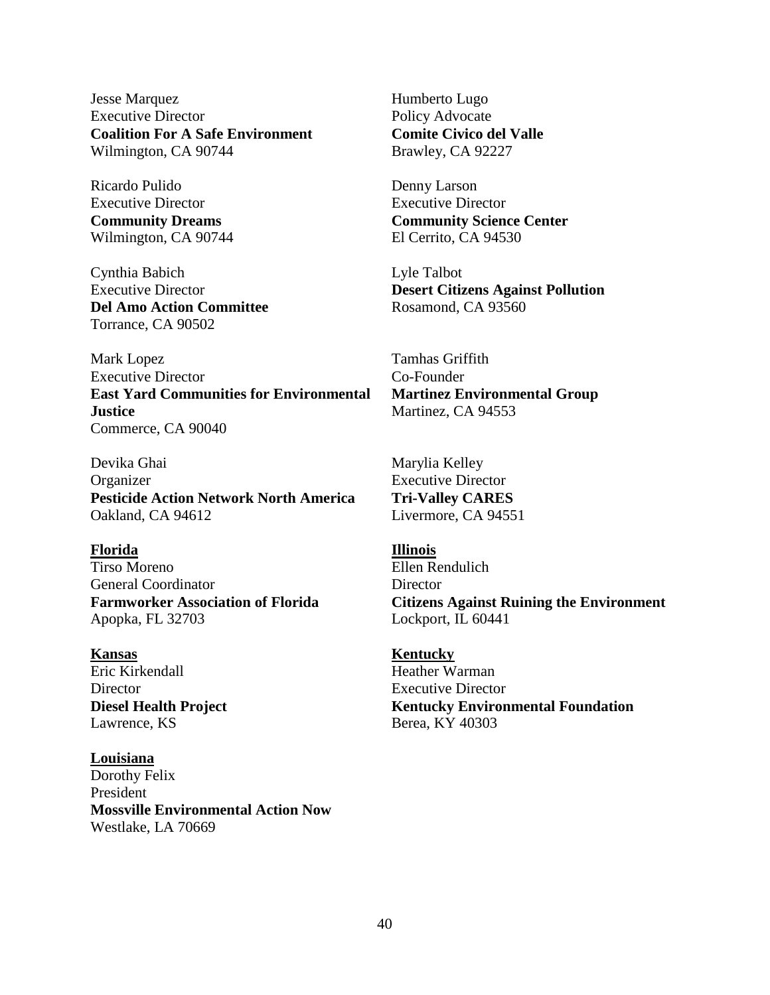Jesse Marquez Executive Director **Coalition For A Safe Environment** Wilmington, CA 90744

Ricardo Pulido Executive Director **Community Dreams** Wilmington, CA 90744

Cynthia Babich Executive Director **Del Amo Action Committee** Torrance, CA 90502

Mark Lopez Executive Director **East Yard Communities for Environmental Justice** Commerce, CA 90040

Devika Ghai Organizer **Pesticide Action Network North America** Oakland, CA 94612

#### **Florida Illinois**

Tirso Moreno General Coordinator **Farmworker Association of Florida** Apopka, FL 32703

Eric Kirkendall **Director Diesel Health Project** Lawrence, KS

**Louisiana** Dorothy Felix President **Mossville Environmental Action Now** Westlake, LA 70669

Humberto Lugo Policy Advocate **Comite Civico del Valle** Brawley, CA 92227

Denny Larson Executive Director **Community Science Center** El Cerrito, CA 94530

Lyle Talbot **Desert Citizens Against Pollution** Rosamond, CA 93560

Tamhas Griffith Co-Founder **Martinez Environmental Group** Martinez, CA 94553

Marylia Kelley Executive Director **Tri-Valley CARES** Livermore, CA 94551

Ellen Rendulich **Director Citizens Against Ruining the Environment** Lockport, IL 60441

**Kansas Kentucky** Heather Warman Executive Director **Kentucky Environmental Foundation** Berea, KY 40303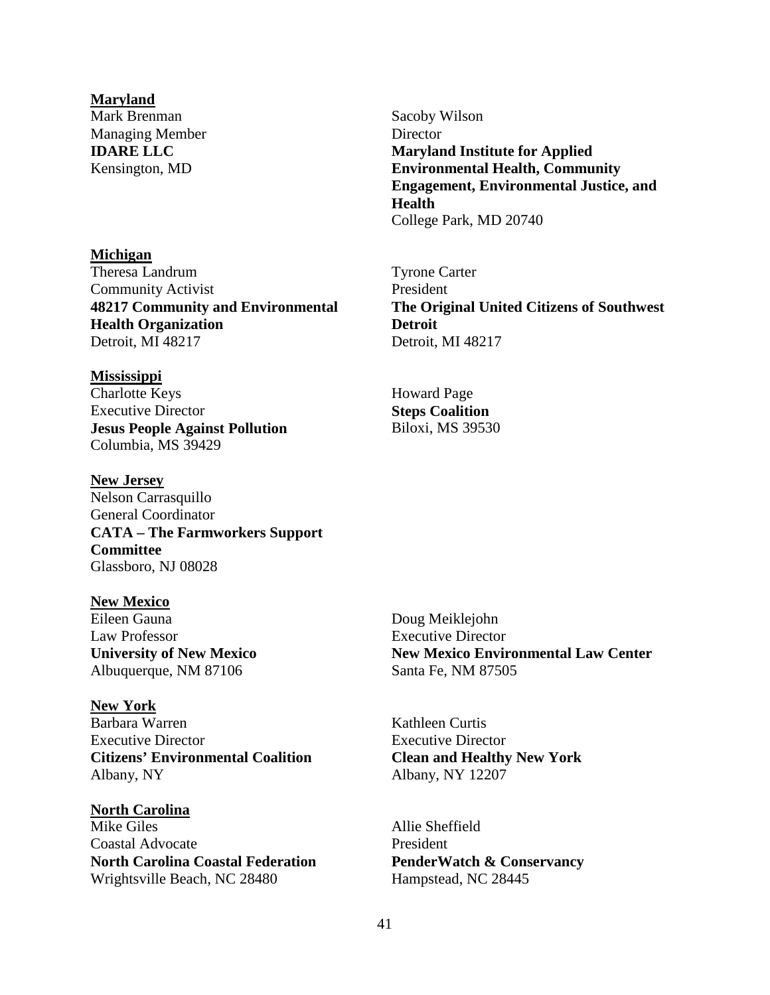#### **Maryland**

Mark Brenman Managing Member **IDARE LLC** Kensington, MD

#### **Michigan**

Theresa Landrum Community Activist **48217 Community and Environmental Health Organization** Detroit, MI 48217

#### **Mississippi**

Charlotte Keys Executive Director **Jesus People Against Pollution** Columbia, MS 39429

#### **New Jersey**

Nelson Carrasquillo General Coordinator **CATA – The Farmworkers Support Committee** Glassboro, NJ 08028

#### **New Mexico**

Eileen Gauna Law Professor **University of New Mexico** Albuquerque, NM 87106

**New York** Barbara Warren Executive Director **Citizens' Environmental Coalition** Albany, NY

**North Carolina** Mike Giles Coastal Advocate **North Carolina Coastal Federation** Wrightsville Beach, NC 28480

Sacoby Wilson **Director Maryland Institute for Applied Environmental Health, Community Engagement, Environmental Justice, and Health** College Park, MD 20740

Tyrone Carter President **The Original United Citizens of Southwest Detroit** Detroit, MI 48217

Howard Page **Steps Coalition** Biloxi, MS 39530

Doug Meiklejohn Executive Director **New Mexico Environmental Law Center** Santa Fe, NM 87505

Kathleen Curtis Executive Director **Clean and Healthy New York** Albany, NY 12207

Allie Sheffield President **PenderWatch & Conservancy** Hampstead, NC 28445